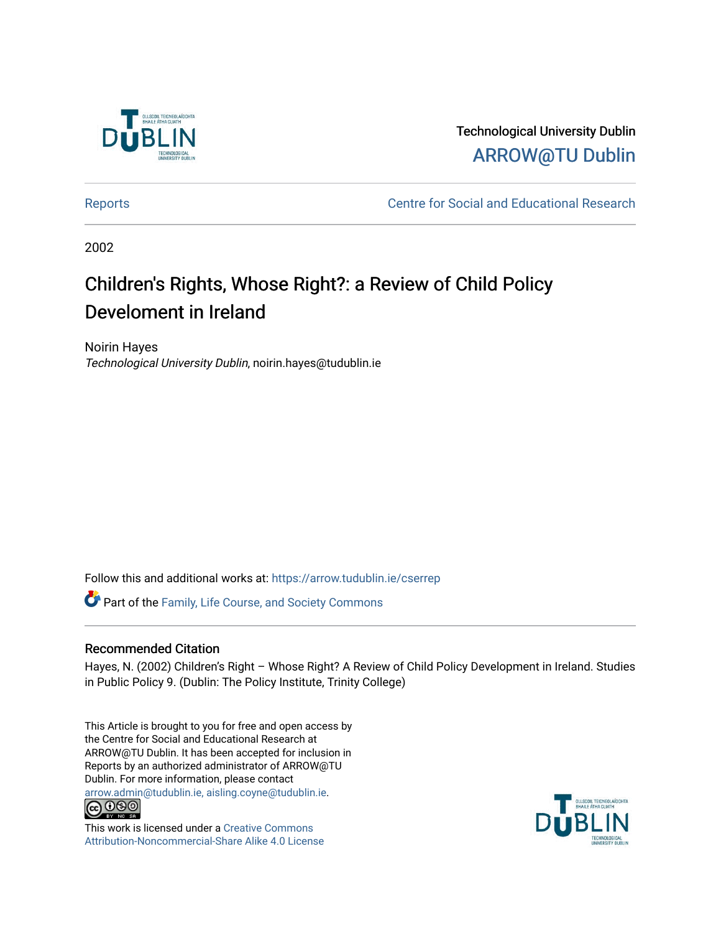

Technological University Dublin [ARROW@TU Dublin](https://arrow.tudublin.ie/) 

[Reports](https://arrow.tudublin.ie/cserrep) **Centre for Social and Educational Research** 

2002

# Children's Rights, Whose Right?: a Review of Child Policy Develoment in Ireland

Noirin Hayes Technological University Dublin, noirin.hayes@tudublin.ie

Follow this and additional works at: [https://arrow.tudublin.ie/cserrep](https://arrow.tudublin.ie/cserrep?utm_source=arrow.tudublin.ie%2Fcserrep%2F44&utm_medium=PDF&utm_campaign=PDFCoverPages)

Part of the [Family, Life Course, and Society Commons](http://network.bepress.com/hgg/discipline/419?utm_source=arrow.tudublin.ie%2Fcserrep%2F44&utm_medium=PDF&utm_campaign=PDFCoverPages) 

#### Recommended Citation

Hayes, N. (2002) Children's Right – Whose Right? A Review of Child Policy Development in Ireland. Studies in Public Policy 9. (Dublin: The Policy Institute, Trinity College)

This Article is brought to you for free and open access by the Centre for Social and Educational Research at ARROW@TU Dublin. It has been accepted for inclusion in Reports by an authorized administrator of ARROW@TU Dublin. For more information, please contact [arrow.admin@tudublin.ie, aisling.coyne@tudublin.ie](mailto:arrow.admin@tudublin.ie,%20aisling.coyne@tudublin.ie).<br>COOO



This work is licensed under a [Creative Commons](http://creativecommons.org/licenses/by-nc-sa/4.0/) [Attribution-Noncommercial-Share Alike 4.0 License](http://creativecommons.org/licenses/by-nc-sa/4.0/)

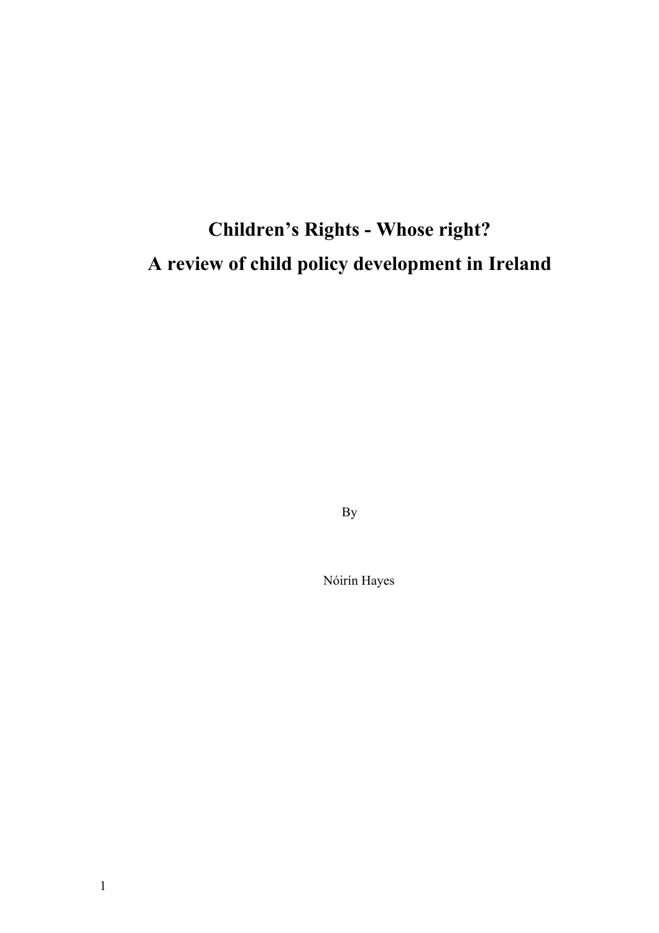# **Children's Rights - Whose right? A review of child policy development in Ireland**

By

Nóirín Hayes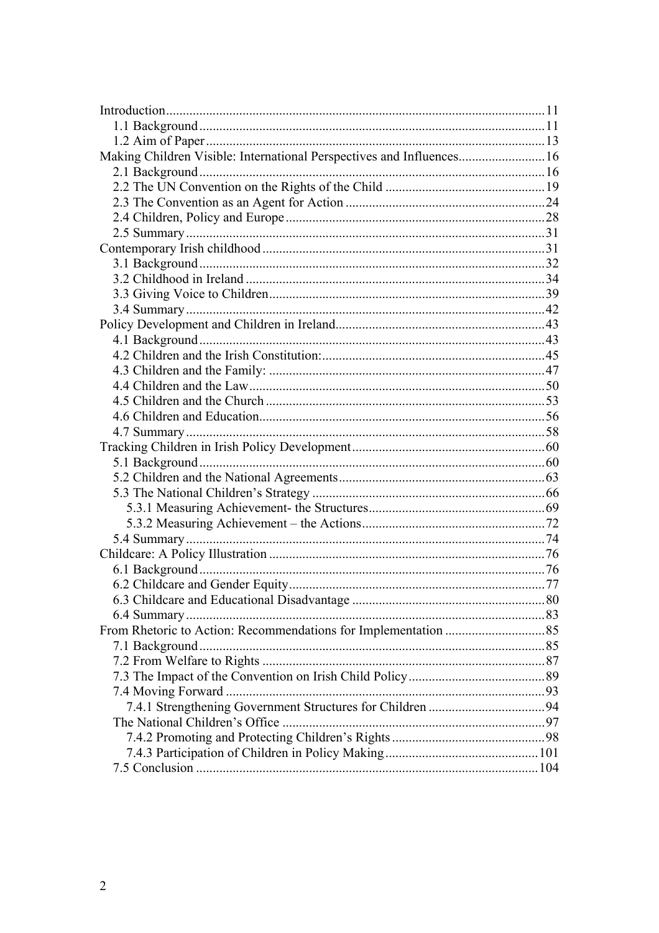| Making Children Visible: International Perspectives and Influences 16 |  |
|-----------------------------------------------------------------------|--|
|                                                                       |  |
|                                                                       |  |
|                                                                       |  |
|                                                                       |  |
|                                                                       |  |
|                                                                       |  |
|                                                                       |  |
|                                                                       |  |
|                                                                       |  |
|                                                                       |  |
|                                                                       |  |
|                                                                       |  |
|                                                                       |  |
|                                                                       |  |
|                                                                       |  |
|                                                                       |  |
|                                                                       |  |
|                                                                       |  |
|                                                                       |  |
|                                                                       |  |
|                                                                       |  |
|                                                                       |  |
|                                                                       |  |
|                                                                       |  |
|                                                                       |  |
|                                                                       |  |
|                                                                       |  |
|                                                                       |  |
|                                                                       |  |
|                                                                       |  |
|                                                                       |  |
|                                                                       |  |
|                                                                       |  |
|                                                                       |  |
|                                                                       |  |
|                                                                       |  |
|                                                                       |  |
|                                                                       |  |
|                                                                       |  |
|                                                                       |  |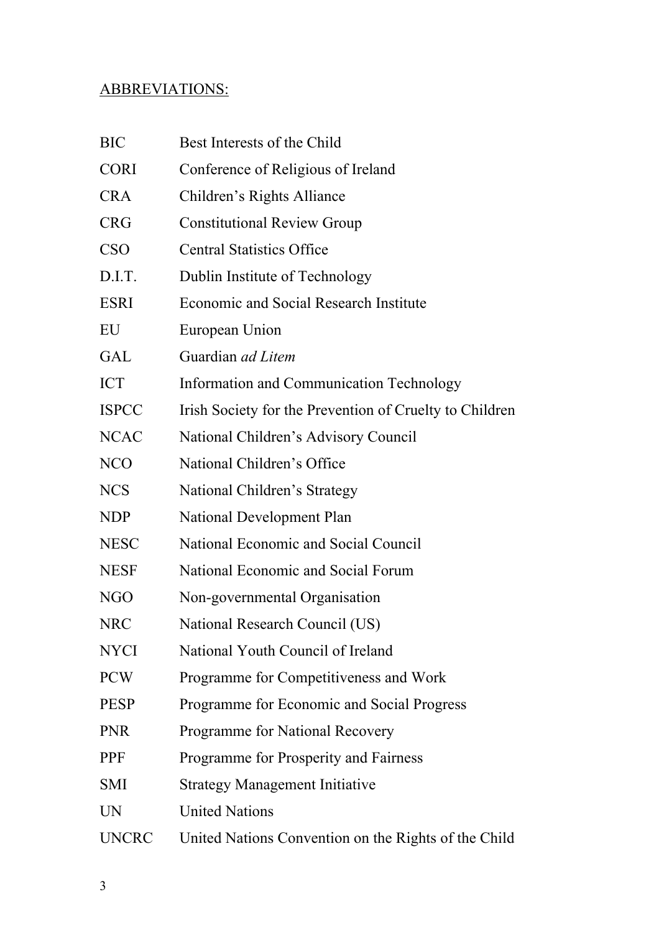# ABBREVIATIONS:

| <b>BIC</b>   | Best Interests of the Child                             |  |  |  |  |  |
|--------------|---------------------------------------------------------|--|--|--|--|--|
| <b>CORI</b>  | Conference of Religious of Ireland                      |  |  |  |  |  |
| <b>CRA</b>   | Children's Rights Alliance                              |  |  |  |  |  |
| <b>CRG</b>   | <b>Constitutional Review Group</b>                      |  |  |  |  |  |
| <b>CSO</b>   | <b>Central Statistics Office</b>                        |  |  |  |  |  |
| D.I.T.       | Dublin Institute of Technology                          |  |  |  |  |  |
| ESRI         | <b>Economic and Social Research Institute</b>           |  |  |  |  |  |
| EU           | European Union                                          |  |  |  |  |  |
| GAL          | Guardian <i>ad Litem</i>                                |  |  |  |  |  |
| ICT          | Information and Communication Technology                |  |  |  |  |  |
| <b>ISPCC</b> | Irish Society for the Prevention of Cruelty to Children |  |  |  |  |  |
| <b>NCAC</b>  | National Children's Advisory Council                    |  |  |  |  |  |
| <b>NCO</b>   | National Children's Office                              |  |  |  |  |  |
| <b>NCS</b>   | National Children's Strategy                            |  |  |  |  |  |
| NDP          | <b>National Development Plan</b>                        |  |  |  |  |  |
| <b>NESC</b>  | National Economic and Social Council                    |  |  |  |  |  |
| <b>NESF</b>  | National Economic and Social Forum                      |  |  |  |  |  |
| NGO          | Non-governmental Organisation                           |  |  |  |  |  |
| <b>NRC</b>   | National Research Council (US)                          |  |  |  |  |  |
| NYCI         | National Youth Council of Ireland                       |  |  |  |  |  |
| <b>PCW</b>   | Programme for Competitiveness and Work                  |  |  |  |  |  |
| <b>PESP</b>  | Programme for Economic and Social Progress              |  |  |  |  |  |
| <b>PNR</b>   | Programme for National Recovery                         |  |  |  |  |  |
| <b>PPF</b>   | Programme for Prosperity and Fairness                   |  |  |  |  |  |
| <b>SMI</b>   | <b>Strategy Management Initiative</b>                   |  |  |  |  |  |
| <b>UN</b>    | <b>United Nations</b>                                   |  |  |  |  |  |
| <b>UNCRC</b> | United Nations Convention on the Rights of the Child    |  |  |  |  |  |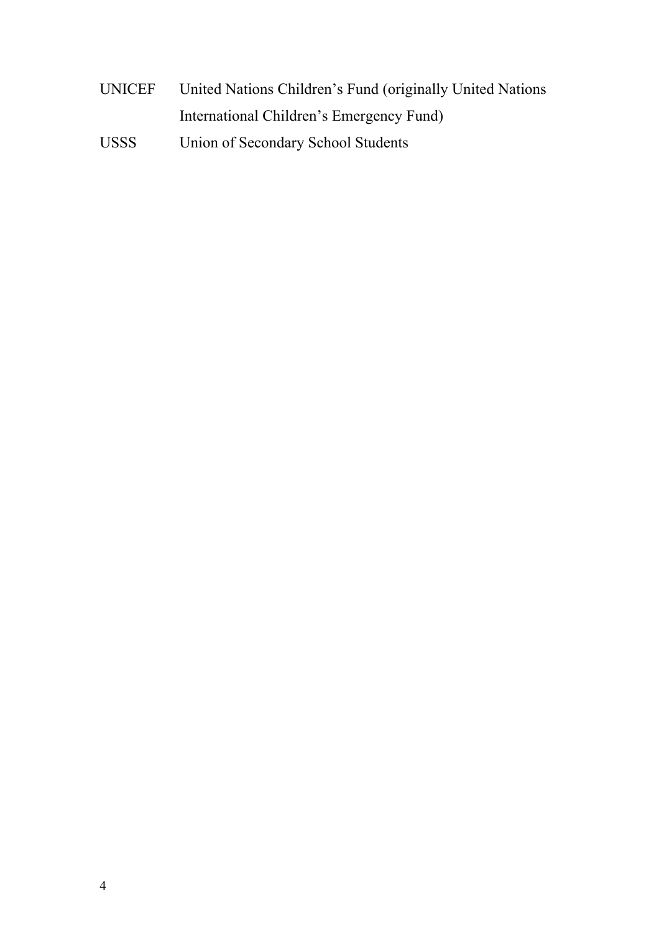- UNICEF United Nations Children's Fund (originally United Nations International Children's Emergency Fund)
- USSS Union of Secondary School Students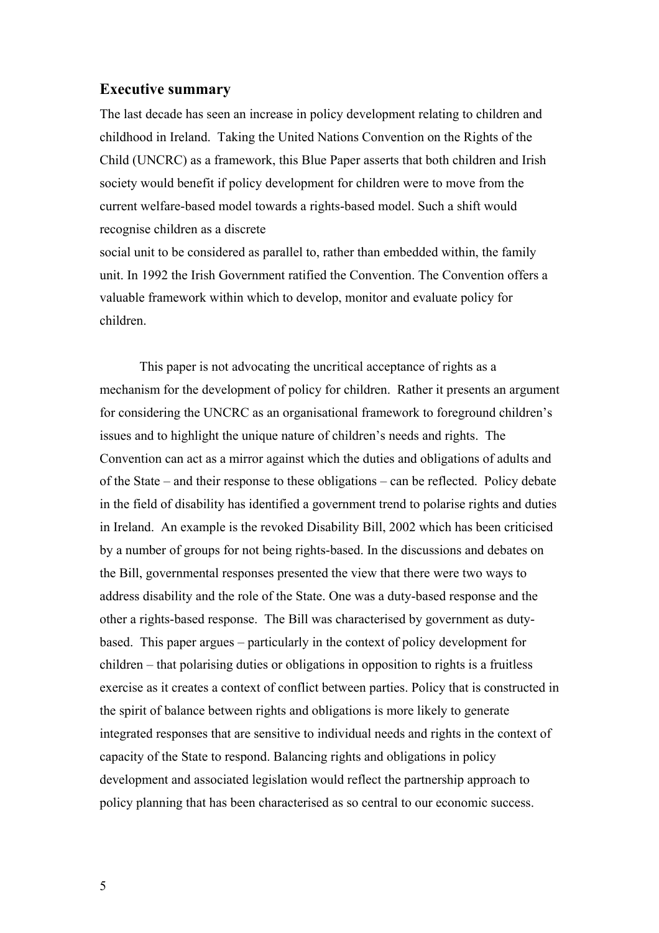## **Executive summary**

The last decade has seen an increase in policy development relating to children and childhood in Ireland. Taking the United Nations Convention on the Rights of the Child (UNCRC) as a framework, this Blue Paper asserts that both children and Irish society would benefit if policy development for children were to move from the current welfare-based model towards a rights-based model. Such a shift would recognise children as a discrete

social unit to be considered as parallel to, rather than embedded within, the family unit. In 1992 the Irish Government ratified the Convention. The Convention offers a valuable framework within which to develop, monitor and evaluate policy for children.

This paper is not advocating the uncritical acceptance of rights as a mechanism for the development of policy for children. Rather it presents an argument for considering the UNCRC as an organisational framework to foreground children's issues and to highlight the unique nature of children's needs and rights. The Convention can act as a mirror against which the duties and obligations of adults and of the State – and their response to these obligations – can be reflected. Policy debate in the field of disability has identified a government trend to polarise rights and duties in Ireland. An example is the revoked Disability Bill, 2002 which has been criticised by a number of groups for not being rights-based. In the discussions and debates on the Bill, governmental responses presented the view that there were two ways to address disability and the role of the State. One was a duty-based response and the other a rights-based response. The Bill was characterised by government as dutybased. This paper argues – particularly in the context of policy development for children – that polarising duties or obligations in opposition to rights is a fruitless exercise as it creates a context of conflict between parties. Policy that is constructed in the spirit of balance between rights and obligations is more likely to generate integrated responses that are sensitive to individual needs and rights in the context of capacity of the State to respond. Balancing rights and obligations in policy development and associated legislation would reflect the partnership approach to policy planning that has been characterised as so central to our economic success.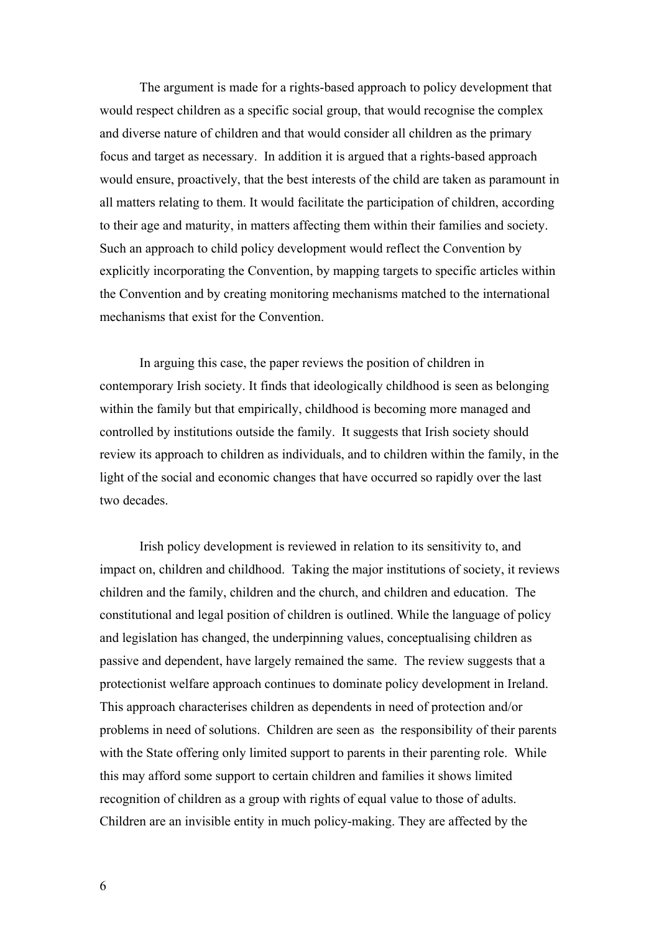The argument is made for a rights-based approach to policy development that would respect children as a specific social group, that would recognise the complex and diverse nature of children and that would consider all children as the primary focus and target as necessary. In addition it is argued that a rights-based approach would ensure, proactively, that the best interests of the child are taken as paramount in all matters relating to them. It would facilitate the participation of children, according to their age and maturity, in matters affecting them within their families and society. Such an approach to child policy development would reflect the Convention by explicitly incorporating the Convention, by mapping targets to specific articles within the Convention and by creating monitoring mechanisms matched to the international mechanisms that exist for the Convention.

In arguing this case, the paper reviews the position of children in contemporary Irish society. It finds that ideologically childhood is seen as belonging within the family but that empirically, childhood is becoming more managed and controlled by institutions outside the family. It suggests that Irish society should review its approach to children as individuals, and to children within the family, in the light of the social and economic changes that have occurred so rapidly over the last two decades.

 Irish policy development is reviewed in relation to its sensitivity to, and impact on, children and childhood. Taking the major institutions of society, it reviews children and the family, children and the church, and children and education. The constitutional and legal position of children is outlined. While the language of policy and legislation has changed, the underpinning values, conceptualising children as passive and dependent, have largely remained the same. The review suggests that a protectionist welfare approach continues to dominate policy development in Ireland. This approach characterises children as dependents in need of protection and/or problems in need of solutions. Children are seen as the responsibility of their parents with the State offering only limited support to parents in their parenting role. While this may afford some support to certain children and families it shows limited recognition of children as a group with rights of equal value to those of adults. Children are an invisible entity in much policy-making. They are affected by the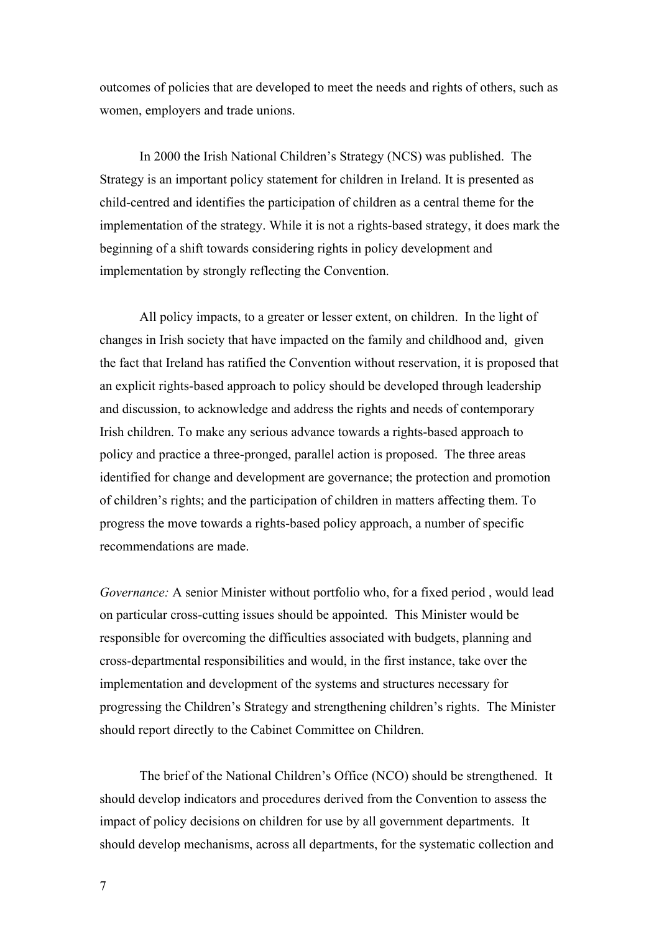outcomes of policies that are developed to meet the needs and rights of others, such as women, employers and trade unions.

In 2000 the Irish National Children's Strategy (NCS) was published. The Strategy is an important policy statement for children in Ireland. It is presented as child-centred and identifies the participation of children as a central theme for the implementation of the strategy. While it is not a rights-based strategy, it does mark the beginning of a shift towards considering rights in policy development and implementation by strongly reflecting the Convention.

All policy impacts, to a greater or lesser extent, on children. In the light of changes in Irish society that have impacted on the family and childhood and, given the fact that Ireland has ratified the Convention without reservation, it is proposed that an explicit rights-based approach to policy should be developed through leadership and discussion, to acknowledge and address the rights and needs of contemporary Irish children. To make any serious advance towards a rights-based approach to policy and practice a three-pronged, parallel action is proposed. The three areas identified for change and development are governance; the protection and promotion of children's rights; and the participation of children in matters affecting them. To progress the move towards a rights-based policy approach, a number of specific recommendations are made.

*Governance:* A senior Minister without portfolio who, for a fixed period , would lead on particular cross-cutting issues should be appointed. This Minister would be responsible for overcoming the difficulties associated with budgets, planning and cross-departmental responsibilities and would, in the first instance, take over the implementation and development of the systems and structures necessary for progressing the Children's Strategy and strengthening children's rights. The Minister should report directly to the Cabinet Committee on Children.

The brief of the National Children's Office (NCO) should be strengthened. It should develop indicators and procedures derived from the Convention to assess the impact of policy decisions on children for use by all government departments. It should develop mechanisms, across all departments, for the systematic collection and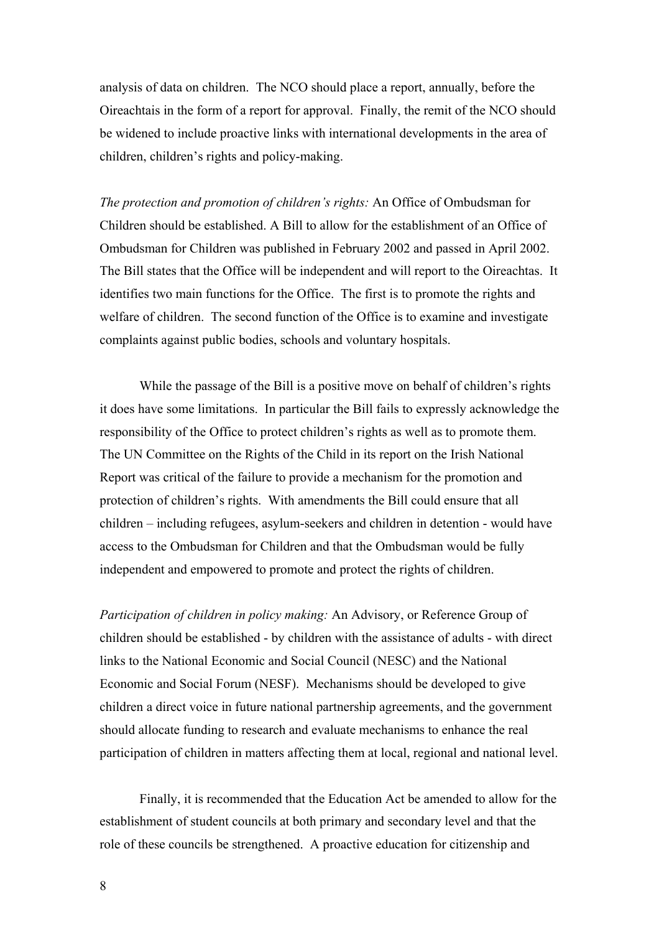analysis of data on children. The NCO should place a report, annually, before the Oireachtais in the form of a report for approval. Finally, the remit of the NCO should be widened to include proactive links with international developments in the area of children, children's rights and policy-making.

*The protection and promotion of children's rights:* An Office of Ombudsman for Children should be established. A Bill to allow for the establishment of an Office of Ombudsman for Children was published in February 2002 and passed in April 2002. The Bill states that the Office will be independent and will report to the Oireachtas. It identifies two main functions for the Office. The first is to promote the rights and welfare of children. The second function of the Office is to examine and investigate complaints against public bodies, schools and voluntary hospitals.

While the passage of the Bill is a positive move on behalf of children's rights it does have some limitations. In particular the Bill fails to expressly acknowledge the responsibility of the Office to protect children's rights as well as to promote them. The UN Committee on the Rights of the Child in its report on the Irish National Report was critical of the failure to provide a mechanism for the promotion and protection of children's rights. With amendments the Bill could ensure that all children – including refugees, asylum-seekers and children in detention - would have access to the Ombudsman for Children and that the Ombudsman would be fully independent and empowered to promote and protect the rights of children.

*Participation of children in policy making:* An Advisory, or Reference Group of children should be established - by children with the assistance of adults - with direct links to the National Economic and Social Council (NESC) and the National Economic and Social Forum (NESF). Mechanisms should be developed to give children a direct voice in future national partnership agreements, and the government should allocate funding to research and evaluate mechanisms to enhance the real participation of children in matters affecting them at local, regional and national level.

Finally, it is recommended that the Education Act be amended to allow for the establishment of student councils at both primary and secondary level and that the role of these councils be strengthened. A proactive education for citizenship and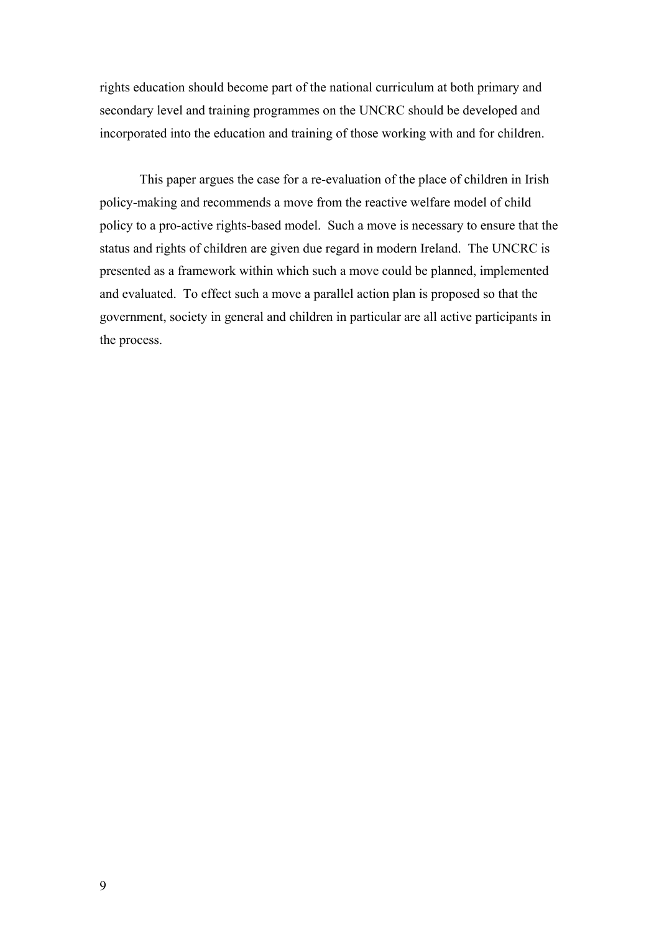rights education should become part of the national curriculum at both primary and secondary level and training programmes on the UNCRC should be developed and incorporated into the education and training of those working with and for children.

This paper argues the case for a re-evaluation of the place of children in Irish policy-making and recommends a move from the reactive welfare model of child policy to a pro-active rights-based model. Such a move is necessary to ensure that the status and rights of children are given due regard in modern Ireland. The UNCRC is presented as a framework within which such a move could be planned, implemented and evaluated. To effect such a move a parallel action plan is proposed so that the government, society in general and children in particular are all active participants in the process.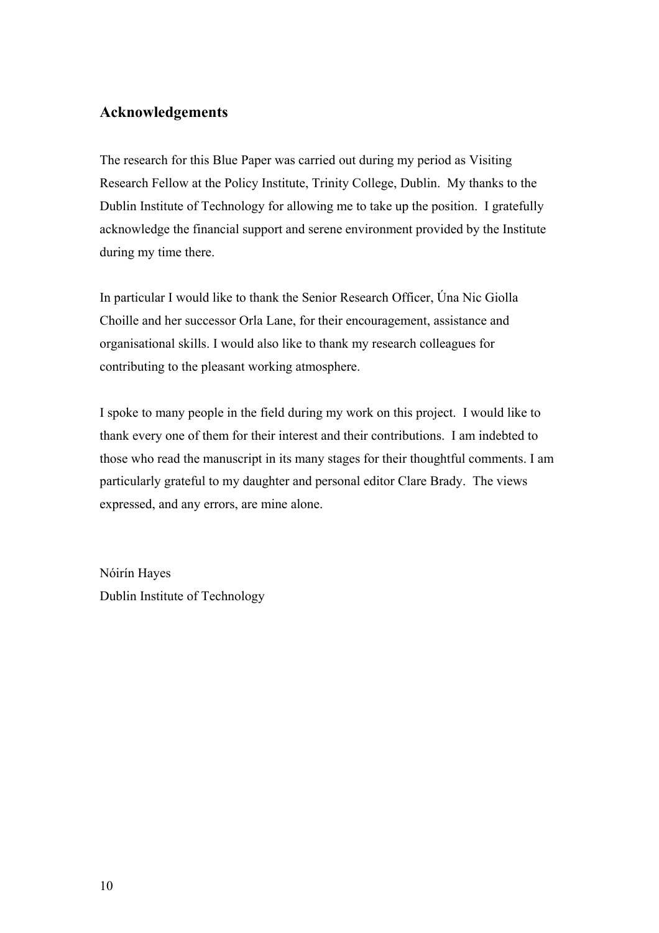# **Acknowledgements**

The research for this Blue Paper was carried out during my period as Visiting Research Fellow at the Policy Institute, Trinity College, Dublin. My thanks to the Dublin Institute of Technology for allowing me to take up the position. I gratefully acknowledge the financial support and serene environment provided by the Institute during my time there.

In particular I would like to thank the Senior Research Officer, Úna Nic Giolla Choille and her successor Orla Lane, for their encouragement, assistance and organisational skills. I would also like to thank my research colleagues for contributing to the pleasant working atmosphere.

I spoke to many people in the field during my work on this project. I would like to thank every one of them for their interest and their contributions. I am indebted to those who read the manuscript in its many stages for their thoughtful comments. I am particularly grateful to my daughter and personal editor Clare Brady. The views expressed, and any errors, are mine alone.

Nóirín Hayes Dublin Institute of Technology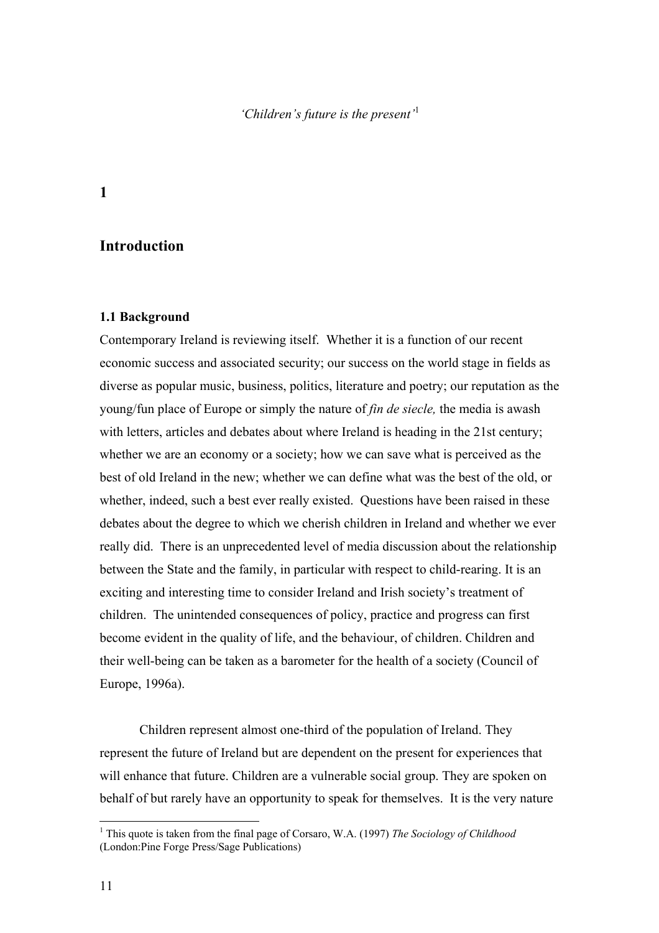*'Children's future is the present'*[1](#page-11-1)

# <span id="page-11-0"></span>**1**

# **Introduction**

### **1.1 Background**

Contemporary Ireland is reviewing itself. Whether it is a function of our recent economic success and associated security; our success on the world stage in fields as diverse as popular music, business, politics, literature and poetry; our reputation as the young/fun place of Europe or simply the nature of *fin de siecle,* the media is awash with letters, articles and debates about where Ireland is heading in the 21st century; whether we are an economy or a society; how we can save what is perceived as the best of old Ireland in the new; whether we can define what was the best of the old, or whether, indeed, such a best ever really existed. Questions have been raised in these debates about the degree to which we cherish children in Ireland and whether we ever really did. There is an unprecedented level of media discussion about the relationship between the State and the family, in particular with respect to child-rearing. It is an exciting and interesting time to consider Ireland and Irish society's treatment of children. The unintended consequences of policy, practice and progress can first become evident in the quality of life, and the behaviour, of children. Children and their well-being can be taken as a barometer for the health of a society (Council of Europe, 1996a).

Children represent almost one-third of the population of Ireland. They represent the future of Ireland but are dependent on the present for experiences that will enhance that future. Children are a vulnerable social group. They are spoken on behalf of but rarely have an opportunity to speak for themselves. It is the very nature

 $\overline{a}$ 

<span id="page-11-1"></span><sup>1</sup> This quote is taken from the final page of Corsaro, W.A. (1997) *The Sociology of Childhood* (London:Pine Forge Press/Sage Publications)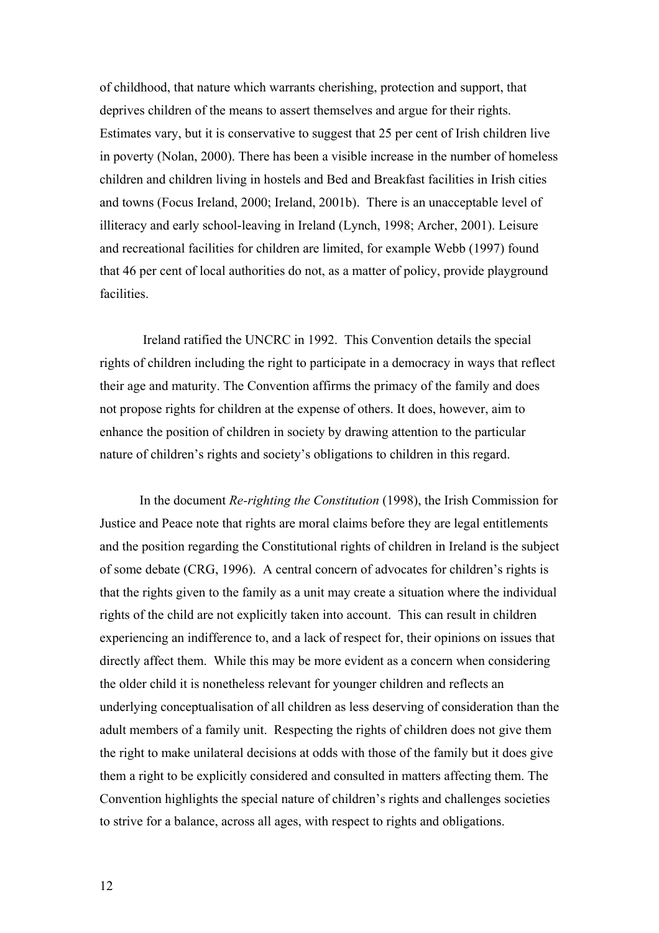of childhood, that nature which warrants cherishing, protection and support, that deprives children of the means to assert themselves and argue for their rights. Estimates vary, but it is conservative to suggest that 25 per cent of Irish children live in poverty (Nolan, 2000). There has been a visible increase in the number of homeless children and children living in hostels and Bed and Breakfast facilities in Irish cities and towns (Focus Ireland, 2000; Ireland, 2001b). There is an unacceptable level of illiteracy and early school-leaving in Ireland (Lynch, 1998; Archer, 2001). Leisure and recreational facilities for children are limited, for example Webb (1997) found that 46 per cent of local authorities do not, as a matter of policy, provide playground facilities.

 Ireland ratified the UNCRC in 1992. This Convention details the special rights of children including the right to participate in a democracy in ways that reflect their age and maturity. The Convention affirms the primacy of the family and does not propose rights for children at the expense of others. It does, however, aim to enhance the position of children in society by drawing attention to the particular nature of children's rights and society's obligations to children in this regard.

In the document *Re-righting the Constitution* (1998), the Irish Commission for Justice and Peace note that rights are moral claims before they are legal entitlements and the position regarding the Constitutional rights of children in Ireland is the subject of some debate (CRG, 1996). A central concern of advocates for children's rights is that the rights given to the family as a unit may create a situation where the individual rights of the child are not explicitly taken into account. This can result in children experiencing an indifference to, and a lack of respect for, their opinions on issues that directly affect them. While this may be more evident as a concern when considering the older child it is nonetheless relevant for younger children and reflects an underlying conceptualisation of all children as less deserving of consideration than the adult members of a family unit. Respecting the rights of children does not give them the right to make unilateral decisions at odds with those of the family but it does give them a right to be explicitly considered and consulted in matters affecting them. The Convention highlights the special nature of children's rights and challenges societies to strive for a balance, across all ages, with respect to rights and obligations.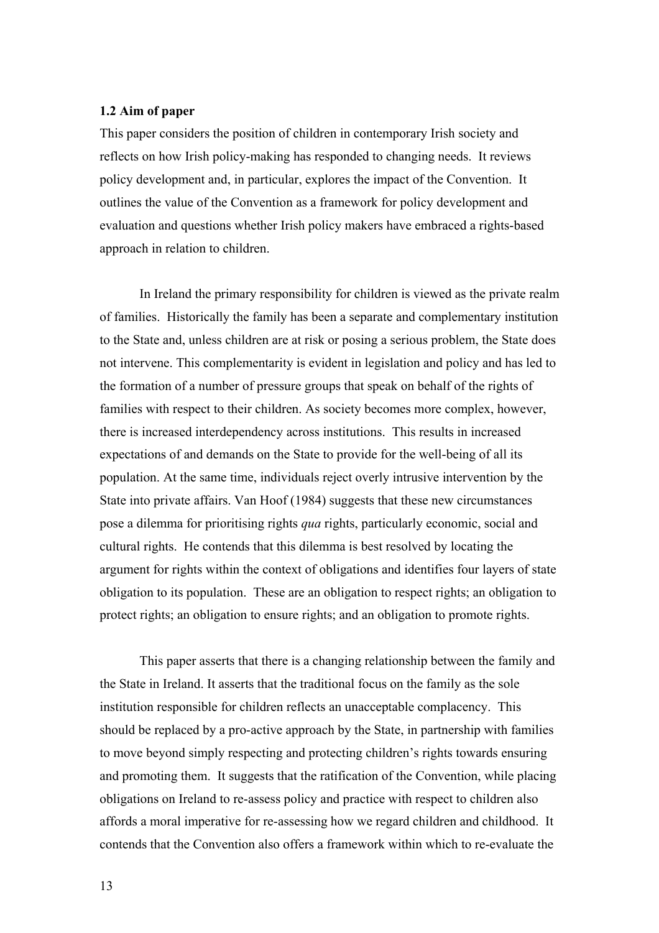### <span id="page-13-0"></span>**1.2 Aim of paper**

This paper considers the position of children in contemporary Irish society and reflects on how Irish policy-making has responded to changing needs. It reviews policy development and, in particular, explores the impact of the Convention. It outlines the value of the Convention as a framework for policy development and evaluation and questions whether Irish policy makers have embraced a rights-based approach in relation to children.

In Ireland the primary responsibility for children is viewed as the private realm of families. Historically the family has been a separate and complementary institution to the State and, unless children are at risk or posing a serious problem, the State does not intervene. This complementarity is evident in legislation and policy and has led to the formation of a number of pressure groups that speak on behalf of the rights of families with respect to their children. As society becomes more complex, however, there is increased interdependency across institutions. This results in increased expectations of and demands on the State to provide for the well-being of all its population. At the same time, individuals reject overly intrusive intervention by the State into private affairs. Van Hoof (1984) suggests that these new circumstances pose a dilemma for prioritising rights *qua* rights, particularly economic, social and cultural rights. He contends that this dilemma is best resolved by locating the argument for rights within the context of obligations and identifies four layers of state obligation to its population. These are an obligation to respect rights; an obligation to protect rights; an obligation to ensure rights; and an obligation to promote rights.

This paper asserts that there is a changing relationship between the family and the State in Ireland. It asserts that the traditional focus on the family as the sole institution responsible for children reflects an unacceptable complacency. This should be replaced by a pro-active approach by the State, in partnership with families to move beyond simply respecting and protecting children's rights towards ensuring and promoting them. It suggests that the ratification of the Convention, while placing obligations on Ireland to re-assess policy and practice with respect to children also affords a moral imperative for re-assessing how we regard children and childhood. It contends that the Convention also offers a framework within which to re-evaluate the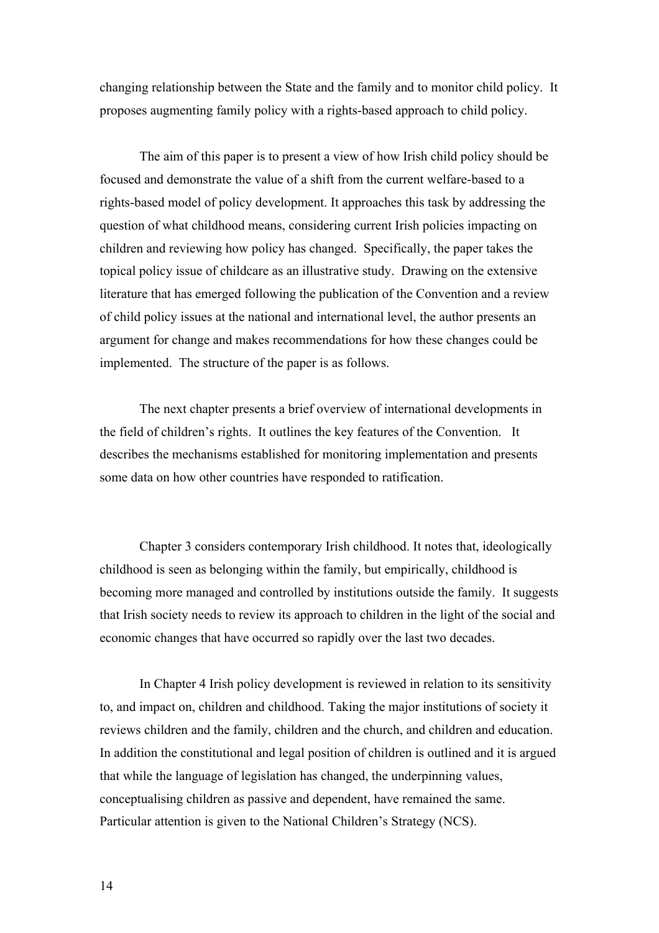changing relationship between the State and the family and to monitor child policy. It proposes augmenting family policy with a rights-based approach to child policy.

The aim of this paper is to present a view of how Irish child policy should be focused and demonstrate the value of a shift from the current welfare-based to a rights-based model of policy development. It approaches this task by addressing the question of what childhood means, considering current Irish policies impacting on children and reviewing how policy has changed. Specifically, the paper takes the topical policy issue of childcare as an illustrative study. Drawing on the extensive literature that has emerged following the publication of the Convention and a review of child policy issues at the national and international level, the author presents an argument for change and makes recommendations for how these changes could be implemented. The structure of the paper is as follows.

The next chapter presents a brief overview of international developments in the field of children's rights. It outlines the key features of the Convention. It describes the mechanisms established for monitoring implementation and presents some data on how other countries have responded to ratification.

Chapter 3 considers contemporary Irish childhood. It notes that, ideologically childhood is seen as belonging within the family, but empirically, childhood is becoming more managed and controlled by institutions outside the family. It suggests that Irish society needs to review its approach to children in the light of the social and economic changes that have occurred so rapidly over the last two decades.

In Chapter 4 Irish policy development is reviewed in relation to its sensitivity to, and impact on, children and childhood. Taking the major institutions of society it reviews children and the family, children and the church, and children and education. In addition the constitutional and legal position of children is outlined and it is argued that while the language of legislation has changed, the underpinning values, conceptualising children as passive and dependent, have remained the same. Particular attention is given to the National Children's Strategy (NCS).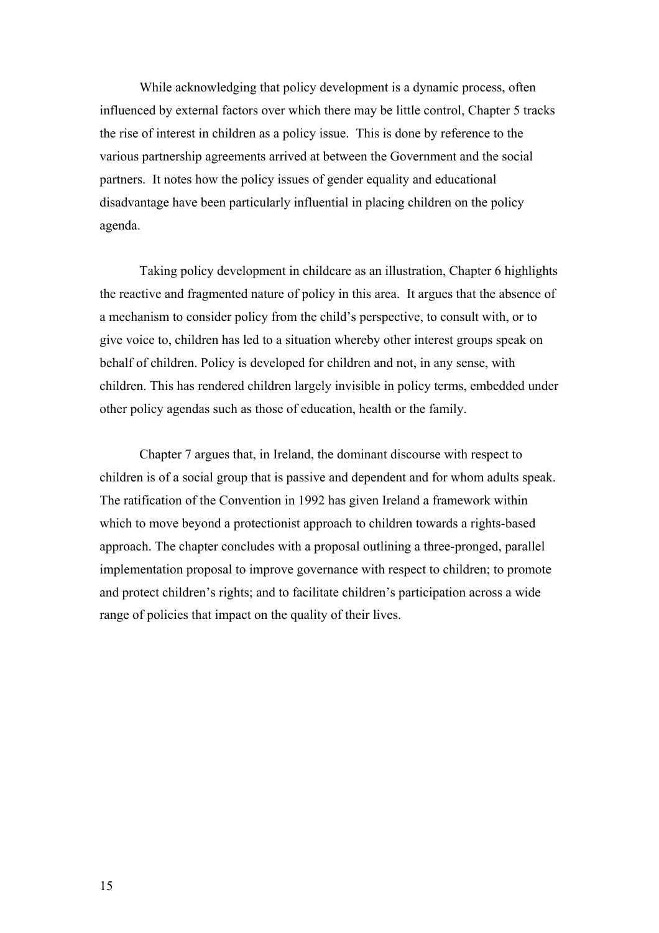While acknowledging that policy development is a dynamic process, often influenced by external factors over which there may be little control, Chapter 5 tracks the rise of interest in children as a policy issue. This is done by reference to the various partnership agreements arrived at between the Government and the social partners. It notes how the policy issues of gender equality and educational disadvantage have been particularly influential in placing children on the policy agenda.

Taking policy development in childcare as an illustration, Chapter 6 highlights the reactive and fragmented nature of policy in this area. It argues that the absence of a mechanism to consider policy from the child's perspective, to consult with, or to give voice to, children has led to a situation whereby other interest groups speak on behalf of children. Policy is developed for children and not, in any sense, with children. This has rendered children largely invisible in policy terms, embedded under other policy agendas such as those of education, health or the family.

Chapter 7 argues that, in Ireland, the dominant discourse with respect to children is of a social group that is passive and dependent and for whom adults speak. The ratification of the Convention in 1992 has given Ireland a framework within which to move beyond a protectionist approach to children towards a rights-based approach. The chapter concludes with a proposal outlining a three-pronged, parallel implementation proposal to improve governance with respect to children; to promote and protect children's rights; and to facilitate children's participation across a wide range of policies that impact on the quality of their lives.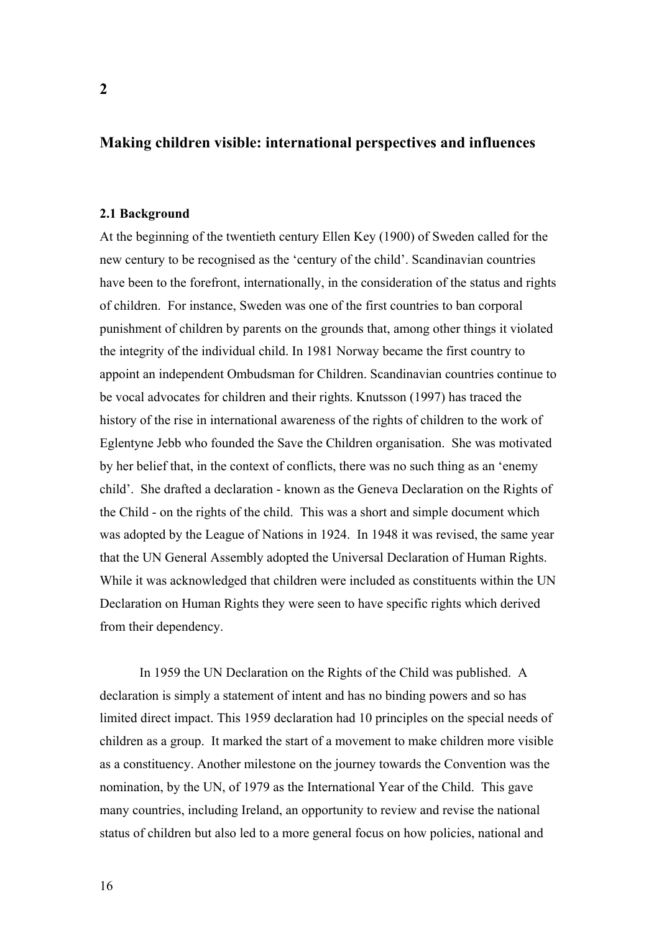# <span id="page-16-0"></span>**Making children visible: international perspectives and influences**

# **2.1 Background**

At the beginning of the twentieth century Ellen Key (1900) of Sweden called for the new century to be recognised as the 'century of the child'. Scandinavian countries have been to the forefront, internationally, in the consideration of the status and rights of children. For instance, Sweden was one of the first countries to ban corporal punishment of children by parents on the grounds that, among other things it violated the integrity of the individual child. In 1981 Norway became the first country to appoint an independent Ombudsman for Children. Scandinavian countries continue to be vocal advocates for children and their rights. Knutsson (1997) has traced the history of the rise in international awareness of the rights of children to the work of Eglentyne Jebb who founded the Save the Children organisation. She was motivated by her belief that, in the context of conflicts, there was no such thing as an 'enemy child'. She drafted a declaration - known as the Geneva Declaration on the Rights of the Child - on the rights of the child. This was a short and simple document which was adopted by the League of Nations in 1924. In 1948 it was revised, the same year that the UN General Assembly adopted the Universal Declaration of Human Rights. While it was acknowledged that children were included as constituents within the UN Declaration on Human Rights they were seen to have specific rights which derived from their dependency.

In 1959 the UN Declaration on the Rights of the Child was published. A declaration is simply a statement of intent and has no binding powers and so has limited direct impact. This 1959 declaration had 10 principles on the special needs of children as a group. It marked the start of a movement to make children more visible as a constituency. Another milestone on the journey towards the Convention was the nomination, by the UN, of 1979 as the International Year of the Child. This gave many countries, including Ireland, an opportunity to review and revise the national status of children but also led to a more general focus on how policies, national and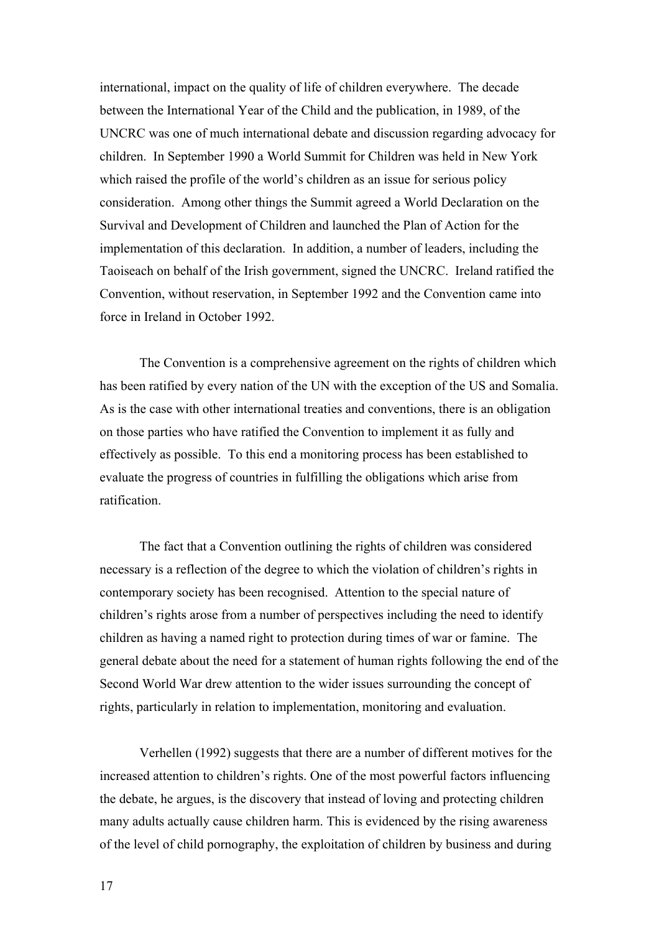international, impact on the quality of life of children everywhere. The decade between the International Year of the Child and the publication, in 1989, of the UNCRC was one of much international debate and discussion regarding advocacy for children. In September 1990 a World Summit for Children was held in New York which raised the profile of the world's children as an issue for serious policy consideration. Among other things the Summit agreed a World Declaration on the Survival and Development of Children and launched the Plan of Action for the implementation of this declaration. In addition, a number of leaders, including the Taoiseach on behalf of the Irish government, signed the UNCRC. Ireland ratified the Convention, without reservation, in September 1992 and the Convention came into force in Ireland in October 1992.

The Convention is a comprehensive agreement on the rights of children which has been ratified by every nation of the UN with the exception of the US and Somalia. As is the case with other international treaties and conventions, there is an obligation on those parties who have ratified the Convention to implement it as fully and effectively as possible. To this end a monitoring process has been established to evaluate the progress of countries in fulfilling the obligations which arise from ratification.

The fact that a Convention outlining the rights of children was considered necessary is a reflection of the degree to which the violation of children's rights in contemporary society has been recognised. Attention to the special nature of children's rights arose from a number of perspectives including the need to identify children as having a named right to protection during times of war or famine. The general debate about the need for a statement of human rights following the end of the Second World War drew attention to the wider issues surrounding the concept of rights, particularly in relation to implementation, monitoring and evaluation.

Verhellen (1992) suggests that there are a number of different motives for the increased attention to children's rights. One of the most powerful factors influencing the debate, he argues, is the discovery that instead of loving and protecting children many adults actually cause children harm. This is evidenced by the rising awareness of the level of child pornography, the exploitation of children by business and during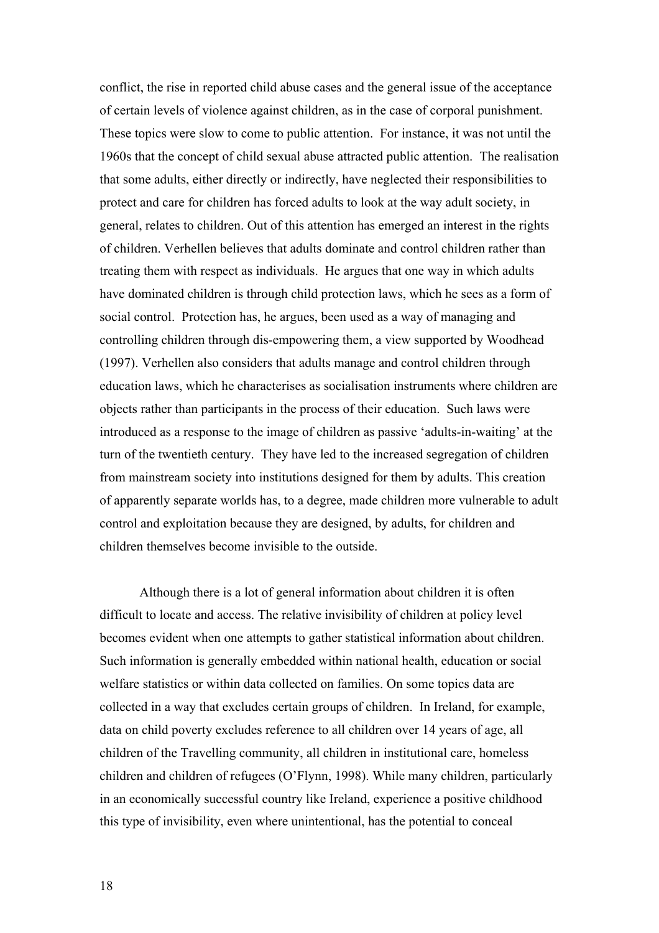conflict, the rise in reported child abuse cases and the general issue of the acceptance of certain levels of violence against children, as in the case of corporal punishment. These topics were slow to come to public attention. For instance, it was not until the 1960s that the concept of child sexual abuse attracted public attention. The realisation that some adults, either directly or indirectly, have neglected their responsibilities to protect and care for children has forced adults to look at the way adult society, in general, relates to children. Out of this attention has emerged an interest in the rights of children. Verhellen believes that adults dominate and control children rather than treating them with respect as individuals. He argues that one way in which adults have dominated children is through child protection laws, which he sees as a form of social control. Protection has, he argues, been used as a way of managing and controlling children through dis-empowering them, a view supported by Woodhead (1997). Verhellen also considers that adults manage and control children through education laws, which he characterises as socialisation instruments where children are objects rather than participants in the process of their education. Such laws were introduced as a response to the image of children as passive 'adults-in-waiting' at the turn of the twentieth century. They have led to the increased segregation of children from mainstream society into institutions designed for them by adults. This creation of apparently separate worlds has, to a degree, made children more vulnerable to adult control and exploitation because they are designed, by adults, for children and children themselves become invisible to the outside.

Although there is a lot of general information about children it is often difficult to locate and access. The relative invisibility of children at policy level becomes evident when one attempts to gather statistical information about children. Such information is generally embedded within national health, education or social welfare statistics or within data collected on families. On some topics data are collected in a way that excludes certain groups of children. In Ireland, for example, data on child poverty excludes reference to all children over 14 years of age, all children of the Travelling community, all children in institutional care, homeless children and children of refugees (O'Flynn, 1998). While many children, particularly in an economically successful country like Ireland, experience a positive childhood this type of invisibility, even where unintentional, has the potential to conceal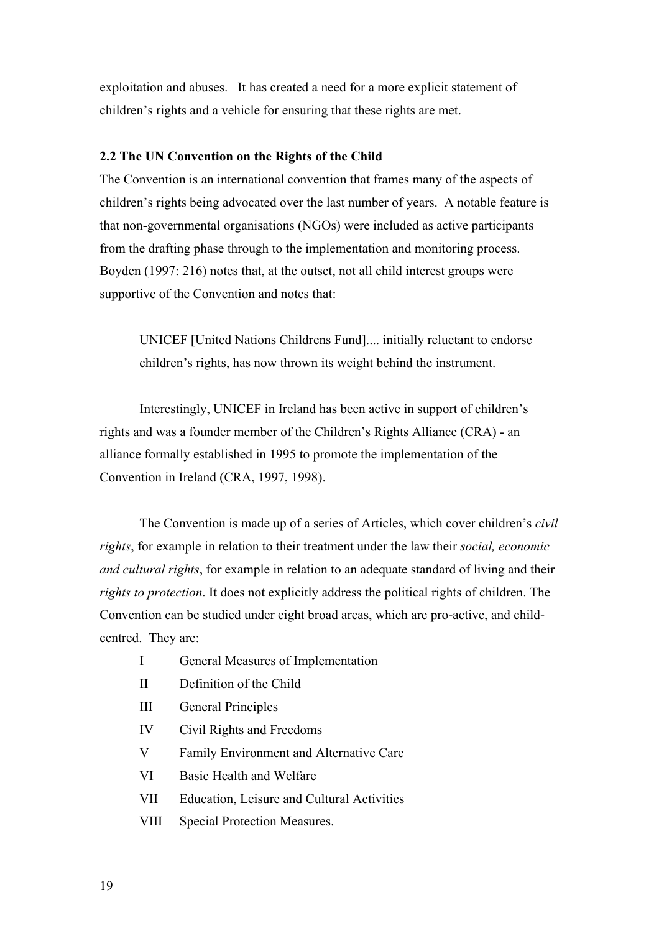<span id="page-19-0"></span>exploitation and abuses. It has created a need for a more explicit statement of children's rights and a vehicle for ensuring that these rights are met.

# **2.2 The UN Convention on the Rights of the Child**

The Convention is an international convention that frames many of the aspects of children's rights being advocated over the last number of years. A notable feature is that non-governmental organisations (NGOs) were included as active participants from the drafting phase through to the implementation and monitoring process. Boyden (1997: 216) notes that, at the outset, not all child interest groups were supportive of the Convention and notes that:

UNICEF [United Nations Childrens Fund].... initially reluctant to endorse children's rights, has now thrown its weight behind the instrument.

Interestingly, UNICEF in Ireland has been active in support of children's rights and was a founder member of the Children's Rights Alliance (CRA) - an alliance formally established in 1995 to promote the implementation of the Convention in Ireland (CRA, 1997, 1998).

The Convention is made up of a series of Articles, which cover children's *civil rights*, for example in relation to their treatment under the law their *social, economic and cultural rights*, for example in relation to an adequate standard of living and their *rights to protection*. It does not explicitly address the political rights of children. The Convention can be studied under eight broad areas, which are pro-active, and childcentred. They are:

- I General Measures of Implementation
- II Definition of the Child
- III General Principles
- IV Civil Rights and Freedoms
- V Family Environment and Alternative Care
- VI Basic Health and Welfare
- VII Education, Leisure and Cultural Activities
- VIII Special Protection Measures.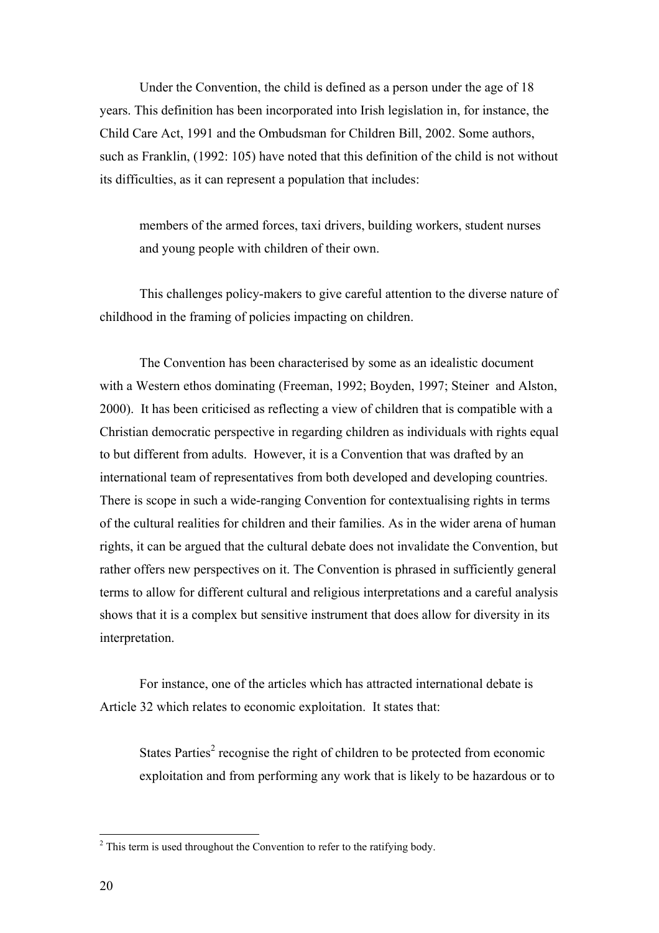Under the Convention, the child is defined as a person under the age of 18 years. This definition has been incorporated into Irish legislation in, for instance, the Child Care Act, 1991 and the Ombudsman for Children Bill, 2002. Some authors, such as Franklin, (1992: 105) have noted that this definition of the child is not without its difficulties, as it can represent a population that includes:

members of the armed forces, taxi drivers, building workers, student nurses and young people with children of their own.

This challenges policy-makers to give careful attention to the diverse nature of childhood in the framing of policies impacting on children.

The Convention has been characterised by some as an idealistic document with a Western ethos dominating (Freeman, 1992; Boyden, 1997; Steiner and Alston, 2000). It has been criticised as reflecting a view of children that is compatible with a Christian democratic perspective in regarding children as individuals with rights equal to but different from adults. However, it is a Convention that was drafted by an international team of representatives from both developed and developing countries. There is scope in such a wide-ranging Convention for contextualising rights in terms of the cultural realities for children and their families. As in the wider arena of human rights, it can be argued that the cultural debate does not invalidate the Convention, but rather offers new perspectives on it. The Convention is phrased in sufficiently general terms to allow for different cultural and religious interpretations and a careful analysis shows that it is a complex but sensitive instrument that does allow for diversity in its interpretation.

For instance, one of the articles which has attracted international debate is Article 32 which relates to economic exploitation. It states that:

States Parties<sup>[2](#page-20-0)</sup> recognise the right of children to be protected from economic exploitation and from performing any work that is likely to be hazardous or to

 $\overline{a}$ 

<span id="page-20-0"></span> $2^2$  This term is used throughout the Convention to refer to the ratifying body.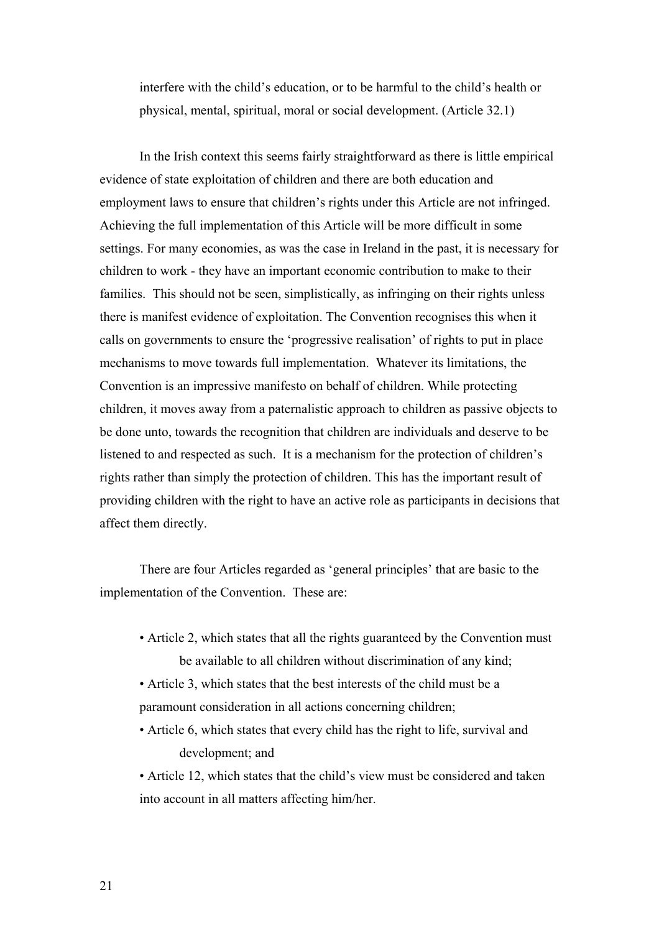interfere with the child's education, or to be harmful to the child's health or physical, mental, spiritual, moral or social development. (Article 32.1)

In the Irish context this seems fairly straightforward as there is little empirical evidence of state exploitation of children and there are both education and employment laws to ensure that children's rights under this Article are not infringed. Achieving the full implementation of this Article will be more difficult in some settings. For many economies, as was the case in Ireland in the past, it is necessary for children to work - they have an important economic contribution to make to their families. This should not be seen, simplistically, as infringing on their rights unless there is manifest evidence of exploitation. The Convention recognises this when it calls on governments to ensure the 'progressive realisation' of rights to put in place mechanisms to move towards full implementation. Whatever its limitations, the Convention is an impressive manifesto on behalf of children. While protecting children, it moves away from a paternalistic approach to children as passive objects to be done unto, towards the recognition that children are individuals and deserve to be listened to and respected as such. It is a mechanism for the protection of children's rights rather than simply the protection of children. This has the important result of providing children with the right to have an active role as participants in decisions that affect them directly.

There are four Articles regarded as 'general principles' that are basic to the implementation of the Convention. These are:

- Article 2, which states that all the rights guaranteed by the Convention must be available to all children without discrimination of any kind;
- Article 3, which states that the best interests of the child must be a paramount consideration in all actions concerning children;
- Article 6, which states that every child has the right to life, survival and development; and

• Article 12, which states that the child's view must be considered and taken into account in all matters affecting him/her.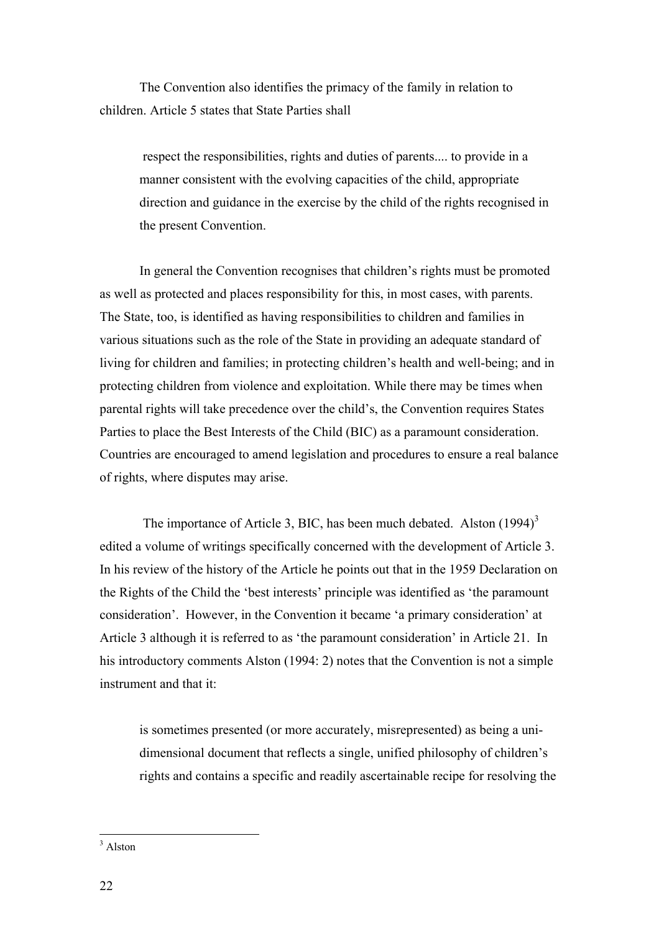The Convention also identifies the primacy of the family in relation to children. Article 5 states that State Parties shall

respect the responsibilities, rights and duties of parents.... to provide in a manner consistent with the evolving capacities of the child, appropriate direction and guidance in the exercise by the child of the rights recognised in the present Convention.

In general the Convention recognises that children's rights must be promoted as well as protected and places responsibility for this, in most cases, with parents. The State, too, is identified as having responsibilities to children and families in various situations such as the role of the State in providing an adequate standard of living for children and families; in protecting children's health and well-being; and in protecting children from violence and exploitation. While there may be times when parental rights will take precedence over the child's, the Convention requires States Parties to place the Best Interests of the Child (BIC) as a paramount consideration. Countries are encouraged to amend legislation and procedures to ensure a real balance of rights, where disputes may arise.

The importance of Article [3](#page-22-0), BIC, has been much debated. Alston  $(1994)^3$ edited a volume of writings specifically concerned with the development of Article 3. In his review of the history of the Article he points out that in the 1959 Declaration on the Rights of the Child the 'best interests' principle was identified as 'the paramount consideration'. However, in the Convention it became 'a primary consideration' at Article 3 although it is referred to as 'the paramount consideration' in Article 21. In his introductory comments Alston (1994: 2) notes that the Convention is not a simple instrument and that it:

is sometimes presented (or more accurately, misrepresented) as being a unidimensional document that reflects a single, unified philosophy of children's rights and contains a specific and readily ascertainable recipe for resolving the

<span id="page-22-0"></span><sup>3</sup> Alston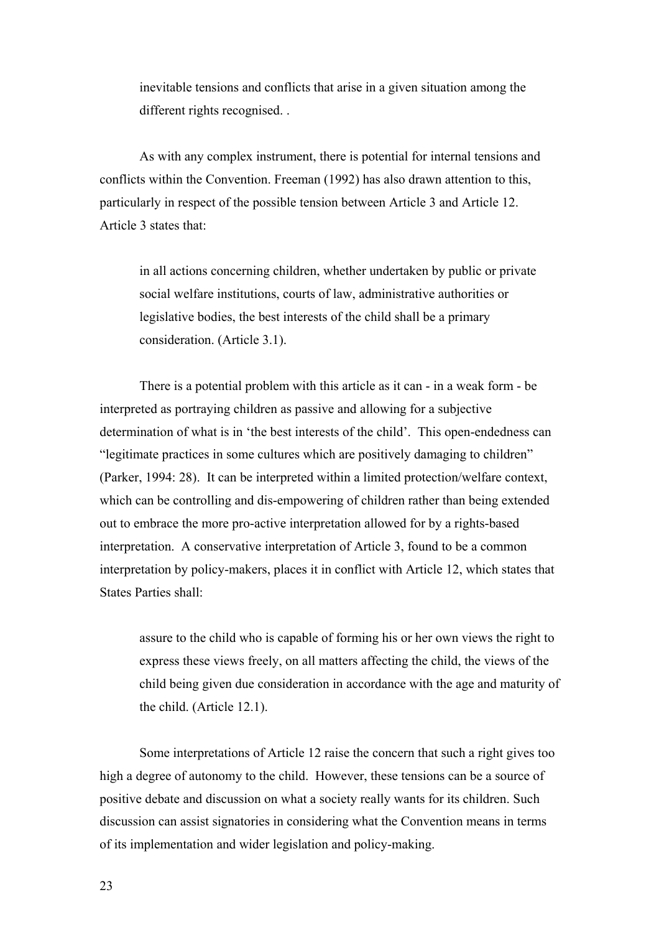inevitable tensions and conflicts that arise in a given situation among the different rights recognised. .

As with any complex instrument, there is potential for internal tensions and conflicts within the Convention. Freeman (1992) has also drawn attention to this, particularly in respect of the possible tension between Article 3 and Article 12. Article 3 states that:

in all actions concerning children, whether undertaken by public or private social welfare institutions, courts of law, administrative authorities or legislative bodies, the best interests of the child shall be a primary consideration. (Article 3.1).

There is a potential problem with this article as it can - in a weak form - be interpreted as portraying children as passive and allowing for a subjective determination of what is in 'the best interests of the child'. This open-endedness can "legitimate practices in some cultures which are positively damaging to children" (Parker, 1994: 28). It can be interpreted within a limited protection/welfare context, which can be controlling and dis-empowering of children rather than being extended out to embrace the more pro-active interpretation allowed for by a rights-based interpretation. A conservative interpretation of Article 3, found to be a common interpretation by policy-makers, places it in conflict with Article 12, which states that States Parties shall:

assure to the child who is capable of forming his or her own views the right to express these views freely, on all matters affecting the child, the views of the child being given due consideration in accordance with the age and maturity of the child. (Article 12.1).

Some interpretations of Article 12 raise the concern that such a right gives too high a degree of autonomy to the child. However, these tensions can be a source of positive debate and discussion on what a society really wants for its children. Such discussion can assist signatories in considering what the Convention means in terms of its implementation and wider legislation and policy-making.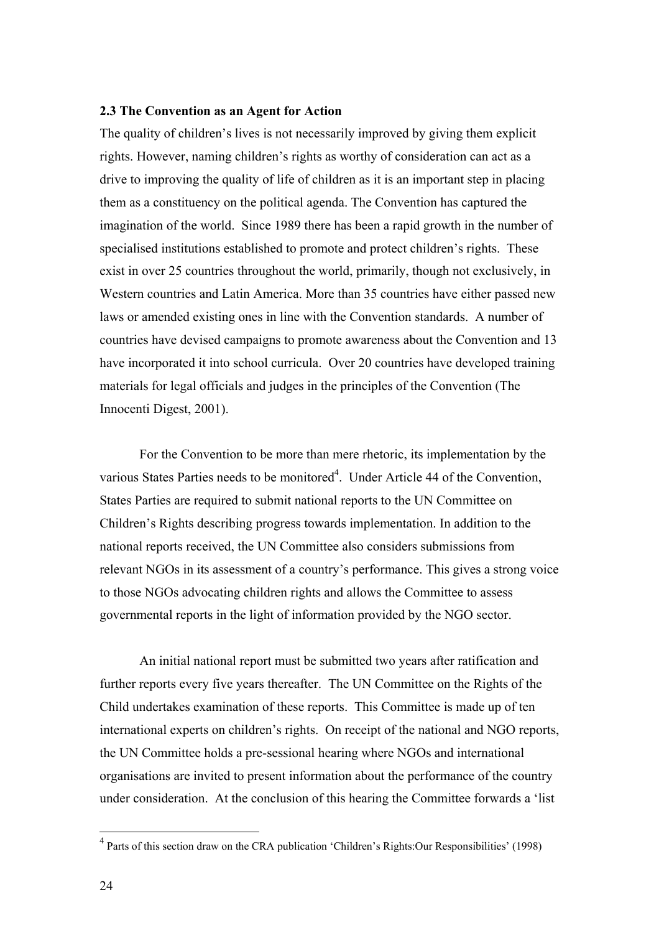#### <span id="page-24-0"></span>**2.3 The Convention as an Agent for Action**

The quality of children's lives is not necessarily improved by giving them explicit rights. However, naming children's rights as worthy of consideration can act as a drive to improving the quality of life of children as it is an important step in placing them as a constituency on the political agenda. The Convention has captured the imagination of the world. Since 1989 there has been a rapid growth in the number of specialised institutions established to promote and protect children's rights. These exist in over 25 countries throughout the world, primarily, though not exclusively, in Western countries and Latin America. More than 35 countries have either passed new laws or amended existing ones in line with the Convention standards. A number of countries have devised campaigns to promote awareness about the Convention and 13 have incorporated it into school curricula. Over 20 countries have developed training materials for legal officials and judges in the principles of the Convention (The Innocenti Digest, 2001).

For the Convention to be more than mere rhetoric, its implementation by the various States Parties needs to be monitored<sup>4</sup>. Under Article 44 of the Convention, States Parties are required to submit national reports to the UN Committee on Children's Rights describing progress towards implementation. In addition to the national reports received, the UN Committee also considers submissions from relevant NGOs in its assessment of a country's performance. This gives a strong voice to those NGOs advocating children rights and allows the Committee to assess governmental reports in the light of information provided by the NGO sector.

An initial national report must be submitted two years after ratification and further reports every five years thereafter. The UN Committee on the Rights of the Child undertakes examination of these reports. This Committee is made up of ten international experts on children's rights. On receipt of the national and NGO reports, the UN Committee holds a pre-sessional hearing where NGOs and international organisations are invited to present information about the performance of the country under consideration. At the conclusion of this hearing the Committee forwards a 'list

 $\overline{a}$ 

<span id="page-24-1"></span><sup>&</sup>lt;sup>4</sup> Parts of this section draw on the CRA publication 'Children's Rights:Our Responsibilities' (1998)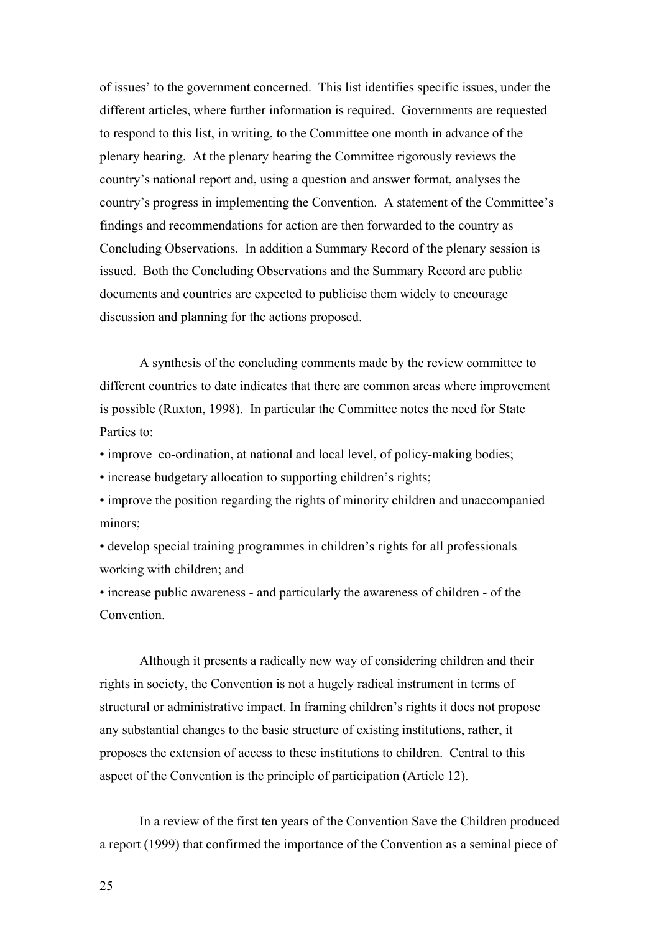of issues' to the government concerned. This list identifies specific issues, under the different articles, where further information is required. Governments are requested to respond to this list, in writing, to the Committee one month in advance of the plenary hearing. At the plenary hearing the Committee rigorously reviews the country's national report and, using a question and answer format, analyses the country's progress in implementing the Convention. A statement of the Committee's findings and recommendations for action are then forwarded to the country as Concluding Observations. In addition a Summary Record of the plenary session is issued. Both the Concluding Observations and the Summary Record are public documents and countries are expected to publicise them widely to encourage discussion and planning for the actions proposed.

A synthesis of the concluding comments made by the review committee to different countries to date indicates that there are common areas where improvement is possible (Ruxton, 1998). In particular the Committee notes the need for State Parties to:

• improve co-ordination, at national and local level, of policy-making bodies;

• increase budgetary allocation to supporting children's rights;

• improve the position regarding the rights of minority children and unaccompanied minors;

• develop special training programmes in children's rights for all professionals working with children; and

• increase public awareness - and particularly the awareness of children - of the **Convention** 

Although it presents a radically new way of considering children and their rights in society, the Convention is not a hugely radical instrument in terms of structural or administrative impact. In framing children's rights it does not propose any substantial changes to the basic structure of existing institutions, rather, it proposes the extension of access to these institutions to children. Central to this aspect of the Convention is the principle of participation (Article 12).

In a review of the first ten years of the Convention Save the Children produced a report (1999) that confirmed the importance of the Convention as a seminal piece of

25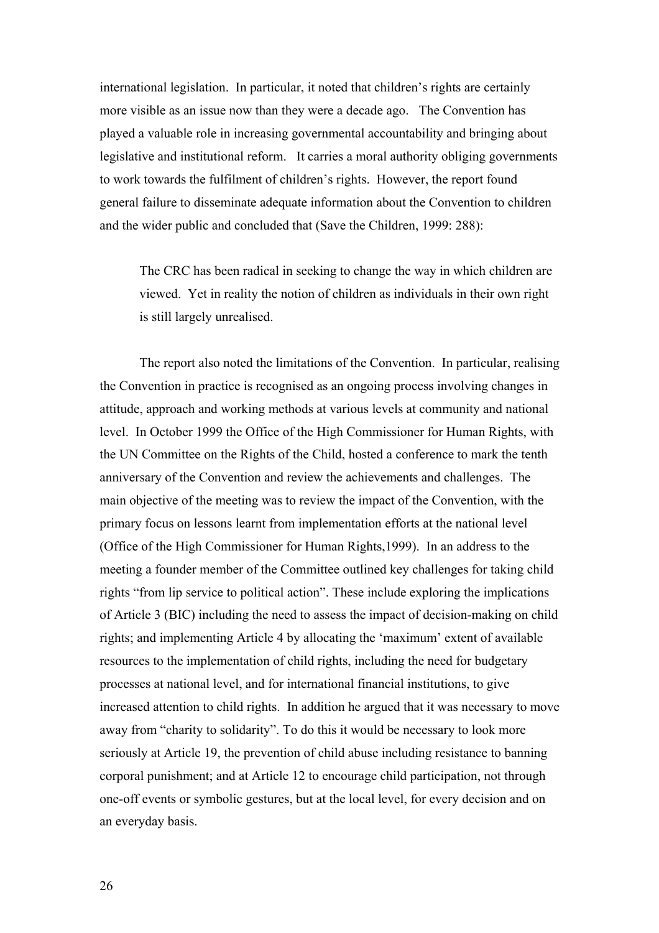international legislation. In particular, it noted that children's rights are certainly more visible as an issue now than they were a decade ago. The Convention has played a valuable role in increasing governmental accountability and bringing about legislative and institutional reform. It carries a moral authority obliging governments to work towards the fulfilment of children's rights. However, the report found general failure to disseminate adequate information about the Convention to children and the wider public and concluded that (Save the Children, 1999: 288):

The CRC has been radical in seeking to change the way in which children are viewed. Yet in reality the notion of children as individuals in their own right is still largely unrealised.

The report also noted the limitations of the Convention. In particular, realising the Convention in practice is recognised as an ongoing process involving changes in attitude, approach and working methods at various levels at community and national level. In October 1999 the Office of the High Commissioner for Human Rights, with the UN Committee on the Rights of the Child, hosted a conference to mark the tenth anniversary of the Convention and review the achievements and challenges. The main objective of the meeting was to review the impact of the Convention, with the primary focus on lessons learnt from implementation efforts at the national level (Office of the High Commissioner for Human Rights,1999). In an address to the meeting a founder member of the Committee outlined key challenges for taking child rights "from lip service to political action". These include exploring the implications of Article 3 (BIC) including the need to assess the impact of decision-making on child rights; and implementing Article 4 by allocating the 'maximum' extent of available resources to the implementation of child rights, including the need for budgetary processes at national level, and for international financial institutions, to give increased attention to child rights. In addition he argued that it was necessary to move away from "charity to solidarity". To do this it would be necessary to look more seriously at Article 19, the prevention of child abuse including resistance to banning corporal punishment; and at Article 12 to encourage child participation, not through one-off events or symbolic gestures, but at the local level, for every decision and on an everyday basis.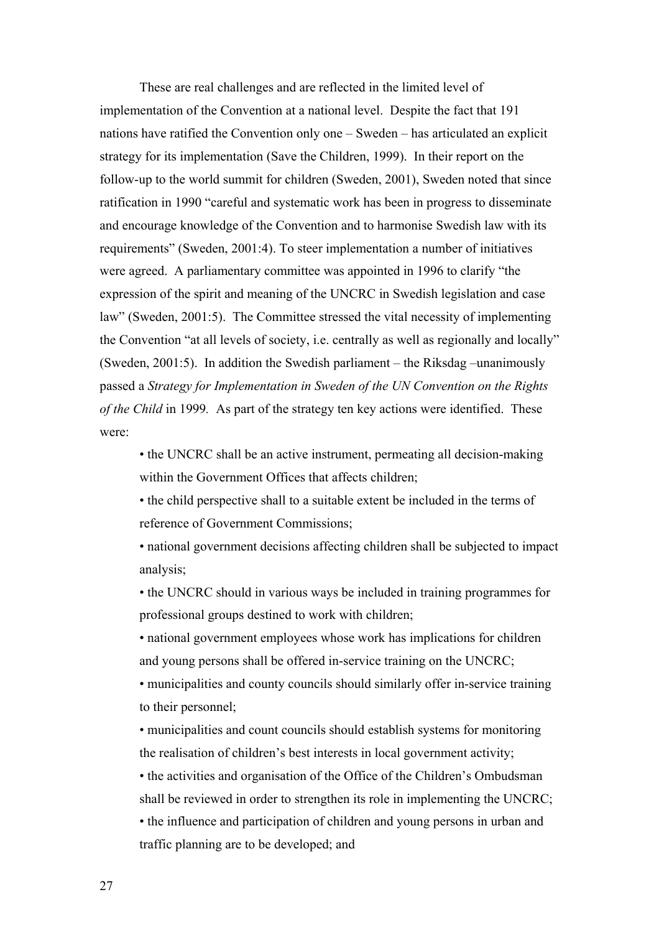These are real challenges and are reflected in the limited level of implementation of the Convention at a national level. Despite the fact that 191 nations have ratified the Convention only one – Sweden – has articulated an explicit strategy for its implementation (Save the Children, 1999). In their report on the follow-up to the world summit for children (Sweden, 2001), Sweden noted that since ratification in 1990 "careful and systematic work has been in progress to disseminate and encourage knowledge of the Convention and to harmonise Swedish law with its requirements" (Sweden, 2001:4). To steer implementation a number of initiatives were agreed. A parliamentary committee was appointed in 1996 to clarify "the expression of the spirit and meaning of the UNCRC in Swedish legislation and case law" (Sweden, 2001:5). The Committee stressed the vital necessity of implementing the Convention "at all levels of society, i.e. centrally as well as regionally and locally" (Sweden, 2001:5). In addition the Swedish parliament – the Riksdag –unanimously passed a *Strategy for Implementation in Sweden of the UN Convention on the Rights of the Child* in 1999*.* As part of the strategy ten key actions were identified. These were:

• the UNCRC shall be an active instrument, permeating all decision-making within the Government Offices that affects children;

• the child perspective shall to a suitable extent be included in the terms of reference of Government Commissions;

• national government decisions affecting children shall be subjected to impact analysis;

• the UNCRC should in various ways be included in training programmes for professional groups destined to work with children;

• national government employees whose work has implications for children and young persons shall be offered in-service training on the UNCRC;

• municipalities and county councils should similarly offer in-service training to their personnel;

• municipalities and count councils should establish systems for monitoring the realisation of children's best interests in local government activity;

• the activities and organisation of the Office of the Children's Ombudsman shall be reviewed in order to strengthen its role in implementing the UNCRC; • the influence and participation of children and young persons in urban and traffic planning are to be developed; and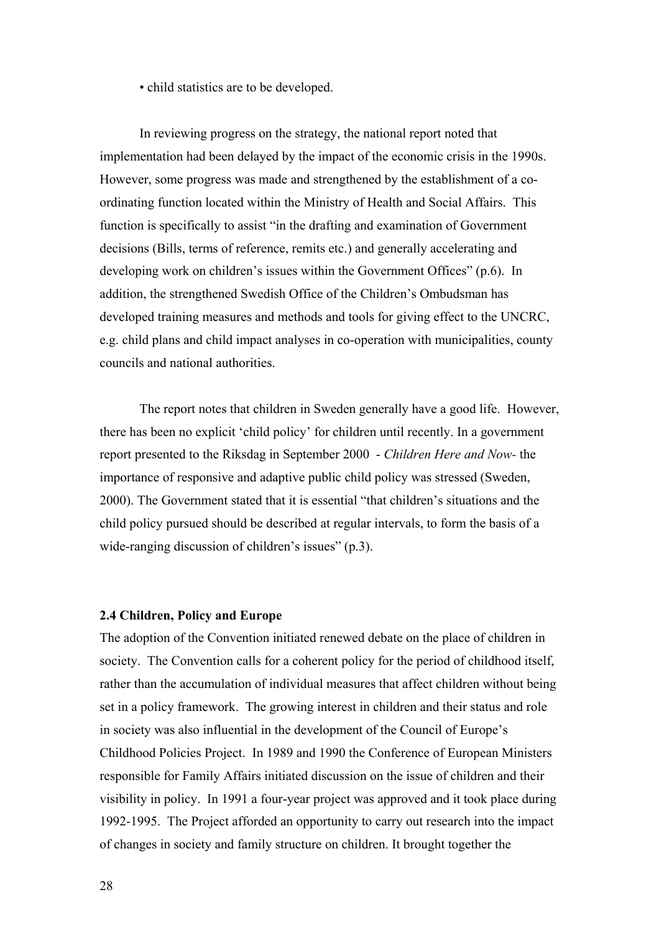• child statistics are to be developed.

<span id="page-28-0"></span>In reviewing progress on the strategy, the national report noted that implementation had been delayed by the impact of the economic crisis in the 1990s. However, some progress was made and strengthened by the establishment of a coordinating function located within the Ministry of Health and Social Affairs. This function is specifically to assist "in the drafting and examination of Government decisions (Bills, terms of reference, remits etc.) and generally accelerating and developing work on children's issues within the Government Offices" (p.6). In addition, the strengthened Swedish Office of the Children's Ombudsman has developed training measures and methods and tools for giving effect to the UNCRC, e.g. child plans and child impact analyses in co-operation with municipalities, county councils and national authorities.

The report notes that children in Sweden generally have a good life. However, there has been no explicit 'child policy' for children until recently. In a government report presented to the Riksdag in September 2000 - *Children Here and Now-* the importance of responsive and adaptive public child policy was stressed (Sweden, 2000). The Government stated that it is essential "that children's situations and the child policy pursued should be described at regular intervals, to form the basis of a wide-ranging discussion of children's issues" (p.3).

#### **2.4 Children, Policy and Europe**

The adoption of the Convention initiated renewed debate on the place of children in society. The Convention calls for a coherent policy for the period of childhood itself, rather than the accumulation of individual measures that affect children without being set in a policy framework. The growing interest in children and their status and role in society was also influential in the development of the Council of Europe's Childhood Policies Project. In 1989 and 1990 the Conference of European Ministers responsible for Family Affairs initiated discussion on the issue of children and their visibility in policy. In 1991 a four-year project was approved and it took place during 1992-1995. The Project afforded an opportunity to carry out research into the impact of changes in society and family structure on children. It brought together the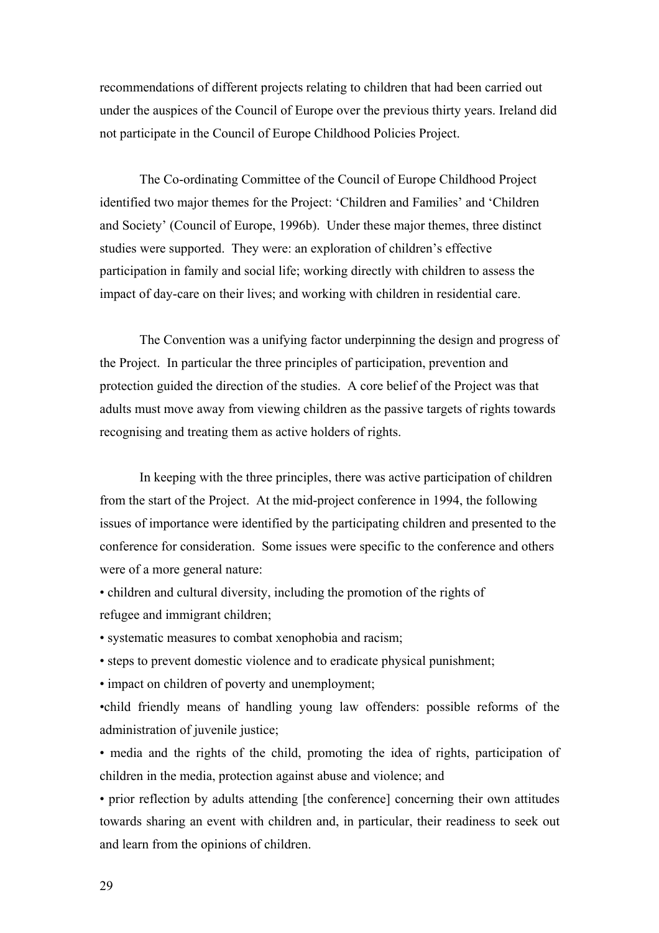recommendations of different projects relating to children that had been carried out under the auspices of the Council of Europe over the previous thirty years. Ireland did not participate in the Council of Europe Childhood Policies Project.

The Co-ordinating Committee of the Council of Europe Childhood Project identified two major themes for the Project: 'Children and Families' and 'Children and Society' (Council of Europe, 1996b). Under these major themes, three distinct studies were supported. They were: an exploration of children's effective participation in family and social life; working directly with children to assess the impact of day-care on their lives; and working with children in residential care.

The Convention was a unifying factor underpinning the design and progress of the Project. In particular the three principles of participation, prevention and protection guided the direction of the studies. A core belief of the Project was that adults must move away from viewing children as the passive targets of rights towards recognising and treating them as active holders of rights.

In keeping with the three principles, there was active participation of children from the start of the Project. At the mid-project conference in 1994, the following issues of importance were identified by the participating children and presented to the conference for consideration. Some issues were specific to the conference and others were of a more general nature:

• children and cultural diversity, including the promotion of the rights of refugee and immigrant children;

• systematic measures to combat xenophobia and racism;

• steps to prevent domestic violence and to eradicate physical punishment;

• impact on children of poverty and unemployment;

•child friendly means of handling young law offenders: possible reforms of the administration of juvenile justice;

• media and the rights of the child, promoting the idea of rights, participation of children in the media, protection against abuse and violence; and

• prior reflection by adults attending [the conference] concerning their own attitudes towards sharing an event with children and, in particular, their readiness to seek out and learn from the opinions of children.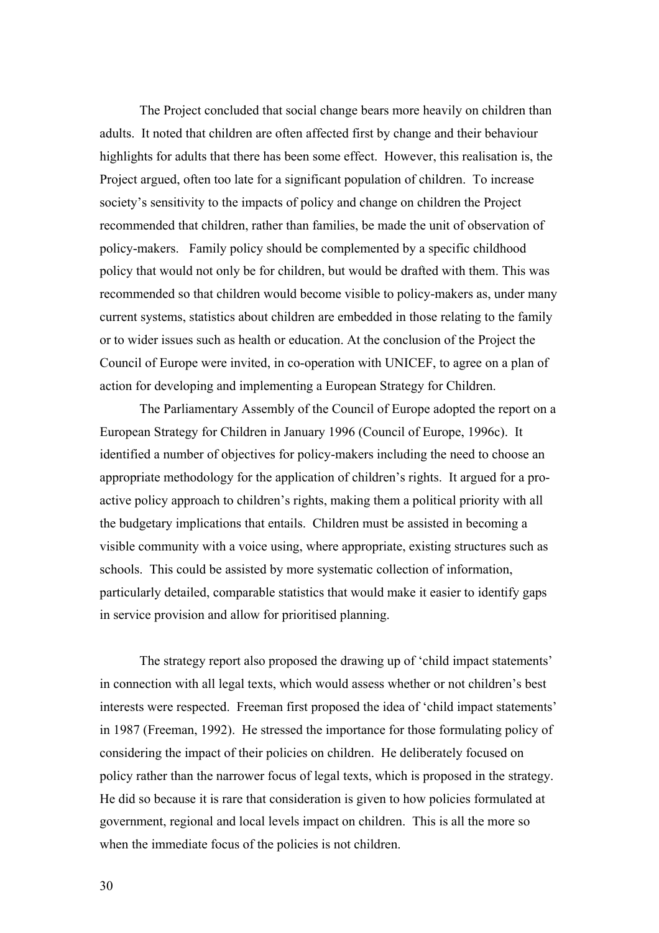The Project concluded that social change bears more heavily on children than adults. It noted that children are often affected first by change and their behaviour highlights for adults that there has been some effect. However, this realisation is, the Project argued, often too late for a significant population of children. To increase society's sensitivity to the impacts of policy and change on children the Project recommended that children, rather than families, be made the unit of observation of policy-makers. Family policy should be complemented by a specific childhood policy that would not only be for children, but would be drafted with them. This was recommended so that children would become visible to policy-makers as, under many current systems, statistics about children are embedded in those relating to the family or to wider issues such as health or education. At the conclusion of the Project the Council of Europe were invited, in co-operation with UNICEF, to agree on a plan of action for developing and implementing a European Strategy for Children.

The Parliamentary Assembly of the Council of Europe adopted the report on a European Strategy for Children in January 1996 (Council of Europe, 1996c). It identified a number of objectives for policy-makers including the need to choose an appropriate methodology for the application of children's rights. It argued for a proactive policy approach to children's rights, making them a political priority with all the budgetary implications that entails. Children must be assisted in becoming a visible community with a voice using, where appropriate, existing structures such as schools. This could be assisted by more systematic collection of information, particularly detailed, comparable statistics that would make it easier to identify gaps in service provision and allow for prioritised planning.

The strategy report also proposed the drawing up of 'child impact statements' in connection with all legal texts, which would assess whether or not children's best interests were respected. Freeman first proposed the idea of 'child impact statements' in 1987 (Freeman, 1992). He stressed the importance for those formulating policy of considering the impact of their policies on children. He deliberately focused on policy rather than the narrower focus of legal texts, which is proposed in the strategy. He did so because it is rare that consideration is given to how policies formulated at government, regional and local levels impact on children. This is all the more so when the immediate focus of the policies is not children.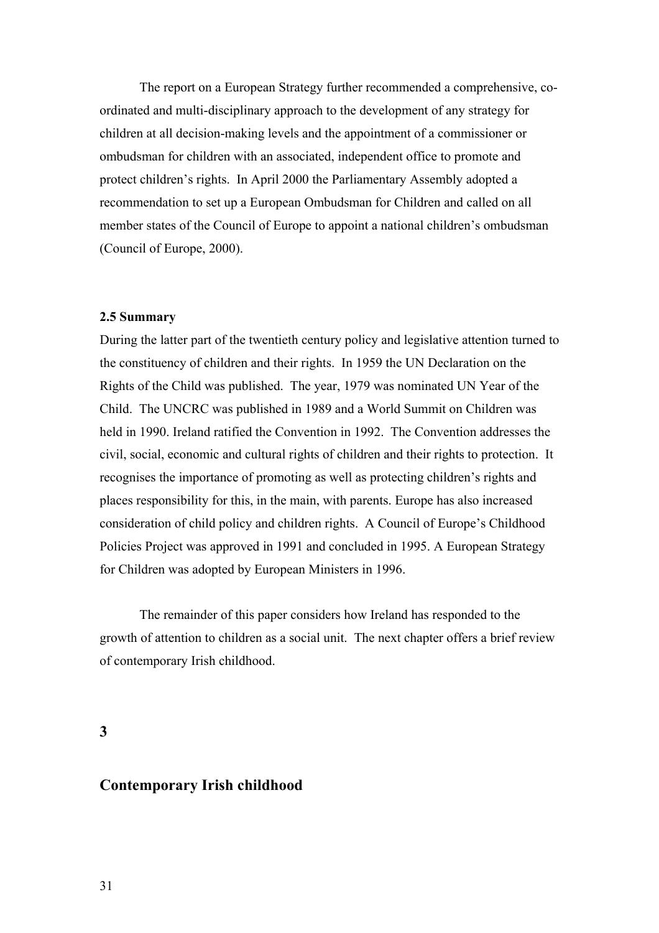<span id="page-31-0"></span>The report on a European Strategy further recommended a comprehensive, coordinated and multi-disciplinary approach to the development of any strategy for children at all decision-making levels and the appointment of a commissioner or ombudsman for children with an associated, independent office to promote and protect children's rights. In April 2000 the Parliamentary Assembly adopted a recommendation to set up a European Ombudsman for Children and called on all member states of the Council of Europe to appoint a national children's ombudsman (Council of Europe, 2000).

## **2.5 Summary**

During the latter part of the twentieth century policy and legislative attention turned to the constituency of children and their rights. In 1959 the UN Declaration on the Rights of the Child was published. The year, 1979 was nominated UN Year of the Child. The UNCRC was published in 1989 and a World Summit on Children was held in 1990. Ireland ratified the Convention in 1992. The Convention addresses the civil, social, economic and cultural rights of children and their rights to protection. It recognises the importance of promoting as well as protecting children's rights and places responsibility for this, in the main, with parents. Europe has also increased consideration of child policy and children rights. A Council of Europe's Childhood Policies Project was approved in 1991 and concluded in 1995. A European Strategy for Children was adopted by European Ministers in 1996.

The remainder of this paper considers how Ireland has responded to the growth of attention to children as a social unit. The next chapter offers a brief review of contemporary Irish childhood.

**3** 

# **Contemporary Irish childhood**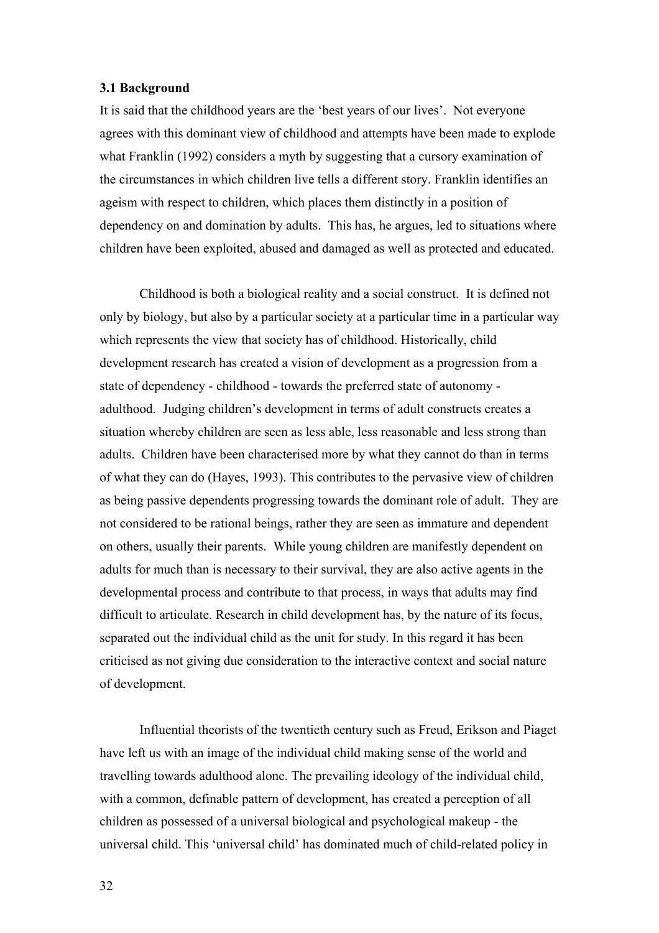### <span id="page-32-0"></span>**3.1 Background**

It is said that the childhood years are the 'best years of our lives'. Not everyone agrees with this dominant view of childhood and attempts have been made to explode what Franklin (1992) considers a myth by suggesting that a cursory examination of the circumstances in which children live tells a different story. Franklin identifies an ageism with respect to children, which places them distinctly in a position of dependency on and domination by adults. This has, he argues, led to situations where children have been exploited, abused and damaged as well as protected and educated.

Childhood is both a biological reality and a social construct. It is defined not only by biology, but also by a particular society at a particular time in a particular way which represents the view that society has of childhood. Historically, child development research has created a vision of development as a progression from a state of dependency - childhood - towards the preferred state of autonomy adulthood. Judging children's development in terms of adult constructs creates a situation whereby children are seen as less able, less reasonable and less strong than adults. Children have been characterised more by what they cannot do than in terms of what they can do (Hayes, 1993). This contributes to the pervasive view of children as being passive dependents progressing towards the dominant role of adult. They are not considered to be rational beings, rather they are seen as immature and dependent on others, usually their parents. While young children are manifestly dependent on adults for much than is necessary to their survival, they are also active agents in the developmental process and contribute to that process, in ways that adults may find difficult to articulate. Research in child development has, by the nature of its focus, separated out the individual child as the unit for study. In this regard it has been criticised as not giving due consideration to the interactive context and social nature of development.

Influential theorists of the twentieth century such as Freud, Erikson and Piaget have left us with an image of the individual child making sense of the world and travelling towards adulthood alone. The prevailing ideology of the individual child, with a common, definable pattern of development, has created a perception of all children as possessed of a universal biological and psychological makeup - the universal child. This 'universal child' has dominated much of child-related policy in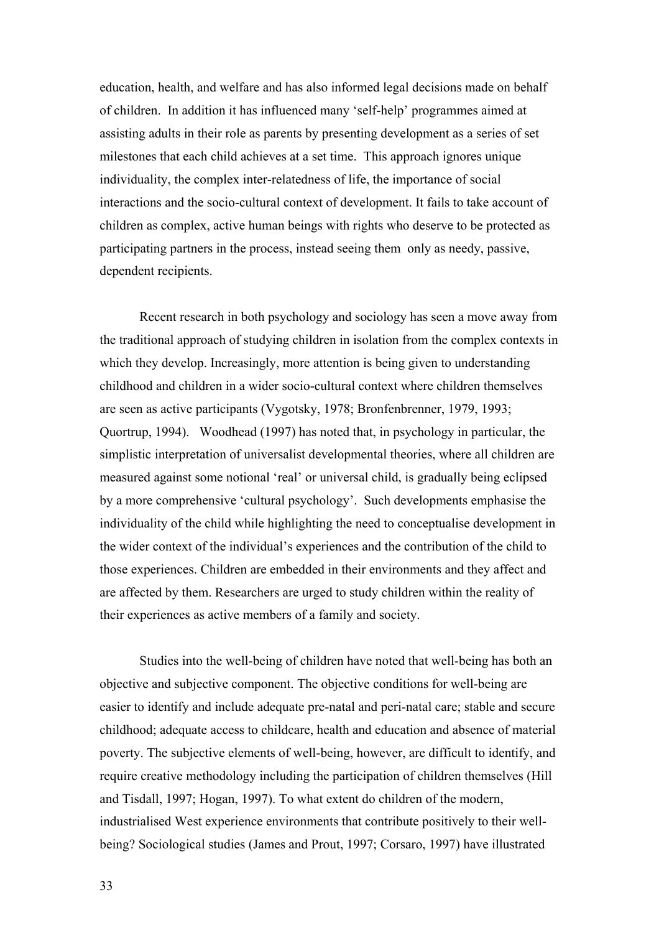education, health, and welfare and has also informed legal decisions made on behalf of children. In addition it has influenced many 'self-help' programmes aimed at assisting adults in their role as parents by presenting development as a series of set milestones that each child achieves at a set time. This approach ignores unique individuality, the complex inter-relatedness of life, the importance of social interactions and the socio-cultural context of development. It fails to take account of children as complex, active human beings with rights who deserve to be protected as participating partners in the process, instead seeing them only as needy, passive, dependent recipients.

Recent research in both psychology and sociology has seen a move away from the traditional approach of studying children in isolation from the complex contexts in which they develop. Increasingly, more attention is being given to understanding childhood and children in a wider socio-cultural context where children themselves are seen as active participants (Vygotsky, 1978; Bronfenbrenner, 1979, 1993; Quortrup, 1994). Woodhead (1997) has noted that, in psychology in particular, the simplistic interpretation of universalist developmental theories, where all children are measured against some notional 'real' or universal child, is gradually being eclipsed by a more comprehensive 'cultural psychology'. Such developments emphasise the individuality of the child while highlighting the need to conceptualise development in the wider context of the individual's experiences and the contribution of the child to those experiences. Children are embedded in their environments and they affect and are affected by them. Researchers are urged to study children within the reality of their experiences as active members of a family and society.

Studies into the well-being of children have noted that well-being has both an objective and subjective component. The objective conditions for well-being are easier to identify and include adequate pre-natal and peri-natal care; stable and secure childhood; adequate access to childcare, health and education and absence of material poverty. The subjective elements of well-being, however, are difficult to identify, and require creative methodology including the participation of children themselves (Hill and Tisdall, 1997; Hogan, 1997). To what extent do children of the modern, industrialised West experience environments that contribute positively to their wellbeing? Sociological studies (James and Prout, 1997; Corsaro, 1997) have illustrated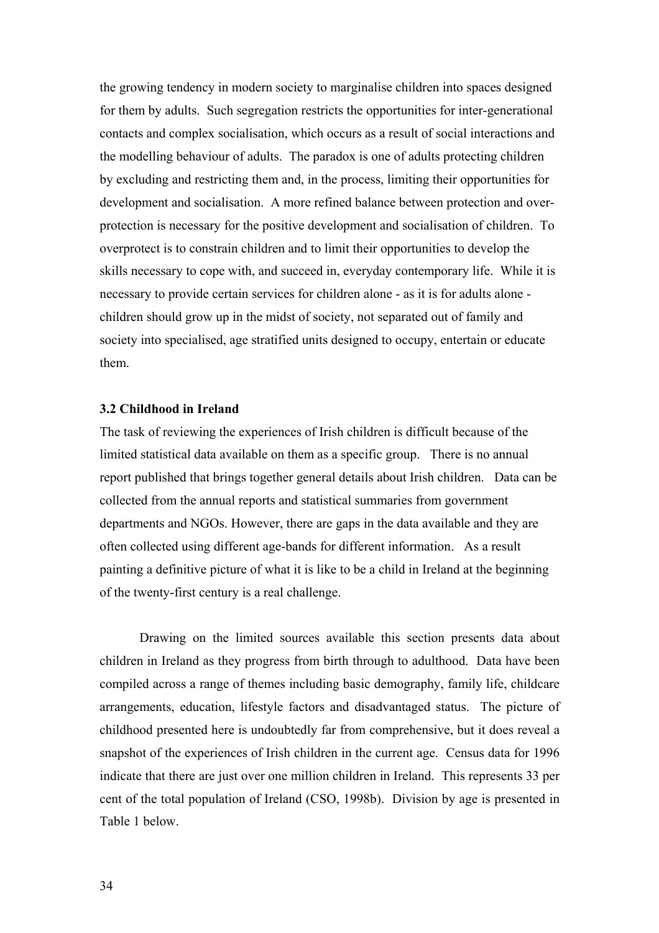<span id="page-34-0"></span>the growing tendency in modern society to marginalise children into spaces designed for them by adults. Such segregation restricts the opportunities for inter-generational contacts and complex socialisation, which occurs as a result of social interactions and the modelling behaviour of adults. The paradox is one of adults protecting children by excluding and restricting them and, in the process, limiting their opportunities for development and socialisation. A more refined balance between protection and overprotection is necessary for the positive development and socialisation of children. To overprotect is to constrain children and to limit their opportunities to develop the skills necessary to cope with, and succeed in, everyday contemporary life. While it is necessary to provide certain services for children alone - as it is for adults alone children should grow up in the midst of society, not separated out of family and society into specialised, age stratified units designed to occupy, entertain or educate them.

# **3.2 Childhood in Ireland**

The task of reviewing the experiences of Irish children is difficult because of the limited statistical data available on them as a specific group. There is no annual report published that brings together general details about Irish children. Data can be collected from the annual reports and statistical summaries from government departments and NGOs. However, there are gaps in the data available and they are often collected using different age-bands for different information. As a result painting a definitive picture of what it is like to be a child in Ireland at the beginning of the twenty-first century is a real challenge.

Drawing on the limited sources available this section presents data about children in Ireland as they progress from birth through to adulthood. Data have been compiled across a range of themes including basic demography, family life, childcare arrangements, education, lifestyle factors and disadvantaged status. The picture of childhood presented here is undoubtedly far from comprehensive, but it does reveal a snapshot of the experiences of Irish children in the current age. Census data for 1996 indicate that there are just over one million children in Ireland. This represents 33 per cent of the total population of Ireland (CSO, 1998b). Division by age is presented in Table 1 below.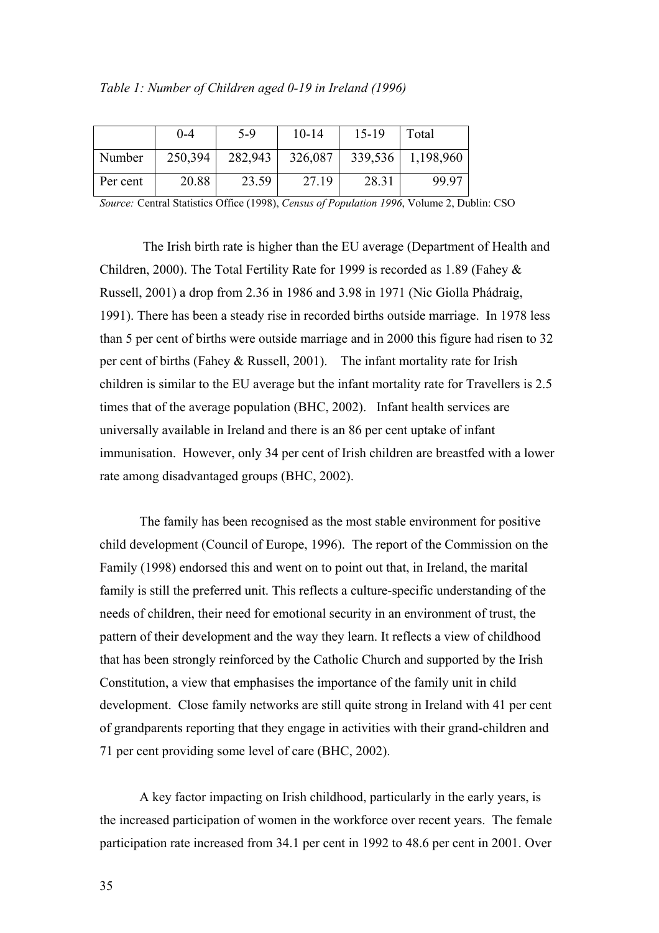|          | 0-4     | $5-9$   | $10 - 14$ | $15-19$ | Total     |
|----------|---------|---------|-----------|---------|-----------|
| Number   | 250,394 | 282,943 | 326,087   | 339,536 | 1,198,960 |
| Per cent | 20.88   | 23.59   | 27.19     | 28.31   | 99.97     |

*Source:* Central Statistics Office (1998), *Census of Population 1996*, Volume 2, Dublin: CSO

 The Irish birth rate is higher than the EU average (Department of Health and Children, 2000). The Total Fertility Rate for 1999 is recorded as 1.89 (Fahey & Russell, 2001) a drop from 2.36 in 1986 and 3.98 in 1971 (Nic Giolla Phádraig, 1991). There has been a steady rise in recorded births outside marriage. In 1978 less than 5 per cent of births were outside marriage and in 2000 this figure had risen to 32 per cent of births (Fahey & Russell, 2001). The infant mortality rate for Irish children is similar to the EU average but the infant mortality rate for Travellers is 2.5 times that of the average population (BHC, 2002). Infant health services are universally available in Ireland and there is an 86 per cent uptake of infant immunisation. However, only 34 per cent of Irish children are breastfed with a lower rate among disadvantaged groups (BHC, 2002).

The family has been recognised as the most stable environment for positive child development (Council of Europe, 1996). The report of the Commission on the Family (1998) endorsed this and went on to point out that, in Ireland, the marital family is still the preferred unit. This reflects a culture-specific understanding of the needs of children, their need for emotional security in an environment of trust, the pattern of their development and the way they learn. It reflects a view of childhood that has been strongly reinforced by the Catholic Church and supported by the Irish Constitution, a view that emphasises the importance of the family unit in child development. Close family networks are still quite strong in Ireland with 41 per cent of grandparents reporting that they engage in activities with their grand-children and 71 per cent providing some level of care (BHC, 2002).

A key factor impacting on Irish childhood, particularly in the early years, is the increased participation of women in the workforce over recent years. The female participation rate increased from 34.1 per cent in 1992 to 48.6 per cent in 2001. Over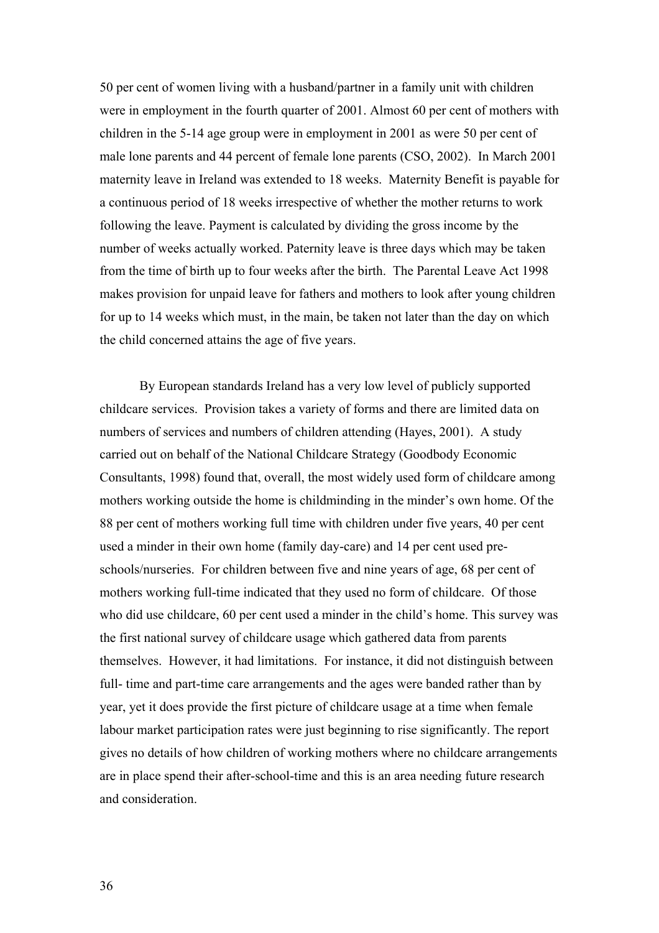50 per cent of women living with a husband/partner in a family unit with children were in employment in the fourth quarter of 2001. Almost 60 per cent of mothers with children in the 5-14 age group were in employment in 2001 as were 50 per cent of male lone parents and 44 percent of female lone parents (CSO, 2002). In March 2001 maternity leave in Ireland was extended to 18 weeks. Maternity Benefit is payable for a continuous period of 18 weeks irrespective of whether the mother returns to work following the leave. Payment is calculated by dividing the gross income by the number of weeks actually worked. Paternity leave is three days which may be taken from the time of birth up to four weeks after the birth. The Parental Leave Act 1998 makes provision for unpaid leave for fathers and mothers to look after young children for up to 14 weeks which must, in the main, be taken not later than the day on which the child concerned attains the age of five years.

By European standards Ireland has a very low level of publicly supported childcare services. Provision takes a variety of forms and there are limited data on numbers of services and numbers of children attending (Hayes, 2001). A study carried out on behalf of the National Childcare Strategy (Goodbody Economic Consultants, 1998) found that, overall, the most widely used form of childcare among mothers working outside the home is childminding in the minder's own home. Of the 88 per cent of mothers working full time with children under five years, 40 per cent used a minder in their own home (family day-care) and 14 per cent used preschools/nurseries. For children between five and nine years of age, 68 per cent of mothers working full-time indicated that they used no form of childcare. Of those who did use childcare, 60 per cent used a minder in the child's home. This survey was the first national survey of childcare usage which gathered data from parents themselves. However, it had limitations. For instance, it did not distinguish between full- time and part-time care arrangements and the ages were banded rather than by year, yet it does provide the first picture of childcare usage at a time when female labour market participation rates were just beginning to rise significantly. The report gives no details of how children of working mothers where no childcare arrangements are in place spend their after-school-time and this is an area needing future research and consideration.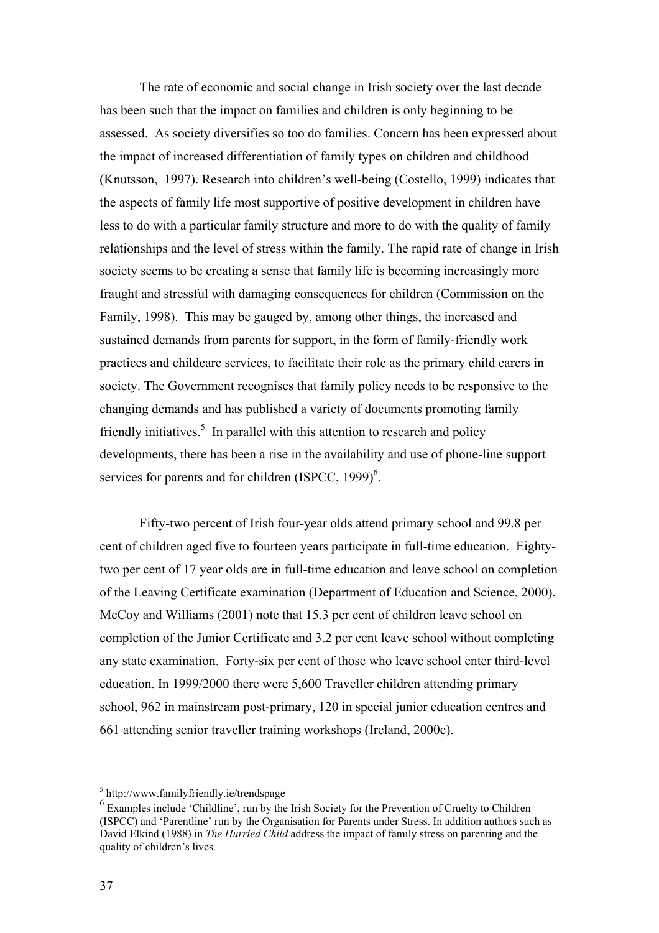The rate of economic and social change in Irish society over the last decade has been such that the impact on families and children is only beginning to be assessed. As society diversifies so too do families. Concern has been expressed about the impact of increased differentiation of family types on children and childhood (Knutsson, 1997). Research into children's well-being (Costello, 1999) indicates that the aspects of family life most supportive of positive development in children have less to do with a particular family structure and more to do with the quality of family relationships and the level of stress within the family. The rapid rate of change in Irish society seems to be creating a sense that family life is becoming increasingly more fraught and stressful with damaging consequences for children (Commission on the Family, 1998). This may be gauged by, among other things, the increased and sustained demands from parents for support, in the form of family-friendly work practices and childcare services, to facilitate their role as the primary child carers in society. The Government recognises that family policy needs to be responsive to the changing demands and has published a variety of documents promoting family friendlyinitiatives.<sup>5</sup> In parallel with this attention to research and policy developments, there has been a rise in the availability and use of phone-line support services for parents and for children  $(ISPCC, 1999)^6$  $(ISPCC, 1999)^6$ .

Fifty-two percent of Irish four-year olds attend primary school and 99.8 per cent of children aged five to fourteen years participate in full-time education. Eightytwo per cent of 17 year olds are in full-time education and leave school on completion of the Leaving Certificate examination (Department of Education and Science, 2000). McCoy and Williams (2001) note that 15.3 per cent of children leave school on completion of the Junior Certificate and 3.2 per cent leave school without completing any state examination. Forty-six per cent of those who leave school enter third-level education. In 1999/2000 there were 5,600 Traveller children attending primary school, 962 in mainstream post-primary, 120 in special junior education centres and 661 attending senior traveller training workshops (Ireland, 2000c).

 $\overline{a}$ 

<span id="page-37-0"></span><sup>&</sup>lt;sup>5</sup> http://www.familyfriendly.ie/trendspage

<span id="page-37-1"></span> $6$  Examples include 'Childline', run by the Irish Society for the Prevention of Cruelty to Children (ISPCC) and 'Parentline' run by the Organisation for Parents under Stress. In addition authors such as David Elkind (1988) in *The Hurried Child* address the impact of family stress on parenting and the quality of children's lives.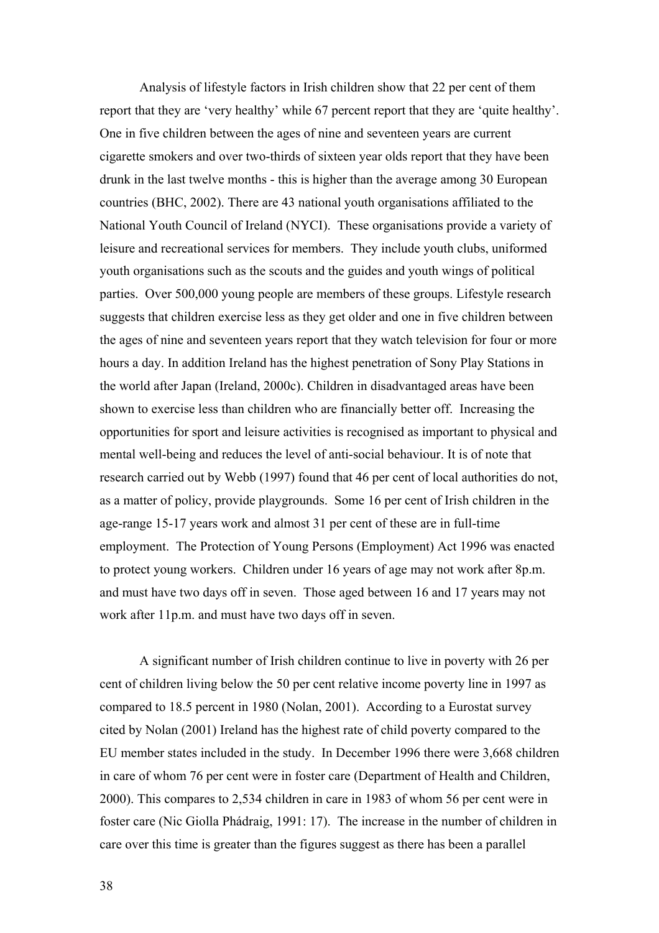Analysis of lifestyle factors in Irish children show that 22 per cent of them report that they are 'very healthy' while 67 percent report that they are 'quite healthy'. One in five children between the ages of nine and seventeen years are current cigarette smokers and over two-thirds of sixteen year olds report that they have been drunk in the last twelve months - this is higher than the average among 30 European countries (BHC, 2002). There are 43 national youth organisations affiliated to the National Youth Council of Ireland (NYCI). These organisations provide a variety of leisure and recreational services for members. They include youth clubs, uniformed youth organisations such as the scouts and the guides and youth wings of political parties. Over 500,000 young people are members of these groups. Lifestyle research suggests that children exercise less as they get older and one in five children between the ages of nine and seventeen years report that they watch television for four or more hours a day. In addition Ireland has the highest penetration of Sony Play Stations in the world after Japan (Ireland, 2000c). Children in disadvantaged areas have been shown to exercise less than children who are financially better off. Increasing the opportunities for sport and leisure activities is recognised as important to physical and mental well-being and reduces the level of anti-social behaviour. It is of note that research carried out by Webb (1997) found that 46 per cent of local authorities do not, as a matter of policy, provide playgrounds. Some 16 per cent of Irish children in the age-range 15-17 years work and almost 31 per cent of these are in full-time employment. The Protection of Young Persons (Employment) Act 1996 was enacted to protect young workers. Children under 16 years of age may not work after 8p.m. and must have two days off in seven. Those aged between 16 and 17 years may not work after 11p.m. and must have two days off in seven.

A significant number of Irish children continue to live in poverty with 26 per cent of children living below the 50 per cent relative income poverty line in 1997 as compared to 18.5 percent in 1980 (Nolan, 2001). According to a Eurostat survey cited by Nolan (2001) Ireland has the highest rate of child poverty compared to the EU member states included in the study. In December 1996 there were 3,668 children in care of whom 76 per cent were in foster care (Department of Health and Children, 2000). This compares to 2,534 children in care in 1983 of whom 56 per cent were in foster care (Nic Giolla Phádraig, 1991: 17). The increase in the number of children in care over this time is greater than the figures suggest as there has been a parallel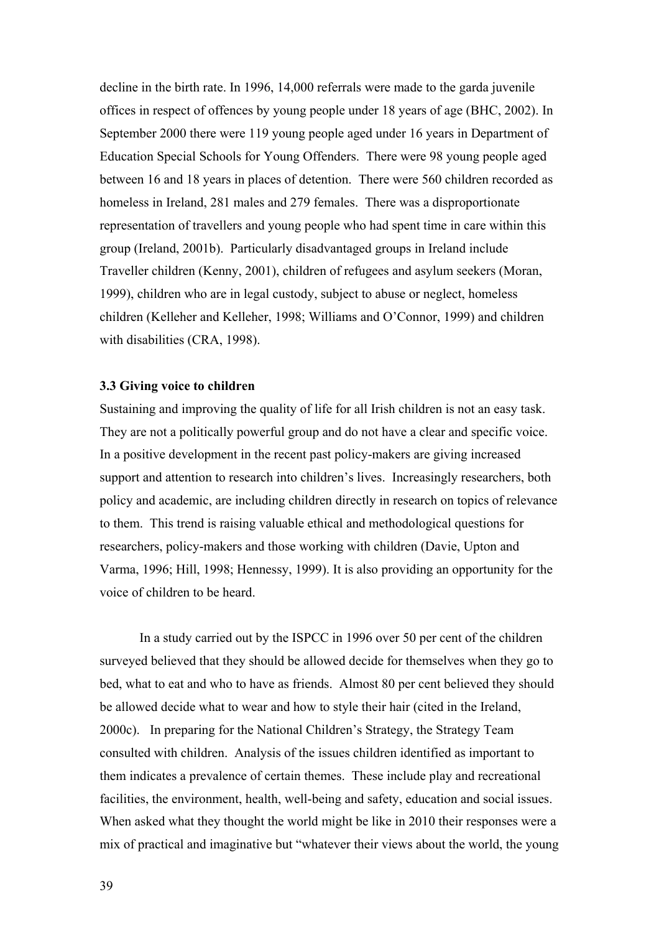decline in the birth rate. In 1996, 14,000 referrals were made to the garda juvenile offices in respect of offences by young people under 18 years of age (BHC, 2002). In September 2000 there were 119 young people aged under 16 years in Department of Education Special Schools for Young Offenders. There were 98 young people aged between 16 and 18 years in places of detention. There were 560 children recorded as homeless in Ireland, 281 males and 279 females. There was a disproportionate representation of travellers and young people who had spent time in care within this group (Ireland, 2001b). Particularly disadvantaged groups in Ireland include Traveller children (Kenny, 2001), children of refugees and asylum seekers (Moran, 1999), children who are in legal custody, subject to abuse or neglect, homeless children (Kelleher and Kelleher, 1998; Williams and O'Connor, 1999) and children with disabilities (CRA, 1998).

## **3.3 Giving voice to children**

Sustaining and improving the quality of life for all Irish children is not an easy task. They are not a politically powerful group and do not have a clear and specific voice. In a positive development in the recent past policy-makers are giving increased support and attention to research into children's lives. Increasingly researchers, both policy and academic, are including children directly in research on topics of relevance to them. This trend is raising valuable ethical and methodological questions for researchers, policy-makers and those working with children (Davie, Upton and Varma, 1996; Hill, 1998; Hennessy, 1999). It is also providing an opportunity for the voice of children to be heard.

In a study carried out by the ISPCC in 1996 over 50 per cent of the children surveyed believed that they should be allowed decide for themselves when they go to bed, what to eat and who to have as friends. Almost 80 per cent believed they should be allowed decide what to wear and how to style their hair (cited in the Ireland, 2000c). In preparing for the National Children's Strategy, the Strategy Team consulted with children. Analysis of the issues children identified as important to them indicates a prevalence of certain themes. These include play and recreational facilities, the environment, health, well-being and safety, education and social issues. When asked what they thought the world might be like in 2010 their responses were a mix of practical and imaginative but "whatever their views about the world, the young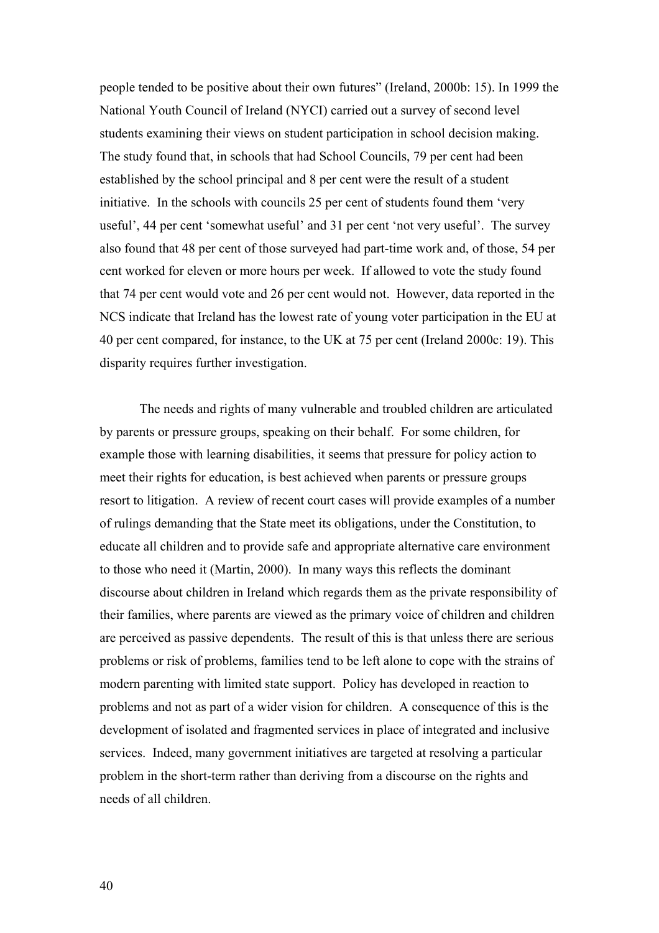people tended to be positive about their own futures" (Ireland, 2000b: 15). In 1999 the National Youth Council of Ireland (NYCI) carried out a survey of second level students examining their views on student participation in school decision making. The study found that, in schools that had School Councils, 79 per cent had been established by the school principal and 8 per cent were the result of a student initiative. In the schools with councils 25 per cent of students found them 'very useful', 44 per cent 'somewhat useful' and 31 per cent 'not very useful'. The survey also found that 48 per cent of those surveyed had part-time work and, of those, 54 per cent worked for eleven or more hours per week. If allowed to vote the study found that 74 per cent would vote and 26 per cent would not. However, data reported in the NCS indicate that Ireland has the lowest rate of young voter participation in the EU at 40 per cent compared, for instance, to the UK at 75 per cent (Ireland 2000c: 19). This disparity requires further investigation.

The needs and rights of many vulnerable and troubled children are articulated by parents or pressure groups, speaking on their behalf. For some children, for example those with learning disabilities, it seems that pressure for policy action to meet their rights for education, is best achieved when parents or pressure groups resort to litigation. A review of recent court cases will provide examples of a number of rulings demanding that the State meet its obligations, under the Constitution, to educate all children and to provide safe and appropriate alternative care environment to those who need it (Martin, 2000). In many ways this reflects the dominant discourse about children in Ireland which regards them as the private responsibility of their families, where parents are viewed as the primary voice of children and children are perceived as passive dependents. The result of this is that unless there are serious problems or risk of problems, families tend to be left alone to cope with the strains of modern parenting with limited state support. Policy has developed in reaction to problems and not as part of a wider vision for children. A consequence of this is the development of isolated and fragmented services in place of integrated and inclusive services. Indeed, many government initiatives are targeted at resolving a particular problem in the short-term rather than deriving from a discourse on the rights and needs of all children.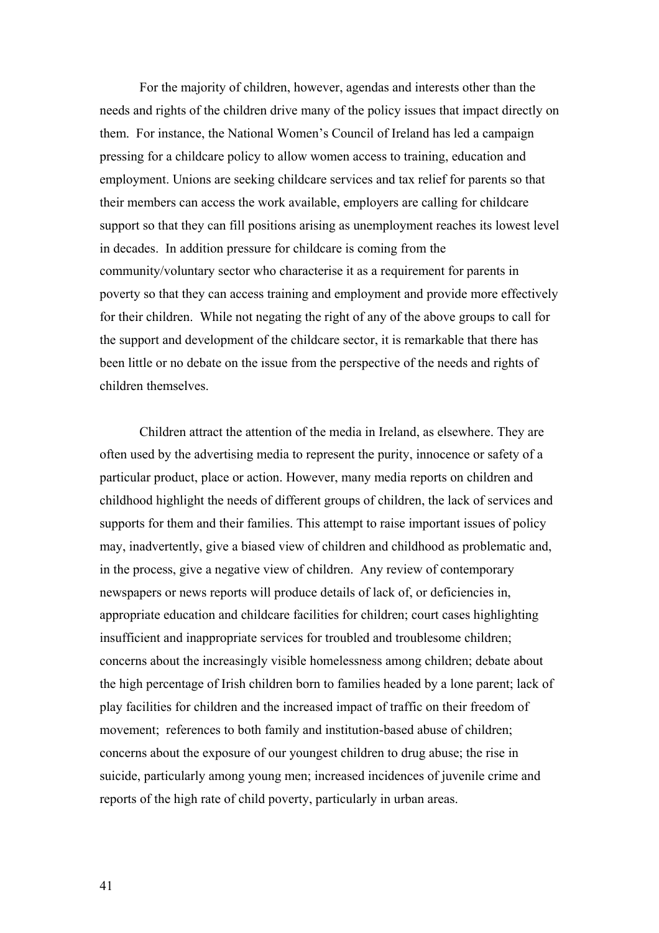For the majority of children, however, agendas and interests other than the needs and rights of the children drive many of the policy issues that impact directly on them. For instance, the National Women's Council of Ireland has led a campaign pressing for a childcare policy to allow women access to training, education and employment. Unions are seeking childcare services and tax relief for parents so that their members can access the work available, employers are calling for childcare support so that they can fill positions arising as unemployment reaches its lowest level in decades. In addition pressure for childcare is coming from the community/voluntary sector who characterise it as a requirement for parents in poverty so that they can access training and employment and provide more effectively for their children. While not negating the right of any of the above groups to call for the support and development of the childcare sector, it is remarkable that there has been little or no debate on the issue from the perspective of the needs and rights of children themselves.

Children attract the attention of the media in Ireland, as elsewhere. They are often used by the advertising media to represent the purity, innocence or safety of a particular product, place or action. However, many media reports on children and childhood highlight the needs of different groups of children, the lack of services and supports for them and their families. This attempt to raise important issues of policy may, inadvertently, give a biased view of children and childhood as problematic and, in the process, give a negative view of children. Any review of contemporary newspapers or news reports will produce details of lack of, or deficiencies in, appropriate education and childcare facilities for children; court cases highlighting insufficient and inappropriate services for troubled and troublesome children; concerns about the increasingly visible homelessness among children; debate about the high percentage of Irish children born to families headed by a lone parent; lack of play facilities for children and the increased impact of traffic on their freedom of movement; references to both family and institution-based abuse of children; concerns about the exposure of our youngest children to drug abuse; the rise in suicide, particularly among young men; increased incidences of juvenile crime and reports of the high rate of child poverty, particularly in urban areas.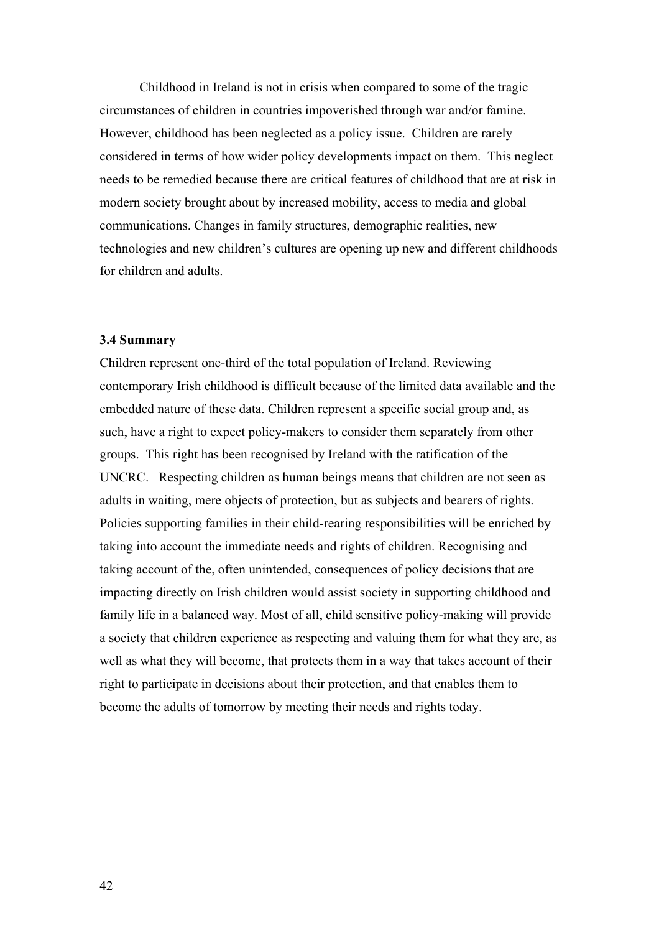Childhood in Ireland is not in crisis when compared to some of the tragic circumstances of children in countries impoverished through war and/or famine. However, childhood has been neglected as a policy issue. Children are rarely considered in terms of how wider policy developments impact on them. This neglect needs to be remedied because there are critical features of childhood that are at risk in modern society brought about by increased mobility, access to media and global communications. Changes in family structures, demographic realities, new technologies and new children's cultures are opening up new and different childhoods for children and adults.

## **3.4 Summary**

Children represent one-third of the total population of Ireland. Reviewing contemporary Irish childhood is difficult because of the limited data available and the embedded nature of these data. Children represent a specific social group and, as such, have a right to expect policy-makers to consider them separately from other groups. This right has been recognised by Ireland with the ratification of the UNCRC. Respecting children as human beings means that children are not seen as adults in waiting, mere objects of protection, but as subjects and bearers of rights. Policies supporting families in their child-rearing responsibilities will be enriched by taking into account the immediate needs and rights of children. Recognising and taking account of the, often unintended, consequences of policy decisions that are impacting directly on Irish children would assist society in supporting childhood and family life in a balanced way. Most of all, child sensitive policy-making will provide a society that children experience as respecting and valuing them for what they are, as well as what they will become, that protects them in a way that takes account of their right to participate in decisions about their protection, and that enables them to become the adults of tomorrow by meeting their needs and rights today.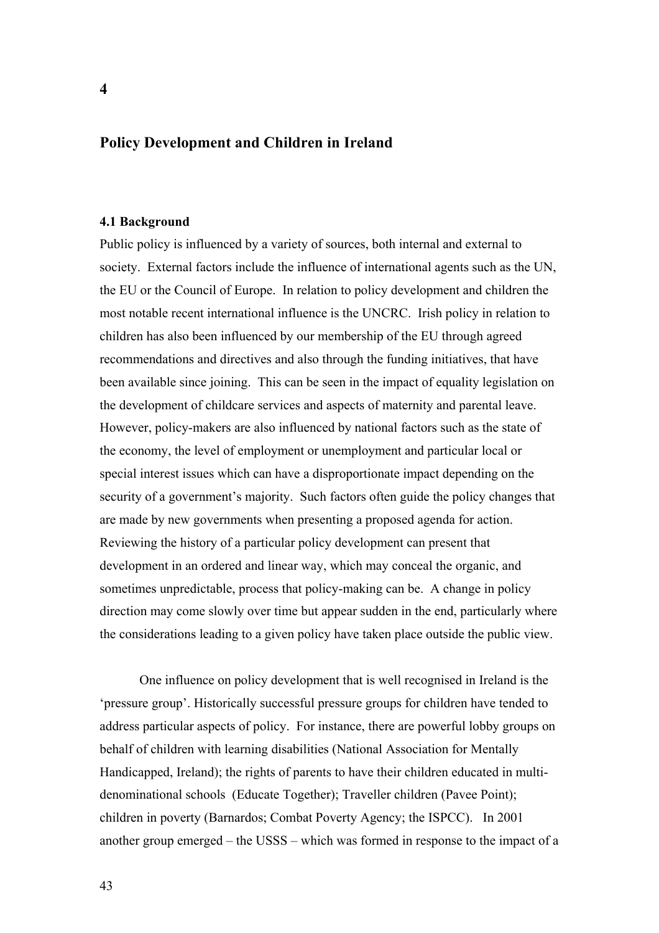# **Policy Development and Children in Ireland**

### **4.1 Background**

Public policy is influenced by a variety of sources, both internal and external to society. External factors include the influence of international agents such as the UN, the EU or the Council of Europe. In relation to policy development and children the most notable recent international influence is the UNCRC. Irish policy in relation to children has also been influenced by our membership of the EU through agreed recommendations and directives and also through the funding initiatives, that have been available since joining. This can be seen in the impact of equality legislation on the development of childcare services and aspects of maternity and parental leave. However, policy-makers are also influenced by national factors such as the state of the economy, the level of employment or unemployment and particular local or special interest issues which can have a disproportionate impact depending on the security of a government's majority. Such factors often guide the policy changes that are made by new governments when presenting a proposed agenda for action. Reviewing the history of a particular policy development can present that development in an ordered and linear way, which may conceal the organic, and sometimes unpredictable, process that policy-making can be. A change in policy direction may come slowly over time but appear sudden in the end, particularly where the considerations leading to a given policy have taken place outside the public view.

One influence on policy development that is well recognised in Ireland is the 'pressure group'. Historically successful pressure groups for children have tended to address particular aspects of policy. For instance, there are powerful lobby groups on behalf of children with learning disabilities (National Association for Mentally Handicapped, Ireland); the rights of parents to have their children educated in multidenominational schools (Educate Together); Traveller children (Pavee Point); children in poverty (Barnardos; Combat Poverty Agency; the ISPCC). In 2001 another group emerged – the USSS – which was formed in response to the impact of a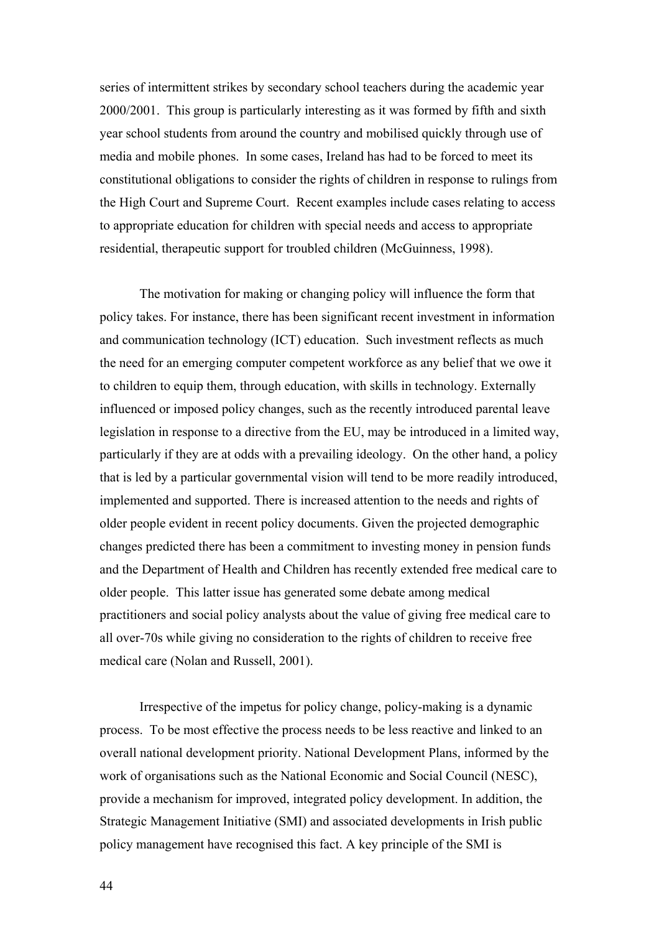series of intermittent strikes by secondary school teachers during the academic year 2000/2001. This group is particularly interesting as it was formed by fifth and sixth year school students from around the country and mobilised quickly through use of media and mobile phones. In some cases, Ireland has had to be forced to meet its constitutional obligations to consider the rights of children in response to rulings from the High Court and Supreme Court. Recent examples include cases relating to access to appropriate education for children with special needs and access to appropriate residential, therapeutic support for troubled children (McGuinness, 1998).

The motivation for making or changing policy will influence the form that policy takes. For instance, there has been significant recent investment in information and communication technology (ICT) education. Such investment reflects as much the need for an emerging computer competent workforce as any belief that we owe it to children to equip them, through education, with skills in technology. Externally influenced or imposed policy changes, such as the recently introduced parental leave legislation in response to a directive from the EU, may be introduced in a limited way, particularly if they are at odds with a prevailing ideology. On the other hand, a policy that is led by a particular governmental vision will tend to be more readily introduced, implemented and supported. There is increased attention to the needs and rights of older people evident in recent policy documents. Given the projected demographic changes predicted there has been a commitment to investing money in pension funds and the Department of Health and Children has recently extended free medical care to older people. This latter issue has generated some debate among medical practitioners and social policy analysts about the value of giving free medical care to all over-70s while giving no consideration to the rights of children to receive free medical care (Nolan and Russell, 2001).

Irrespective of the impetus for policy change, policy-making is a dynamic process. To be most effective the process needs to be less reactive and linked to an overall national development priority. National Development Plans, informed by the work of organisations such as the National Economic and Social Council (NESC), provide a mechanism for improved, integrated policy development. In addition, the Strategic Management Initiative (SMI) and associated developments in Irish public policy management have recognised this fact. A key principle of the SMI is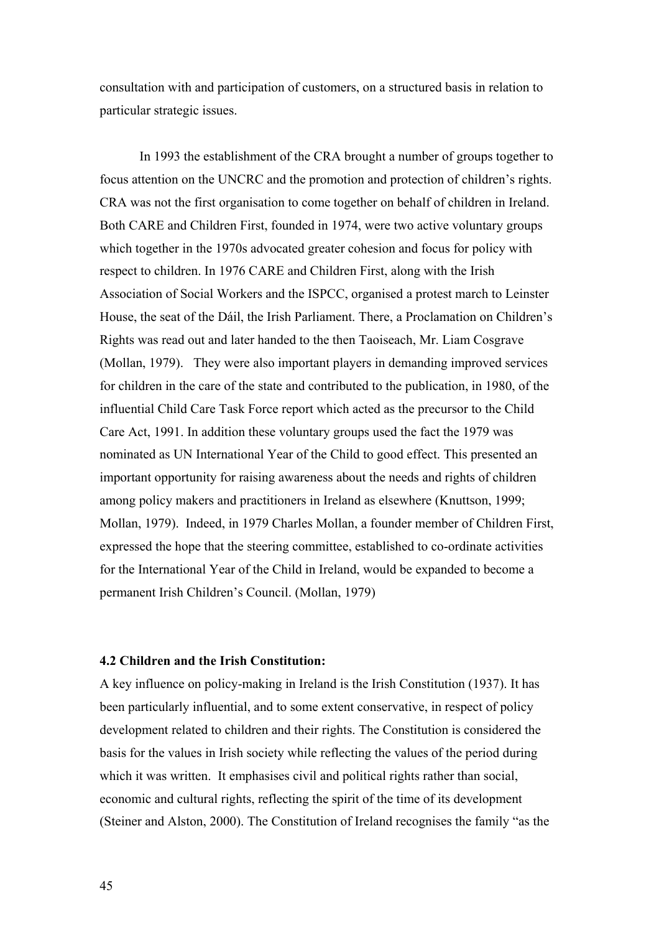consultation with and participation of customers, on a structured basis in relation to particular strategic issues.

In 1993 the establishment of the CRA brought a number of groups together to focus attention on the UNCRC and the promotion and protection of children's rights. CRA was not the first organisation to come together on behalf of children in Ireland. Both CARE and Children First, founded in 1974, were two active voluntary groups which together in the 1970s advocated greater cohesion and focus for policy with respect to children. In 1976 CARE and Children First, along with the Irish Association of Social Workers and the ISPCC, organised a protest march to Leinster House, the seat of the Dáil, the Irish Parliament. There, a Proclamation on Children's Rights was read out and later handed to the then Taoiseach, Mr. Liam Cosgrave (Mollan, 1979). They were also important players in demanding improved services for children in the care of the state and contributed to the publication, in 1980, of the influential Child Care Task Force report which acted as the precursor to the Child Care Act, 1991. In addition these voluntary groups used the fact the 1979 was nominated as UN International Year of the Child to good effect. This presented an important opportunity for raising awareness about the needs and rights of children among policy makers and practitioners in Ireland as elsewhere (Knuttson, 1999; Mollan, 1979). Indeed, in 1979 Charles Mollan, a founder member of Children First, expressed the hope that the steering committee, established to co-ordinate activities for the International Year of the Child in Ireland, would be expanded to become a permanent Irish Children's Council. (Mollan, 1979)

## **4.2 Children and the Irish Constitution:**

A key influence on policy-making in Ireland is the Irish Constitution (1937). It has been particularly influential, and to some extent conservative, in respect of policy development related to children and their rights. The Constitution is considered the basis for the values in Irish society while reflecting the values of the period during which it was written. It emphasises civil and political rights rather than social, economic and cultural rights, reflecting the spirit of the time of its development (Steiner and Alston, 2000). The Constitution of Ireland recognises the family "as the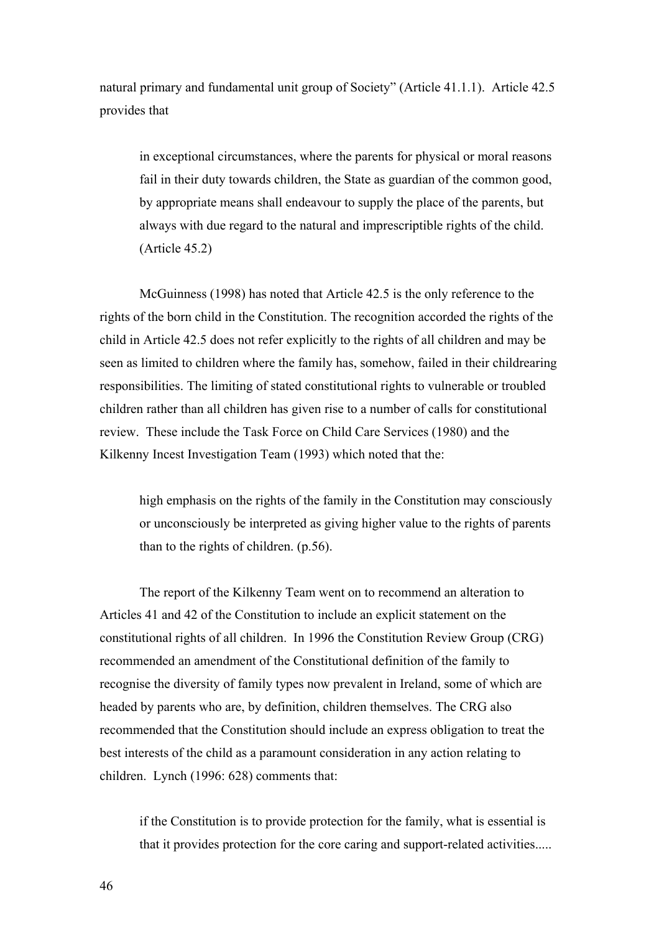natural primary and fundamental unit group of Society" (Article 41.1.1). Article 42.5 provides that

in exceptional circumstances, where the parents for physical or moral reasons fail in their duty towards children, the State as guardian of the common good, by appropriate means shall endeavour to supply the place of the parents, but always with due regard to the natural and imprescriptible rights of the child. (Article 45.2)

McGuinness (1998) has noted that Article 42.5 is the only reference to the rights of the born child in the Constitution. The recognition accorded the rights of the child in Article 42.5 does not refer explicitly to the rights of all children and may be seen as limited to children where the family has, somehow, failed in their childrearing responsibilities. The limiting of stated constitutional rights to vulnerable or troubled children rather than all children has given rise to a number of calls for constitutional review. These include the Task Force on Child Care Services (1980) and the Kilkenny Incest Investigation Team (1993) which noted that the:

high emphasis on the rights of the family in the Constitution may consciously or unconsciously be interpreted as giving higher value to the rights of parents than to the rights of children. (p.56).

The report of the Kilkenny Team went on to recommend an alteration to Articles 41 and 42 of the Constitution to include an explicit statement on the constitutional rights of all children. In 1996 the Constitution Review Group (CRG) recommended an amendment of the Constitutional definition of the family to recognise the diversity of family types now prevalent in Ireland, some of which are headed by parents who are, by definition, children themselves. The CRG also recommended that the Constitution should include an express obligation to treat the best interests of the child as a paramount consideration in any action relating to children. Lynch (1996: 628) comments that:

if the Constitution is to provide protection for the family, what is essential is that it provides protection for the core caring and support-related activities.....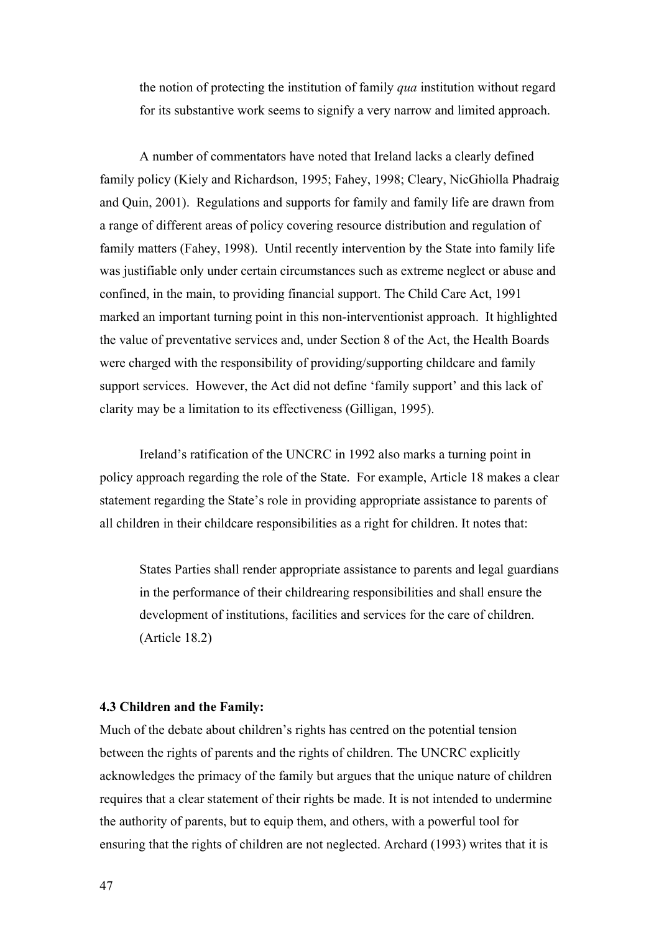the notion of protecting the institution of family *qua* institution without regard for its substantive work seems to signify a very narrow and limited approach.

A number of commentators have noted that Ireland lacks a clearly defined family policy (Kiely and Richardson, 1995; Fahey, 1998; Cleary, NicGhiolla Phadraig and Quin, 2001). Regulations and supports for family and family life are drawn from a range of different areas of policy covering resource distribution and regulation of family matters (Fahey, 1998). Until recently intervention by the State into family life was justifiable only under certain circumstances such as extreme neglect or abuse and confined, in the main, to providing financial support. The Child Care Act, 1991 marked an important turning point in this non-interventionist approach. It highlighted the value of preventative services and, under Section 8 of the Act, the Health Boards were charged with the responsibility of providing/supporting childcare and family support services. However, the Act did not define 'family support' and this lack of clarity may be a limitation to its effectiveness (Gilligan, 1995).

Ireland's ratification of the UNCRC in 1992 also marks a turning point in policy approach regarding the role of the State. For example, Article 18 makes a clear statement regarding the State's role in providing appropriate assistance to parents of all children in their childcare responsibilities as a right for children. It notes that:

States Parties shall render appropriate assistance to parents and legal guardians in the performance of their childrearing responsibilities and shall ensure the development of institutions, facilities and services for the care of children. (Article 18.2)

## **4.3 Children and the Family:**

Much of the debate about children's rights has centred on the potential tension between the rights of parents and the rights of children. The UNCRC explicitly acknowledges the primacy of the family but argues that the unique nature of children requires that a clear statement of their rights be made. It is not intended to undermine the authority of parents, but to equip them, and others, with a powerful tool for ensuring that the rights of children are not neglected. Archard (1993) writes that it is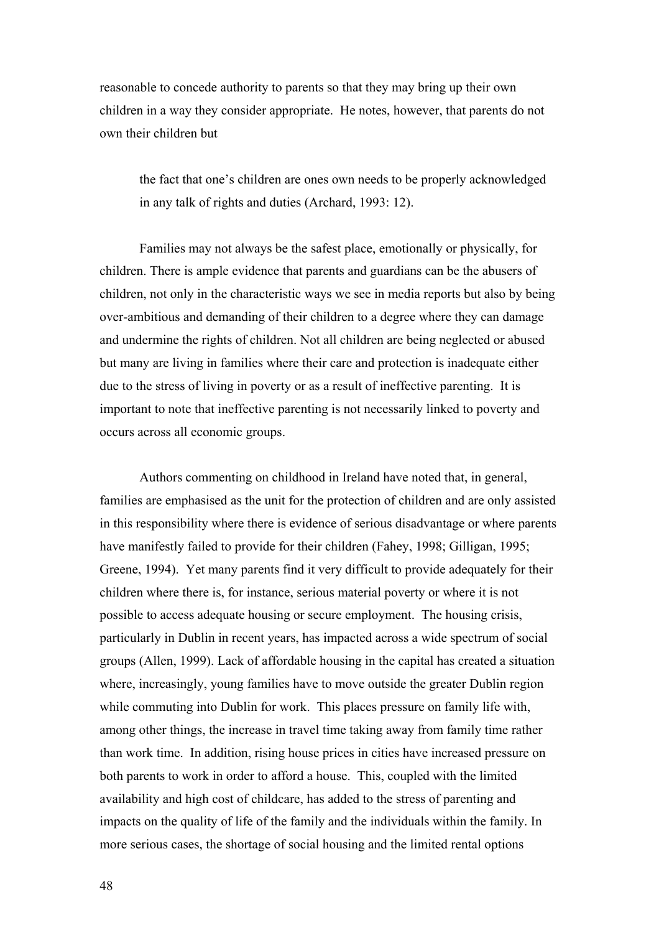reasonable to concede authority to parents so that they may bring up their own children in a way they consider appropriate. He notes, however, that parents do not own their children but

the fact that one's children are ones own needs to be properly acknowledged in any talk of rights and duties (Archard, 1993: 12).

Families may not always be the safest place, emotionally or physically, for children. There is ample evidence that parents and guardians can be the abusers of children, not only in the characteristic ways we see in media reports but also by being over-ambitious and demanding of their children to a degree where they can damage and undermine the rights of children. Not all children are being neglected or abused but many are living in families where their care and protection is inadequate either due to the stress of living in poverty or as a result of ineffective parenting. It is important to note that ineffective parenting is not necessarily linked to poverty and occurs across all economic groups.

Authors commenting on childhood in Ireland have noted that, in general, families are emphasised as the unit for the protection of children and are only assisted in this responsibility where there is evidence of serious disadvantage or where parents have manifestly failed to provide for their children (Fahey, 1998; Gilligan, 1995; Greene, 1994). Yet many parents find it very difficult to provide adequately for their children where there is, for instance, serious material poverty or where it is not possible to access adequate housing or secure employment. The housing crisis, particularly in Dublin in recent years, has impacted across a wide spectrum of social groups (Allen, 1999). Lack of affordable housing in the capital has created a situation where, increasingly, young families have to move outside the greater Dublin region while commuting into Dublin for work. This places pressure on family life with, among other things, the increase in travel time taking away from family time rather than work time. In addition, rising house prices in cities have increased pressure on both parents to work in order to afford a house. This, coupled with the limited availability and high cost of childcare, has added to the stress of parenting and impacts on the quality of life of the family and the individuals within the family. In more serious cases, the shortage of social housing and the limited rental options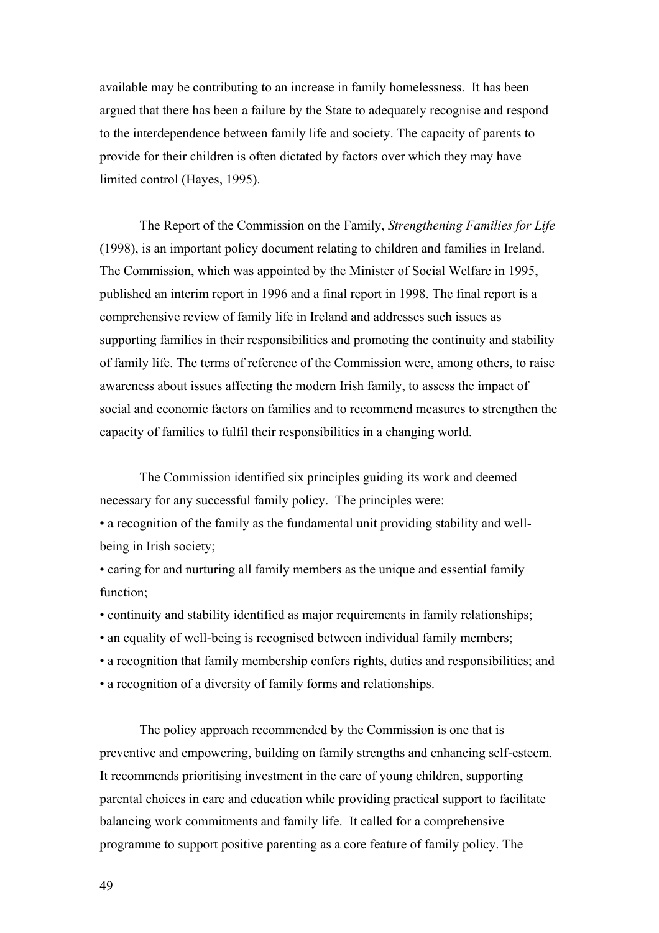available may be contributing to an increase in family homelessness. It has been argued that there has been a failure by the State to adequately recognise and respond to the interdependence between family life and society. The capacity of parents to provide for their children is often dictated by factors over which they may have limited control (Hayes, 1995).

The Report of the Commission on the Family, *Strengthening Families for Life*  (1998), is an important policy document relating to children and families in Ireland. The Commission, which was appointed by the Minister of Social Welfare in 1995, published an interim report in 1996 and a final report in 1998. The final report is a comprehensive review of family life in Ireland and addresses such issues as supporting families in their responsibilities and promoting the continuity and stability of family life. The terms of reference of the Commission were, among others, to raise awareness about issues affecting the modern Irish family, to assess the impact of social and economic factors on families and to recommend measures to strengthen the capacity of families to fulfil their responsibilities in a changing world.

The Commission identified six principles guiding its work and deemed necessary for any successful family policy. The principles were:

• a recognition of the family as the fundamental unit providing stability and wellbeing in Irish society;

• caring for and nurturing all family members as the unique and essential family function:

• continuity and stability identified as major requirements in family relationships;

- an equality of well-being is recognised between individual family members;
- a recognition that family membership confers rights, duties and responsibilities; and

• a recognition of a diversity of family forms and relationships.

The policy approach recommended by the Commission is one that is preventive and empowering, building on family strengths and enhancing self-esteem. It recommends prioritising investment in the care of young children, supporting parental choices in care and education while providing practical support to facilitate balancing work commitments and family life. It called for a comprehensive programme to support positive parenting as a core feature of family policy. The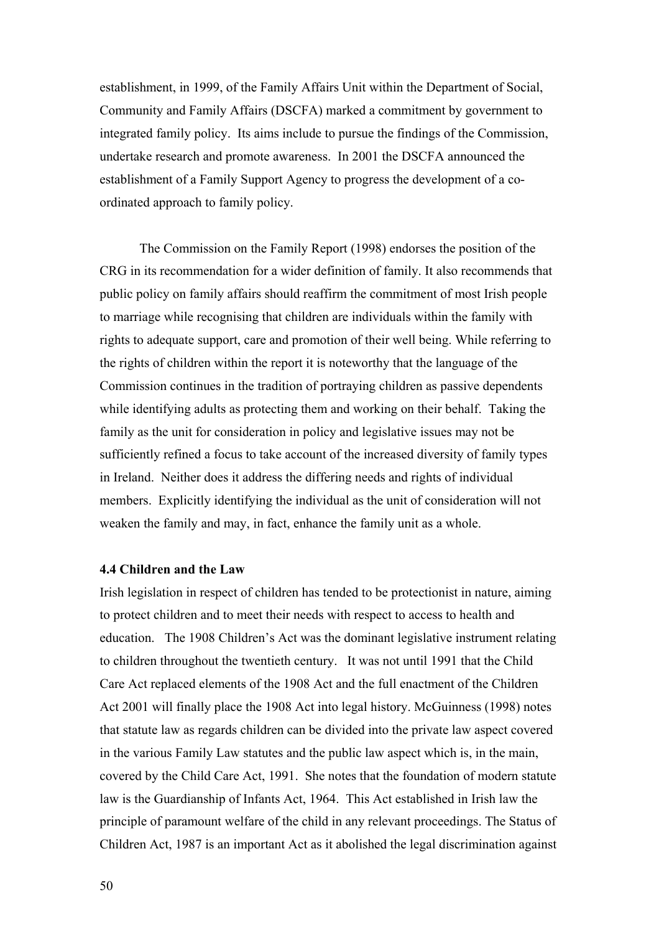establishment, in 1999, of the Family Affairs Unit within the Department of Social, Community and Family Affairs (DSCFA) marked a commitment by government to integrated family policy. Its aims include to pursue the findings of the Commission, undertake research and promote awareness. In 2001 the DSCFA announced the establishment of a Family Support Agency to progress the development of a coordinated approach to family policy.

The Commission on the Family Report (1998) endorses the position of the CRG in its recommendation for a wider definition of family. It also recommends that public policy on family affairs should reaffirm the commitment of most Irish people to marriage while recognising that children are individuals within the family with rights to adequate support, care and promotion of their well being. While referring to the rights of children within the report it is noteworthy that the language of the Commission continues in the tradition of portraying children as passive dependents while identifying adults as protecting them and working on their behalf. Taking the family as the unit for consideration in policy and legislative issues may not be sufficiently refined a focus to take account of the increased diversity of family types in Ireland. Neither does it address the differing needs and rights of individual members. Explicitly identifying the individual as the unit of consideration will not weaken the family and may, in fact, enhance the family unit as a whole.

### **4.4 Children and the Law**

Irish legislation in respect of children has tended to be protectionist in nature, aiming to protect children and to meet their needs with respect to access to health and education. The 1908 Children's Act was the dominant legislative instrument relating to children throughout the twentieth century. It was not until 1991 that the Child Care Act replaced elements of the 1908 Act and the full enactment of the Children Act 2001 will finally place the 1908 Act into legal history. McGuinness (1998) notes that statute law as regards children can be divided into the private law aspect covered in the various Family Law statutes and the public law aspect which is, in the main, covered by the Child Care Act, 1991. She notes that the foundation of modern statute law is the Guardianship of Infants Act, 1964. This Act established in Irish law the principle of paramount welfare of the child in any relevant proceedings. The Status of Children Act, 1987 is an important Act as it abolished the legal discrimination against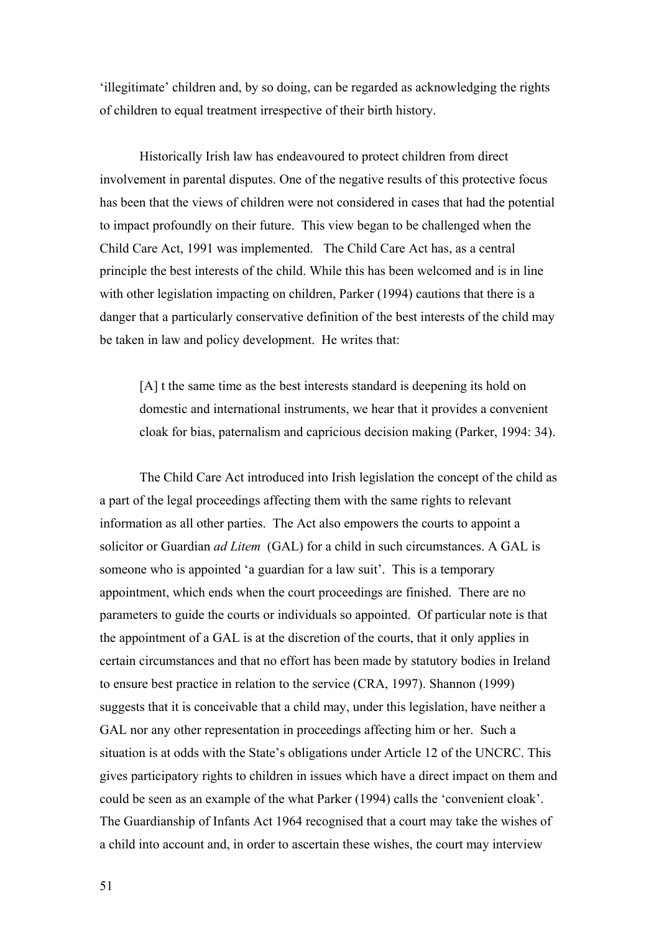'illegitimate' children and, by so doing, can be regarded as acknowledging the rights of children to equal treatment irrespective of their birth history.

Historically Irish law has endeavoured to protect children from direct involvement in parental disputes. One of the negative results of this protective focus has been that the views of children were not considered in cases that had the potential to impact profoundly on their future. This view began to be challenged when the Child Care Act, 1991 was implemented. The Child Care Act has, as a central principle the best interests of the child. While this has been welcomed and is in line with other legislation impacting on children, Parker (1994) cautions that there is a danger that a particularly conservative definition of the best interests of the child may be taken in law and policy development. He writes that:

[A] t the same time as the best interests standard is deepening its hold on domestic and international instruments, we hear that it provides a convenient cloak for bias, paternalism and capricious decision making (Parker, 1994: 34).

The Child Care Act introduced into Irish legislation the concept of the child as a part of the legal proceedings affecting them with the same rights to relevant information as all other parties. The Act also empowers the courts to appoint a solicitor or Guardian *ad Litem* (GAL) for a child in such circumstances. A GAL is someone who is appointed 'a guardian for a law suit'. This is a temporary appointment, which ends when the court proceedings are finished. There are no parameters to guide the courts or individuals so appointed. Of particular note is that the appointment of a GAL is at the discretion of the courts, that it only applies in certain circumstances and that no effort has been made by statutory bodies in Ireland to ensure best practice in relation to the service (CRA, 1997). Shannon (1999) suggests that it is conceivable that a child may, under this legislation, have neither a GAL nor any other representation in proceedings affecting him or her. Such a situation is at odds with the State's obligations under Article 12 of the UNCRC. This gives participatory rights to children in issues which have a direct impact on them and could be seen as an example of the what Parker (1994) calls the 'convenient cloak'. The Guardianship of Infants Act 1964 recognised that a court may take the wishes of a child into account and, in order to ascertain these wishes, the court may interview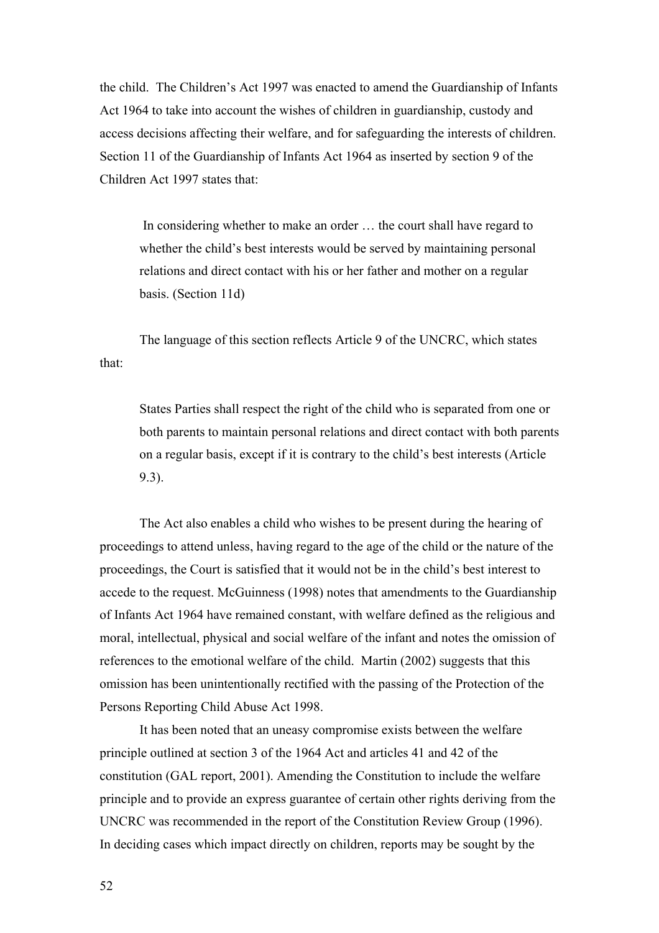the child. The Children's Act 1997 was enacted to amend the Guardianship of Infants Act 1964 to take into account the wishes of children in guardianship, custody and access decisions affecting their welfare, and for safeguarding the interests of children. Section 11 of the Guardianship of Infants Act 1964 as inserted by section 9 of the Children Act 1997 states that:

In considering whether to make an order … the court shall have regard to whether the child's best interests would be served by maintaining personal relations and direct contact with his or her father and mother on a regular basis. (Section 11d)

The language of this section reflects Article 9 of the UNCRC, which states that:

States Parties shall respect the right of the child who is separated from one or both parents to maintain personal relations and direct contact with both parents on a regular basis, except if it is contrary to the child's best interests (Article 9.3).

The Act also enables a child who wishes to be present during the hearing of proceedings to attend unless, having regard to the age of the child or the nature of the proceedings, the Court is satisfied that it would not be in the child's best interest to accede to the request. McGuinness (1998) notes that amendments to the Guardianship of Infants Act 1964 have remained constant, with welfare defined as the religious and moral, intellectual, physical and social welfare of the infant and notes the omission of references to the emotional welfare of the child. Martin (2002) suggests that this omission has been unintentionally rectified with the passing of the Protection of the Persons Reporting Child Abuse Act 1998.

It has been noted that an uneasy compromise exists between the welfare principle outlined at section 3 of the 1964 Act and articles 41 and 42 of the constitution (GAL report, 2001). Amending the Constitution to include the welfare principle and to provide an express guarantee of certain other rights deriving from the UNCRC was recommended in the report of the Constitution Review Group (1996). In deciding cases which impact directly on children, reports may be sought by the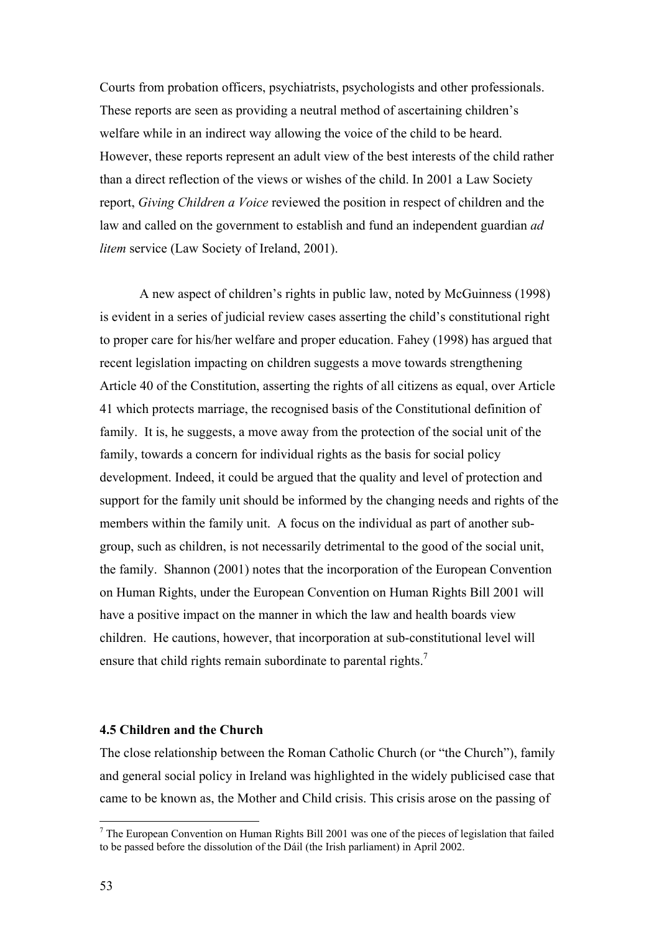Courts from probation officers, psychiatrists, psychologists and other professionals. These reports are seen as providing a neutral method of ascertaining children's welfare while in an indirect way allowing the voice of the child to be heard. However, these reports represent an adult view of the best interests of the child rather than a direct reflection of the views or wishes of the child. In 2001 a Law Society report, *Giving Children a Voice* reviewed the position in respect of children and the law and called on the government to establish and fund an independent guardian *ad litem* service (Law Society of Ireland, 2001).

A new aspect of children's rights in public law, noted by McGuinness (1998) is evident in a series of judicial review cases asserting the child's constitutional right to proper care for his/her welfare and proper education. Fahey (1998) has argued that recent legislation impacting on children suggests a move towards strengthening Article 40 of the Constitution, asserting the rights of all citizens as equal, over Article 41 which protects marriage, the recognised basis of the Constitutional definition of family. It is, he suggests, a move away from the protection of the social unit of the family, towards a concern for individual rights as the basis for social policy development. Indeed, it could be argued that the quality and level of protection and support for the family unit should be informed by the changing needs and rights of the members within the family unit. A focus on the individual as part of another subgroup, such as children, is not necessarily detrimental to the good of the social unit, the family. Shannon (2001) notes that the incorporation of the European Convention on Human Rights, under the European Convention on Human Rights Bill 2001 will have a positive impact on the manner in which the law and health boards view children. He cautions, however, that incorporation at sub-constitutional level will ensurethat child rights remain subordinate to parental rights.<sup>7</sup>

### **4.5 Children and the Church**

The close relationship between the Roman Catholic Church (or "the Church"), family and general social policy in Ireland was highlighted in the widely publicised case that came to be known as, the Mother and Child crisis. This crisis arose on the passing of

 $\overline{a}$ 

<span id="page-53-0"></span> $<sup>7</sup>$  The European Convention on Human Rights Bill 2001 was one of the pieces of legislation that failed</sup> to be passed before the dissolution of the Dáil (the Irish parliament) in April 2002.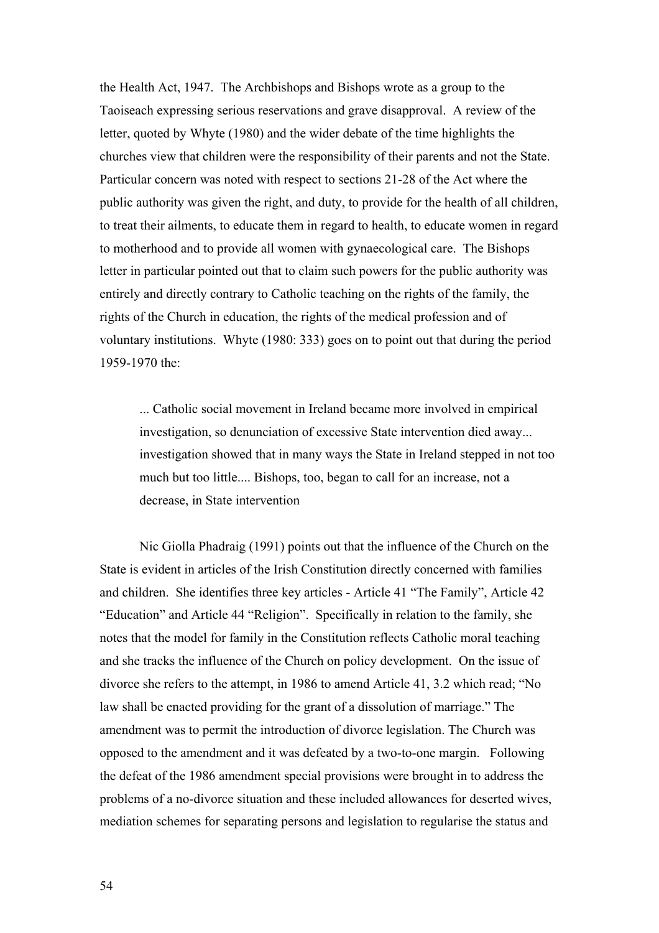the Health Act, 1947. The Archbishops and Bishops wrote as a group to the Taoiseach expressing serious reservations and grave disapproval. A review of the letter, quoted by Whyte (1980) and the wider debate of the time highlights the churches view that children were the responsibility of their parents and not the State. Particular concern was noted with respect to sections 21-28 of the Act where the public authority was given the right, and duty, to provide for the health of all children, to treat their ailments, to educate them in regard to health, to educate women in regard to motherhood and to provide all women with gynaecological care. The Bishops letter in particular pointed out that to claim such powers for the public authority was entirely and directly contrary to Catholic teaching on the rights of the family, the rights of the Church in education, the rights of the medical profession and of voluntary institutions. Whyte (1980: 333) goes on to point out that during the period 1959-1970 the:

... Catholic social movement in Ireland became more involved in empirical investigation, so denunciation of excessive State intervention died away... investigation showed that in many ways the State in Ireland stepped in not too much but too little.... Bishops, too, began to call for an increase, not a decrease, in State intervention

Nic Giolla Phadraig (1991) points out that the influence of the Church on the State is evident in articles of the Irish Constitution directly concerned with families and children. She identifies three key articles - Article 41 "The Family", Article 42 "Education" and Article 44 "Religion". Specifically in relation to the family, she notes that the model for family in the Constitution reflects Catholic moral teaching and she tracks the influence of the Church on policy development. On the issue of divorce she refers to the attempt, in 1986 to amend Article 41, 3.2 which read; "No law shall be enacted providing for the grant of a dissolution of marriage." The amendment was to permit the introduction of divorce legislation. The Church was opposed to the amendment and it was defeated by a two-to-one margin. Following the defeat of the 1986 amendment special provisions were brought in to address the problems of a no-divorce situation and these included allowances for deserted wives, mediation schemes for separating persons and legislation to regularise the status and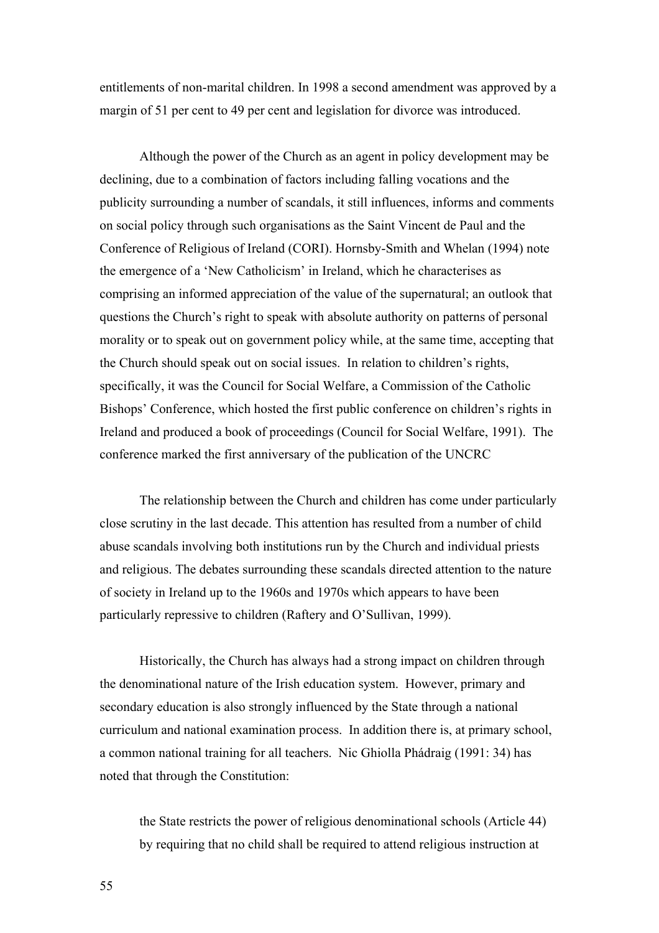entitlements of non-marital children. In 1998 a second amendment was approved by a margin of 51 per cent to 49 per cent and legislation for divorce was introduced.

Although the power of the Church as an agent in policy development may be declining, due to a combination of factors including falling vocations and the publicity surrounding a number of scandals, it still influences, informs and comments on social policy through such organisations as the Saint Vincent de Paul and the Conference of Religious of Ireland (CORI). Hornsby-Smith and Whelan (1994) note the emergence of a 'New Catholicism' in Ireland, which he characterises as comprising an informed appreciation of the value of the supernatural; an outlook that questions the Church's right to speak with absolute authority on patterns of personal morality or to speak out on government policy while, at the same time, accepting that the Church should speak out on social issues. In relation to children's rights, specifically, it was the Council for Social Welfare, a Commission of the Catholic Bishops' Conference, which hosted the first public conference on children's rights in Ireland and produced a book of proceedings (Council for Social Welfare, 1991). The conference marked the first anniversary of the publication of the UNCRC

The relationship between the Church and children has come under particularly close scrutiny in the last decade. This attention has resulted from a number of child abuse scandals involving both institutions run by the Church and individual priests and religious. The debates surrounding these scandals directed attention to the nature of society in Ireland up to the 1960s and 1970s which appears to have been particularly repressive to children (Raftery and O'Sullivan, 1999).

Historically, the Church has always had a strong impact on children through the denominational nature of the Irish education system. However, primary and secondary education is also strongly influenced by the State through a national curriculum and national examination process. In addition there is, at primary school, a common national training for all teachers. Nic Ghiolla Phádraig (1991: 34) has noted that through the Constitution:

the State restricts the power of religious denominational schools (Article 44) by requiring that no child shall be required to attend religious instruction at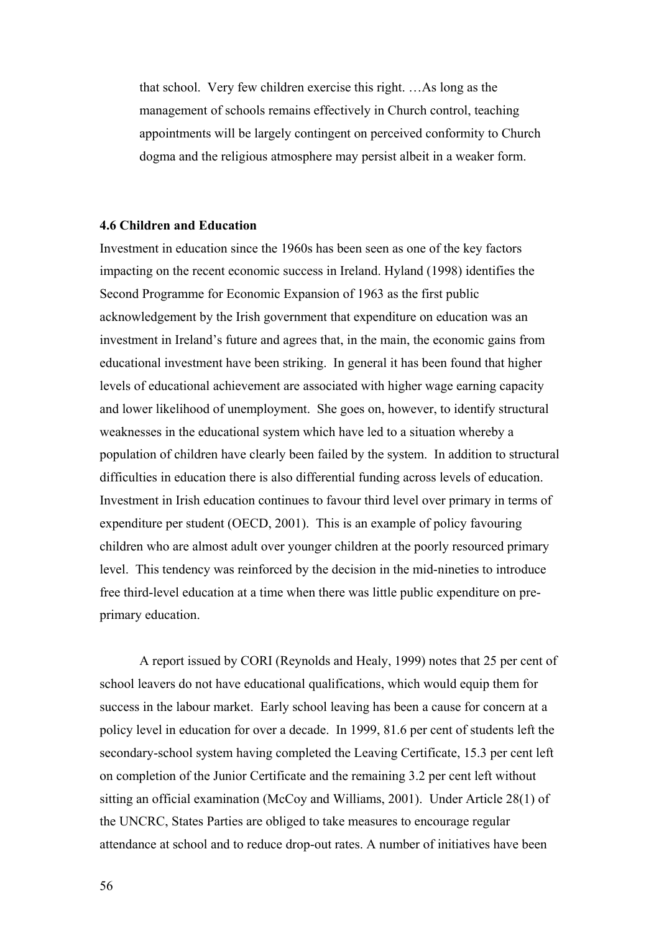that school. Very few children exercise this right. …As long as the management of schools remains effectively in Church control, teaching appointments will be largely contingent on perceived conformity to Church dogma and the religious atmosphere may persist albeit in a weaker form.

## **4.6 Children and Education**

Investment in education since the 1960s has been seen as one of the key factors impacting on the recent economic success in Ireland. Hyland (1998) identifies the Second Programme for Economic Expansion of 1963 as the first public acknowledgement by the Irish government that expenditure on education was an investment in Ireland's future and agrees that, in the main, the economic gains from educational investment have been striking. In general it has been found that higher levels of educational achievement are associated with higher wage earning capacity and lower likelihood of unemployment. She goes on, however, to identify structural weaknesses in the educational system which have led to a situation whereby a population of children have clearly been failed by the system. In addition to structural difficulties in education there is also differential funding across levels of education. Investment in Irish education continues to favour third level over primary in terms of expenditure per student (OECD, 2001). This is an example of policy favouring children who are almost adult over younger children at the poorly resourced primary level. This tendency was reinforced by the decision in the mid-nineties to introduce free third-level education at a time when there was little public expenditure on preprimary education.

A report issued by CORI (Reynolds and Healy, 1999) notes that 25 per cent of school leavers do not have educational qualifications, which would equip them for success in the labour market. Early school leaving has been a cause for concern at a policy level in education for over a decade. In 1999, 81.6 per cent of students left the secondary-school system having completed the Leaving Certificate, 15.3 per cent left on completion of the Junior Certificate and the remaining 3.2 per cent left without sitting an official examination (McCoy and Williams, 2001). Under Article 28(1) of the UNCRC, States Parties are obliged to take measures to encourage regular attendance at school and to reduce drop-out rates. A number of initiatives have been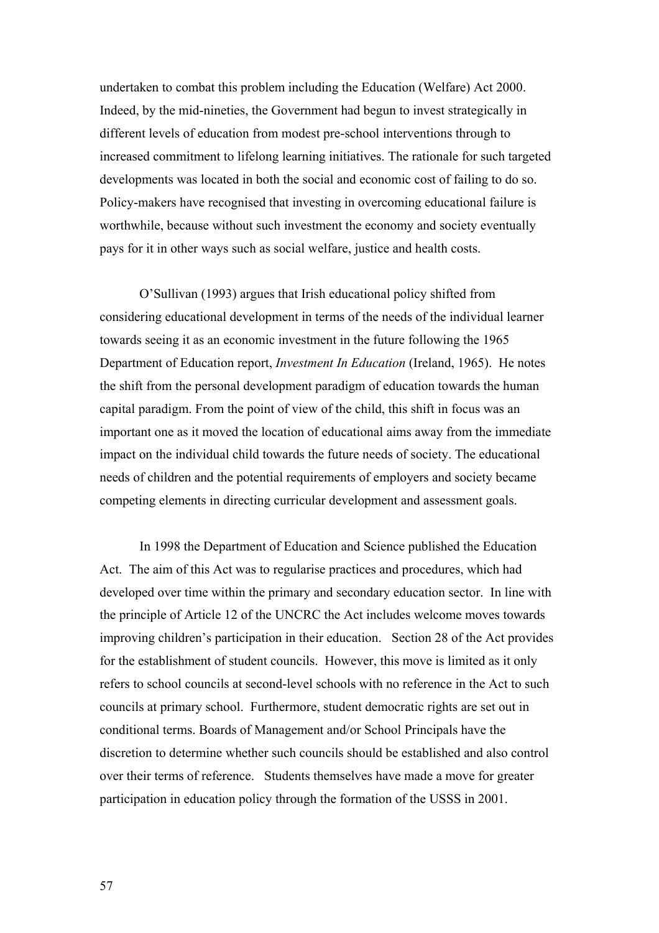undertaken to combat this problem including the Education (Welfare) Act 2000. Indeed, by the mid-nineties, the Government had begun to invest strategically in different levels of education from modest pre-school interventions through to increased commitment to lifelong learning initiatives. The rationale for such targeted developments was located in both the social and economic cost of failing to do so. Policy-makers have recognised that investing in overcoming educational failure is worthwhile, because without such investment the economy and society eventually pays for it in other ways such as social welfare, justice and health costs.

O'Sullivan (1993) argues that Irish educational policy shifted from considering educational development in terms of the needs of the individual learner towards seeing it as an economic investment in the future following the 1965 Department of Education report, *Investment In Education* (Ireland, 1965). He notes the shift from the personal development paradigm of education towards the human capital paradigm. From the point of view of the child, this shift in focus was an important one as it moved the location of educational aims away from the immediate impact on the individual child towards the future needs of society. The educational needs of children and the potential requirements of employers and society became competing elements in directing curricular development and assessment goals.

In 1998 the Department of Education and Science published the Education Act. The aim of this Act was to regularise practices and procedures, which had developed over time within the primary and secondary education sector. In line with the principle of Article 12 of the UNCRC the Act includes welcome moves towards improving children's participation in their education. Section 28 of the Act provides for the establishment of student councils. However, this move is limited as it only refers to school councils at second-level schools with no reference in the Act to such councils at primary school. Furthermore, student democratic rights are set out in conditional terms. Boards of Management and/or School Principals have the discretion to determine whether such councils should be established and also control over their terms of reference. Students themselves have made a move for greater participation in education policy through the formation of the USSS in 2001.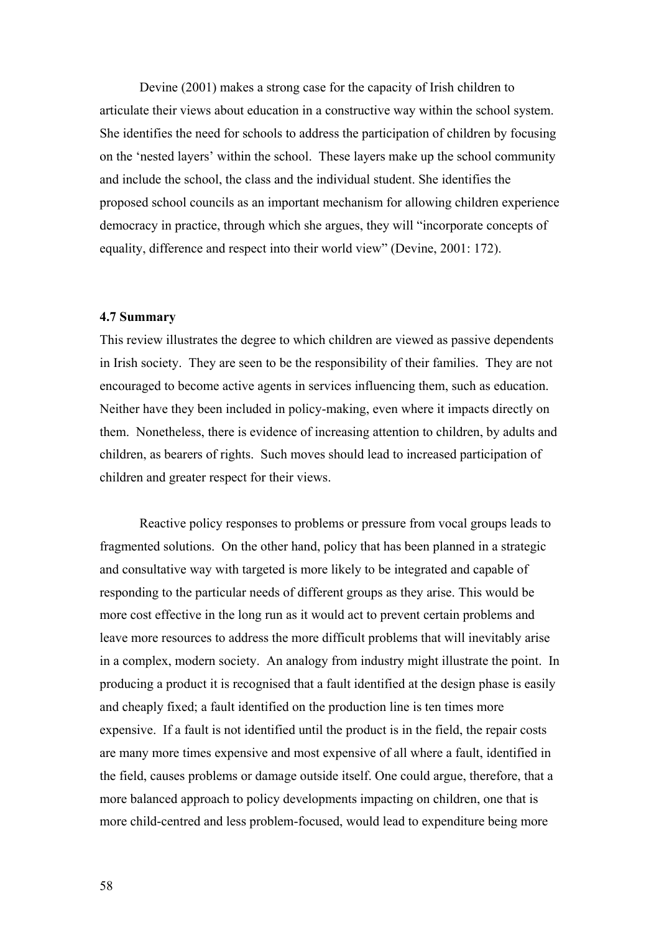Devine (2001) makes a strong case for the capacity of Irish children to articulate their views about education in a constructive way within the school system. She identifies the need for schools to address the participation of children by focusing on the 'nested layers' within the school. These layers make up the school community and include the school, the class and the individual student. She identifies the proposed school councils as an important mechanism for allowing children experience democracy in practice, through which she argues, they will "incorporate concepts of equality, difference and respect into their world view" (Devine, 2001: 172).

## **4.7 Summary**

This review illustrates the degree to which children are viewed as passive dependents in Irish society. They are seen to be the responsibility of their families. They are not encouraged to become active agents in services influencing them, such as education. Neither have they been included in policy-making, even where it impacts directly on them. Nonetheless, there is evidence of increasing attention to children, by adults and children, as bearers of rights. Such moves should lead to increased participation of children and greater respect for their views.

Reactive policy responses to problems or pressure from vocal groups leads to fragmented solutions. On the other hand, policy that has been planned in a strategic and consultative way with targeted is more likely to be integrated and capable of responding to the particular needs of different groups as they arise. This would be more cost effective in the long run as it would act to prevent certain problems and leave more resources to address the more difficult problems that will inevitably arise in a complex, modern society. An analogy from industry might illustrate the point. In producing a product it is recognised that a fault identified at the design phase is easily and cheaply fixed; a fault identified on the production line is ten times more expensive. If a fault is not identified until the product is in the field, the repair costs are many more times expensive and most expensive of all where a fault, identified in the field, causes problems or damage outside itself. One could argue, therefore, that a more balanced approach to policy developments impacting on children, one that is more child-centred and less problem-focused, would lead to expenditure being more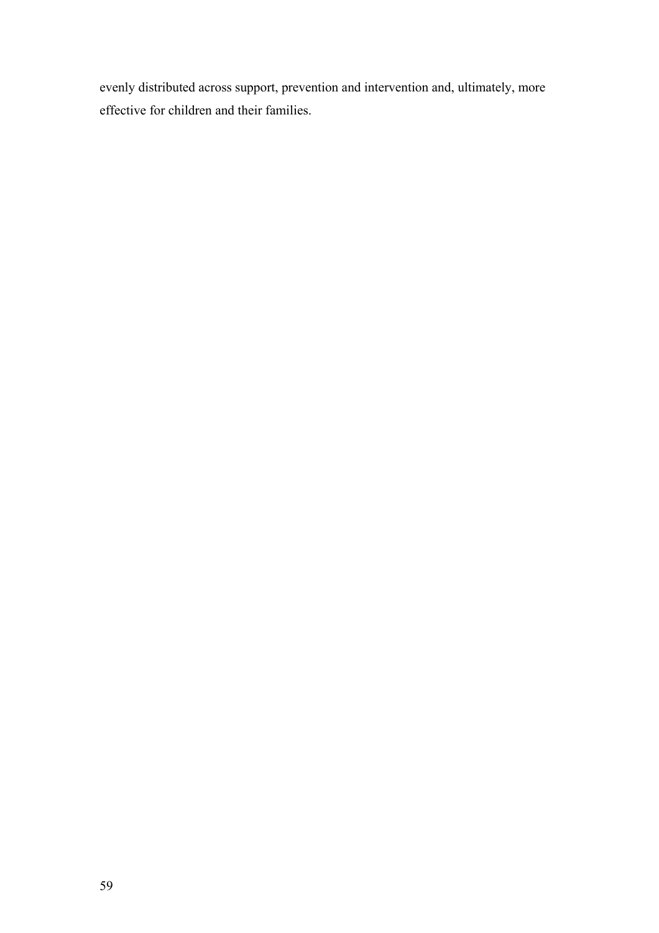evenly distributed across support, prevention and intervention and, ultimately, more effective for children and their families.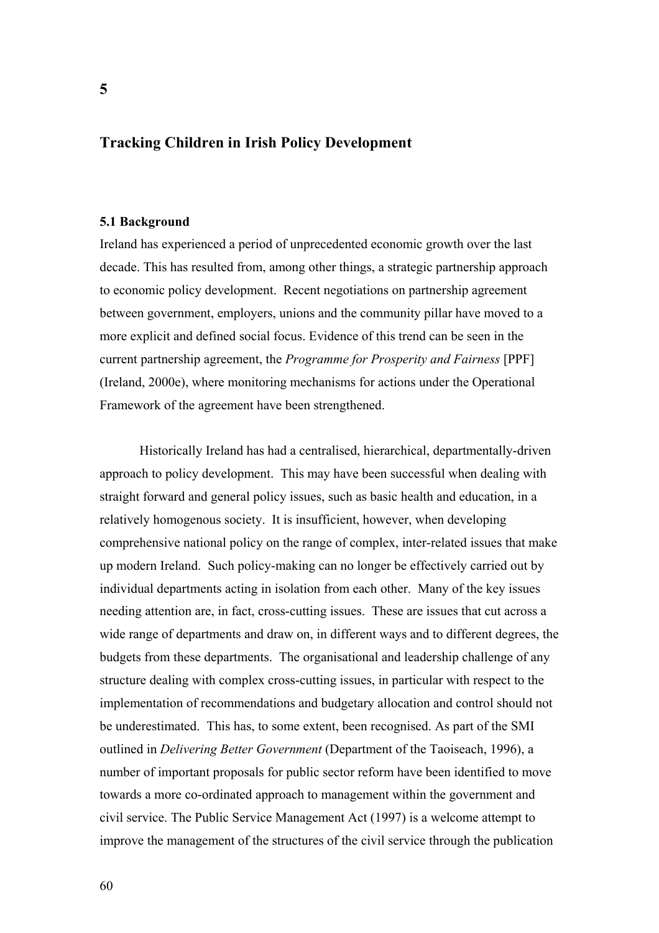# **Tracking Children in Irish Policy Development**

### **5.1 Background**

Ireland has experienced a period of unprecedented economic growth over the last decade. This has resulted from, among other things, a strategic partnership approach to economic policy development. Recent negotiations on partnership agreement between government, employers, unions and the community pillar have moved to a more explicit and defined social focus. Evidence of this trend can be seen in the current partnership agreement, the *Programme for Prosperity and Fairness* [PPF] (Ireland, 2000e), where monitoring mechanisms for actions under the Operational Framework of the agreement have been strengthened.

Historically Ireland has had a centralised, hierarchical, departmentally-driven approach to policy development. This may have been successful when dealing with straight forward and general policy issues, such as basic health and education, in a relatively homogenous society. It is insufficient, however, when developing comprehensive national policy on the range of complex, inter-related issues that make up modern Ireland. Such policy-making can no longer be effectively carried out by individual departments acting in isolation from each other. Many of the key issues needing attention are, in fact, cross-cutting issues. These are issues that cut across a wide range of departments and draw on, in different ways and to different degrees, the budgets from these departments. The organisational and leadership challenge of any structure dealing with complex cross-cutting issues, in particular with respect to the implementation of recommendations and budgetary allocation and control should not be underestimated. This has, to some extent, been recognised. As part of the SMI outlined in *Delivering Better Government* (Department of the Taoiseach, 1996), a number of important proposals for public sector reform have been identified to move towards a more co-ordinated approach to management within the government and civil service. The Public Service Management Act (1997) is a welcome attempt to improve the management of the structures of the civil service through the publication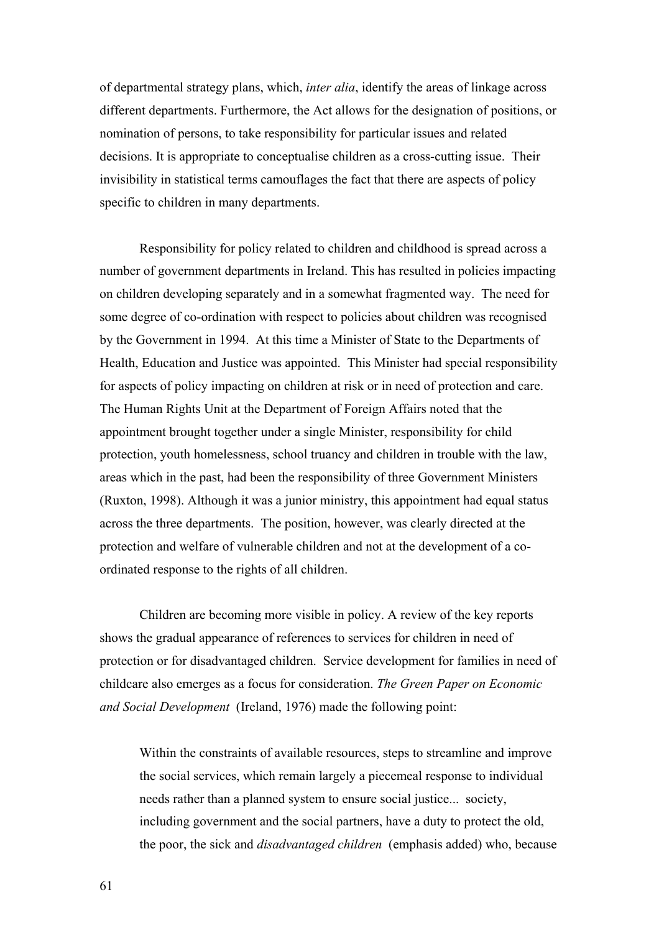of departmental strategy plans, which, *inter alia*, identify the areas of linkage across different departments. Furthermore, the Act allows for the designation of positions, or nomination of persons, to take responsibility for particular issues and related decisions. It is appropriate to conceptualise children as a cross-cutting issue. Their invisibility in statistical terms camouflages the fact that there are aspects of policy specific to children in many departments.

Responsibility for policy related to children and childhood is spread across a number of government departments in Ireland. This has resulted in policies impacting on children developing separately and in a somewhat fragmented way. The need for some degree of co-ordination with respect to policies about children was recognised by the Government in 1994. At this time a Minister of State to the Departments of Health, Education and Justice was appointed. This Minister had special responsibility for aspects of policy impacting on children at risk or in need of protection and care. The Human Rights Unit at the Department of Foreign Affairs noted that the appointment brought together under a single Minister, responsibility for child protection, youth homelessness, school truancy and children in trouble with the law, areas which in the past, had been the responsibility of three Government Ministers (Ruxton, 1998). Although it was a junior ministry, this appointment had equal status across the three departments. The position, however, was clearly directed at the protection and welfare of vulnerable children and not at the development of a coordinated response to the rights of all children.

Children are becoming more visible in policy. A review of the key reports shows the gradual appearance of references to services for children in need of protection or for disadvantaged children. Service development for families in need of childcare also emerges as a focus for consideration. *The Green Paper on Economic and Social Development* (Ireland, 1976) made the following point:

Within the constraints of available resources, steps to streamline and improve the social services, which remain largely a piecemeal response to individual needs rather than a planned system to ensure social justice... society, including government and the social partners, have a duty to protect the old, the poor, the sick and *disadvantaged children* (emphasis added) who, because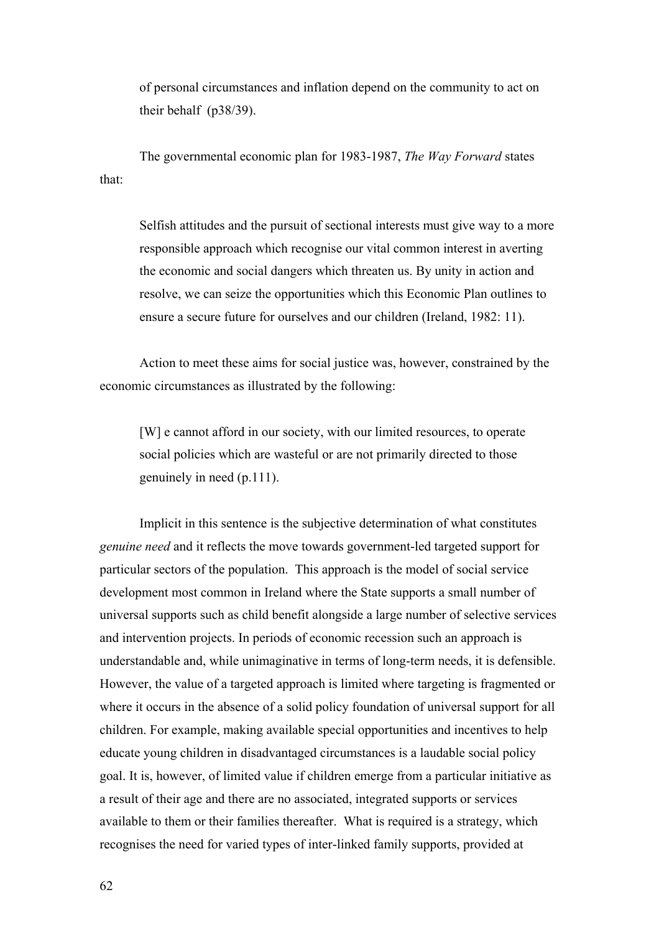of personal circumstances and inflation depend on the community to act on their behalf (p38/39).

The governmental economic plan for 1983-1987, *The Way Forward* states that:

Selfish attitudes and the pursuit of sectional interests must give way to a more responsible approach which recognise our vital common interest in averting the economic and social dangers which threaten us. By unity in action and resolve, we can seize the opportunities which this Economic Plan outlines to ensure a secure future for ourselves and our children (Ireland, 1982: 11).

Action to meet these aims for social justice was, however, constrained by the economic circumstances as illustrated by the following:

[W] e cannot afford in our society, with our limited resources, to operate social policies which are wasteful or are not primarily directed to those genuinely in need (p.111).

Implicit in this sentence is the subjective determination of what constitutes *genuine need* and it reflects the move towards government-led targeted support for particular sectors of the population. This approach is the model of social service development most common in Ireland where the State supports a small number of universal supports such as child benefit alongside a large number of selective services and intervention projects. In periods of economic recession such an approach is understandable and, while unimaginative in terms of long-term needs, it is defensible. However, the value of a targeted approach is limited where targeting is fragmented or where it occurs in the absence of a solid policy foundation of universal support for all children. For example, making available special opportunities and incentives to help educate young children in disadvantaged circumstances is a laudable social policy goal. It is, however, of limited value if children emerge from a particular initiative as a result of their age and there are no associated, integrated supports or services available to them or their families thereafter. What is required is a strategy, which recognises the need for varied types of inter-linked family supports, provided at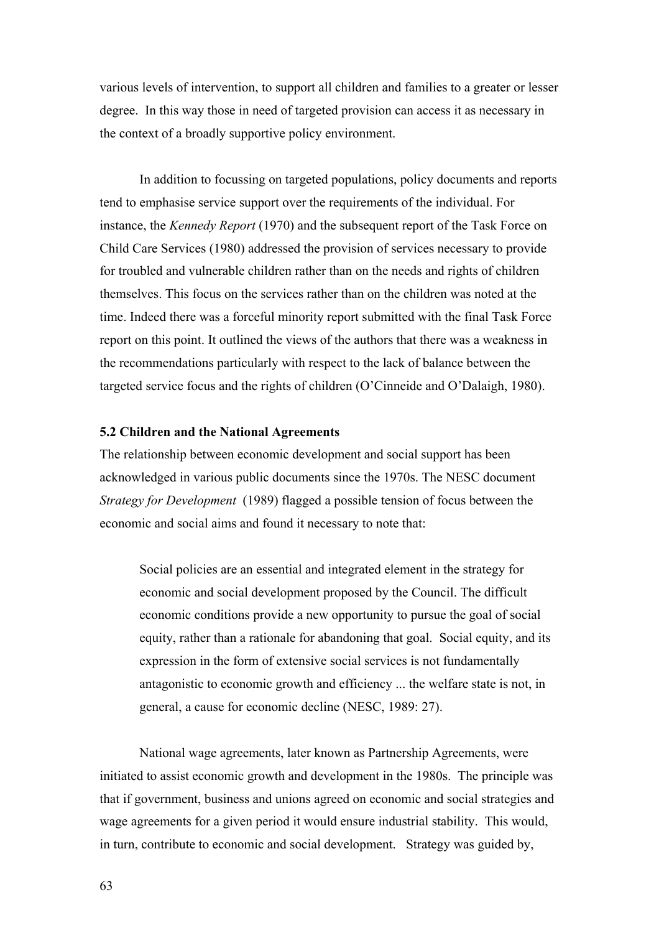various levels of intervention, to support all children and families to a greater or lesser degree. In this way those in need of targeted provision can access it as necessary in the context of a broadly supportive policy environment.

In addition to focussing on targeted populations, policy documents and reports tend to emphasise service support over the requirements of the individual. For instance, the *Kennedy Report* (1970) and the subsequent report of the Task Force on Child Care Services (1980) addressed the provision of services necessary to provide for troubled and vulnerable children rather than on the needs and rights of children themselves. This focus on the services rather than on the children was noted at the time. Indeed there was a forceful minority report submitted with the final Task Force report on this point. It outlined the views of the authors that there was a weakness in the recommendations particularly with respect to the lack of balance between the targeted service focus and the rights of children (O'Cinneide and O'Dalaigh, 1980).

## **5.2 Children and the National Agreements**

The relationship between economic development and social support has been acknowledged in various public documents since the 1970s. The NESC document *Strategy for Development* (1989) flagged a possible tension of focus between the economic and social aims and found it necessary to note that:

Social policies are an essential and integrated element in the strategy for economic and social development proposed by the Council. The difficult economic conditions provide a new opportunity to pursue the goal of social equity, rather than a rationale for abandoning that goal. Social equity, and its expression in the form of extensive social services is not fundamentally antagonistic to economic growth and efficiency ... the welfare state is not, in general, a cause for economic decline (NESC, 1989: 27).

National wage agreements, later known as Partnership Agreements, were initiated to assist economic growth and development in the 1980s. The principle was that if government, business and unions agreed on economic and social strategies and wage agreements for a given period it would ensure industrial stability. This would, in turn, contribute to economic and social development. Strategy was guided by,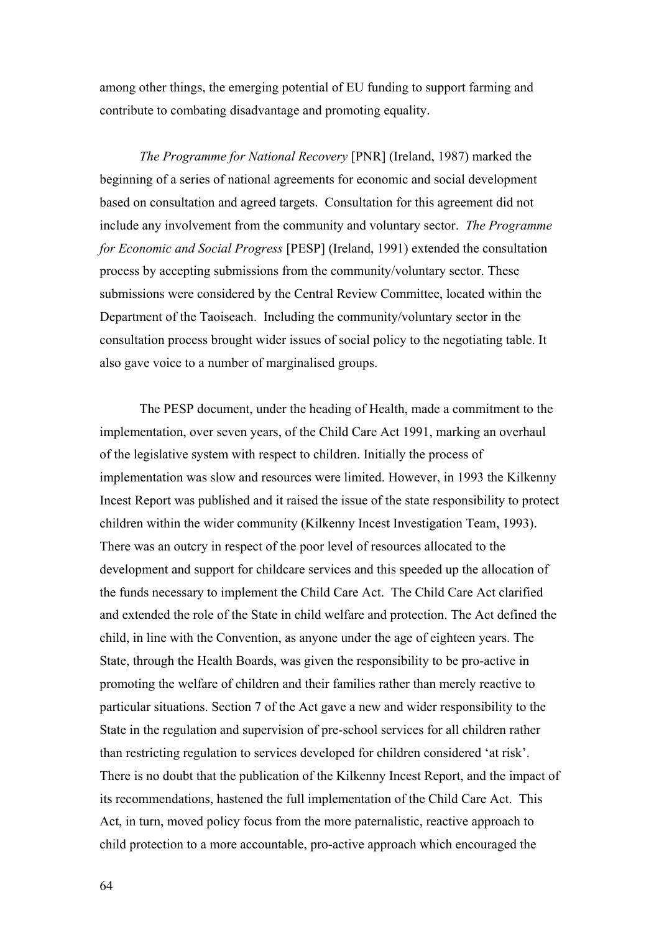among other things, the emerging potential of EU funding to support farming and contribute to combating disadvantage and promoting equality.

*The Programme for National Recovery* [PNR] (Ireland, 1987) marked the beginning of a series of national agreements for economic and social development based on consultation and agreed targets. Consultation for this agreement did not include any involvement from the community and voluntary sector. *The Programme for Economic and Social Progress* [PESP] (Ireland, 1991) extended the consultation process by accepting submissions from the community/voluntary sector. These submissions were considered by the Central Review Committee, located within the Department of the Taoiseach. Including the community/voluntary sector in the consultation process brought wider issues of social policy to the negotiating table. It also gave voice to a number of marginalised groups.

The PESP document, under the heading of Health, made a commitment to the implementation, over seven years, of the Child Care Act 1991, marking an overhaul of the legislative system with respect to children. Initially the process of implementation was slow and resources were limited. However, in 1993 the Kilkenny Incest Report was published and it raised the issue of the state responsibility to protect children within the wider community (Kilkenny Incest Investigation Team, 1993). There was an outcry in respect of the poor level of resources allocated to the development and support for childcare services and this speeded up the allocation of the funds necessary to implement the Child Care Act. The Child Care Act clarified and extended the role of the State in child welfare and protection. The Act defined the child, in line with the Convention, as anyone under the age of eighteen years. The State, through the Health Boards, was given the responsibility to be pro-active in promoting the welfare of children and their families rather than merely reactive to particular situations. Section 7 of the Act gave a new and wider responsibility to the State in the regulation and supervision of pre-school services for all children rather than restricting regulation to services developed for children considered 'at risk'. There is no doubt that the publication of the Kilkenny Incest Report, and the impact of its recommendations, hastened the full implementation of the Child Care Act. This Act, in turn, moved policy focus from the more paternalistic, reactive approach to child protection to a more accountable, pro-active approach which encouraged the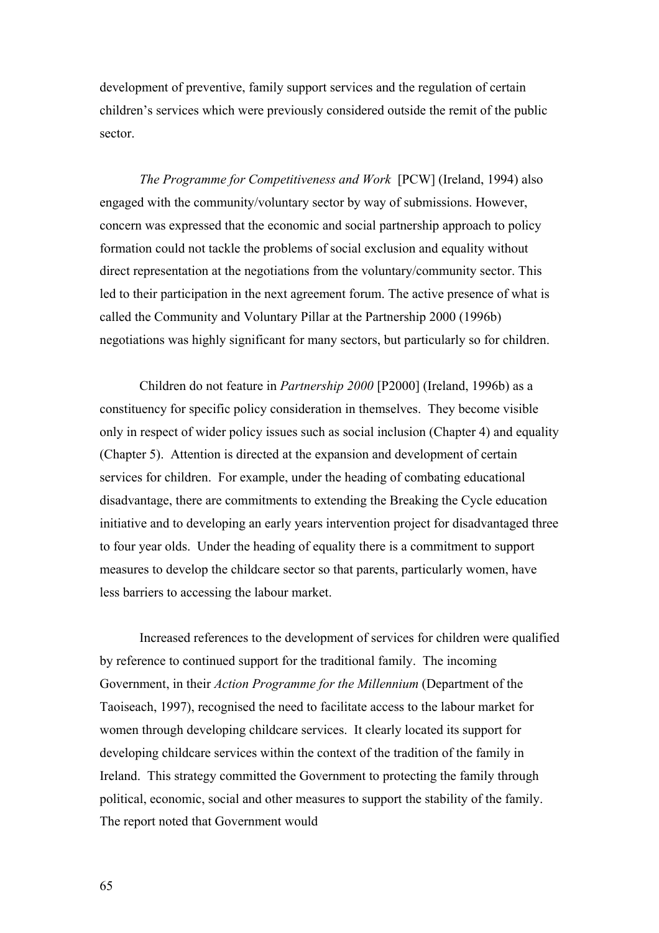development of preventive, family support services and the regulation of certain children's services which were previously considered outside the remit of the public sector.

*The Programme for Competitiveness and Work* [PCW] (Ireland, 1994) also engaged with the community/voluntary sector by way of submissions. However, concern was expressed that the economic and social partnership approach to policy formation could not tackle the problems of social exclusion and equality without direct representation at the negotiations from the voluntary/community sector. This led to their participation in the next agreement forum. The active presence of what is called the Community and Voluntary Pillar at the Partnership 2000 (1996b) negotiations was highly significant for many sectors, but particularly so for children.

Children do not feature in *Partnership 2000* [P2000] (Ireland, 1996b) as a constituency for specific policy consideration in themselves. They become visible only in respect of wider policy issues such as social inclusion (Chapter 4) and equality (Chapter 5). Attention is directed at the expansion and development of certain services for children. For example, under the heading of combating educational disadvantage, there are commitments to extending the Breaking the Cycle education initiative and to developing an early years intervention project for disadvantaged three to four year olds. Under the heading of equality there is a commitment to support measures to develop the childcare sector so that parents, particularly women, have less barriers to accessing the labour market.

Increased references to the development of services for children were qualified by reference to continued support for the traditional family. The incoming Government, in their *Action Programme for the Millennium* (Department of the Taoiseach, 1997), recognised the need to facilitate access to the labour market for women through developing childcare services. It clearly located its support for developing childcare services within the context of the tradition of the family in Ireland. This strategy committed the Government to protecting the family through political, economic, social and other measures to support the stability of the family. The report noted that Government would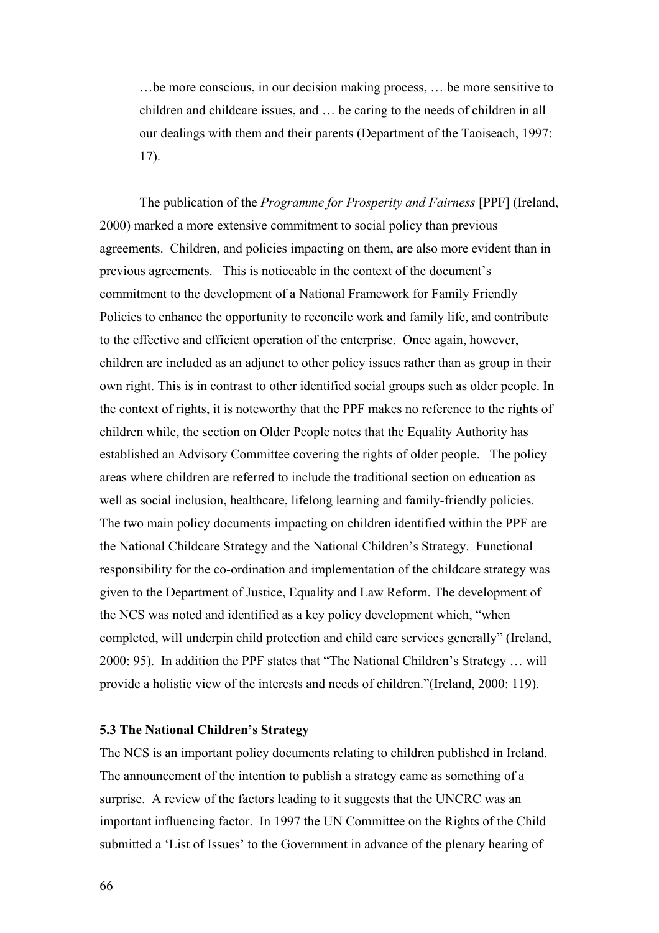…be more conscious, in our decision making process, … be more sensitive to children and childcare issues, and … be caring to the needs of children in all our dealings with them and their parents (Department of the Taoiseach, 1997: 17).

The publication of the *Programme for Prosperity and Fairness* [PPF] (Ireland, 2000) marked a more extensive commitment to social policy than previous agreements. Children, and policies impacting on them, are also more evident than in previous agreements. This is noticeable in the context of the document's commitment to the development of a National Framework for Family Friendly Policies to enhance the opportunity to reconcile work and family life, and contribute to the effective and efficient operation of the enterprise. Once again, however, children are included as an adjunct to other policy issues rather than as group in their own right. This is in contrast to other identified social groups such as older people. In the context of rights, it is noteworthy that the PPF makes no reference to the rights of children while, the section on Older People notes that the Equality Authority has established an Advisory Committee covering the rights of older people. The policy areas where children are referred to include the traditional section on education as well as social inclusion, healthcare, lifelong learning and family-friendly policies. The two main policy documents impacting on children identified within the PPF are the National Childcare Strategy and the National Children's Strategy. Functional responsibility for the co-ordination and implementation of the childcare strategy was given to the Department of Justice, Equality and Law Reform. The development of the NCS was noted and identified as a key policy development which, "when completed, will underpin child protection and child care services generally" (Ireland, 2000: 95). In addition the PPF states that "The National Children's Strategy … will provide a holistic view of the interests and needs of children."(Ireland, 2000: 119).

## **5.3 The National Children's Strategy**

The NCS is an important policy documents relating to children published in Ireland. The announcement of the intention to publish a strategy came as something of a surprise. A review of the factors leading to it suggests that the UNCRC was an important influencing factor. In 1997 the UN Committee on the Rights of the Child submitted a 'List of Issues' to the Government in advance of the plenary hearing of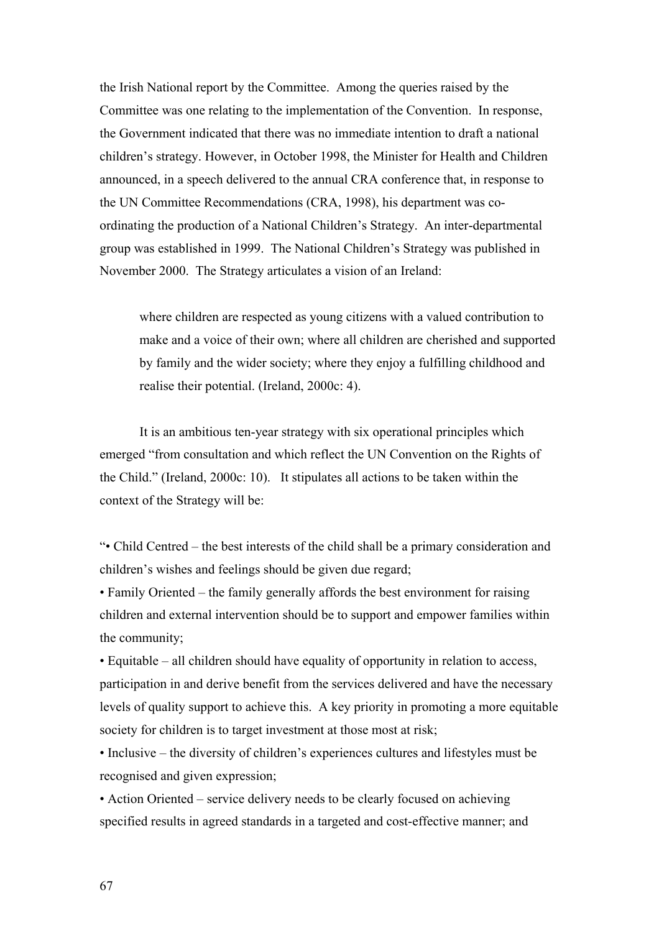the Irish National report by the Committee. Among the queries raised by the Committee was one relating to the implementation of the Convention. In response, the Government indicated that there was no immediate intention to draft a national children's strategy. However, in October 1998, the Minister for Health and Children announced, in a speech delivered to the annual CRA conference that, in response to the UN Committee Recommendations (CRA, 1998), his department was coordinating the production of a National Children's Strategy. An inter-departmental group was established in 1999. The National Children's Strategy was published in November 2000. The Strategy articulates a vision of an Ireland:

where children are respected as young citizens with a valued contribution to make and a voice of their own; where all children are cherished and supported by family and the wider society; where they enjoy a fulfilling childhood and realise their potential. (Ireland, 2000c: 4).

It is an ambitious ten-year strategy with six operational principles which emerged "from consultation and which reflect the UN Convention on the Rights of the Child." (Ireland, 2000c: 10). It stipulates all actions to be taken within the context of the Strategy will be:

"• Child Centred – the best interests of the child shall be a primary consideration and children's wishes and feelings should be given due regard;

• Family Oriented – the family generally affords the best environment for raising children and external intervention should be to support and empower families within the community;

• Equitable – all children should have equality of opportunity in relation to access, participation in and derive benefit from the services delivered and have the necessary levels of quality support to achieve this. A key priority in promoting a more equitable society for children is to target investment at those most at risk;

• Inclusive – the diversity of children's experiences cultures and lifestyles must be recognised and given expression;

• Action Oriented – service delivery needs to be clearly focused on achieving specified results in agreed standards in a targeted and cost-effective manner; and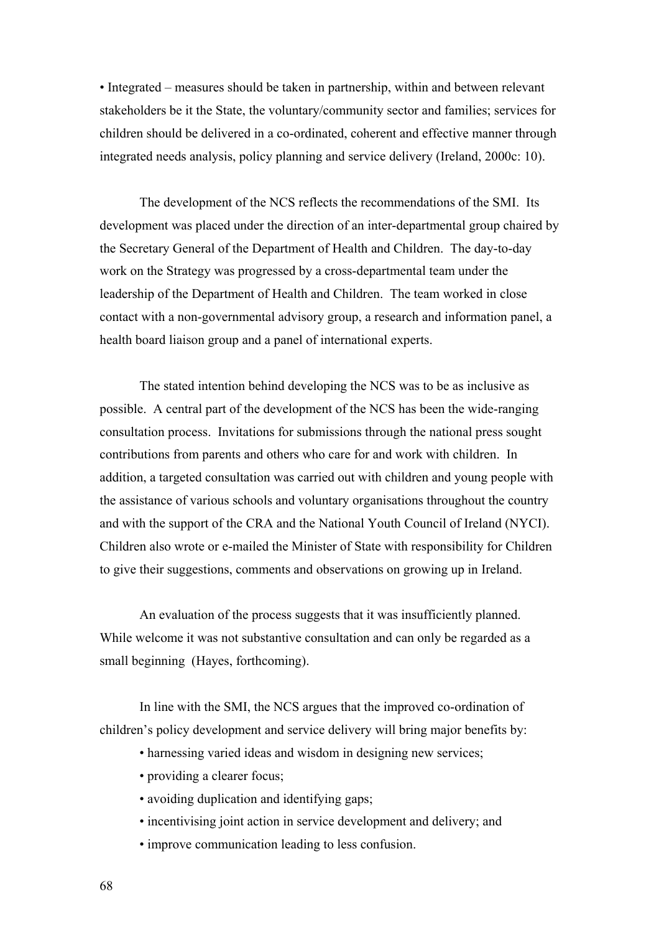• Integrated – measures should be taken in partnership, within and between relevant stakeholders be it the State, the voluntary/community sector and families; services for children should be delivered in a co-ordinated, coherent and effective manner through integrated needs analysis, policy planning and service delivery (Ireland, 2000c: 10).

The development of the NCS reflects the recommendations of the SMI. Its development was placed under the direction of an inter-departmental group chaired by the Secretary General of the Department of Health and Children. The day-to-day work on the Strategy was progressed by a cross-departmental team under the leadership of the Department of Health and Children. The team worked in close contact with a non-governmental advisory group, a research and information panel, a health board liaison group and a panel of international experts.

The stated intention behind developing the NCS was to be as inclusive as possible. A central part of the development of the NCS has been the wide-ranging consultation process. Invitations for submissions through the national press sought contributions from parents and others who care for and work with children. In addition, a targeted consultation was carried out with children and young people with the assistance of various schools and voluntary organisations throughout the country and with the support of the CRA and the National Youth Council of Ireland (NYCI). Children also wrote or e-mailed the Minister of State with responsibility for Children to give their suggestions, comments and observations on growing up in Ireland.

An evaluation of the process suggests that it was insufficiently planned. While welcome it was not substantive consultation and can only be regarded as a small beginning (Hayes, forthcoming).

In line with the SMI, the NCS argues that the improved co-ordination of children's policy development and service delivery will bring major benefits by:

- harnessing varied ideas and wisdom in designing new services;
- providing a clearer focus;
- avoiding duplication and identifying gaps;
- incentivising joint action in service development and delivery; and
- improve communication leading to less confusion.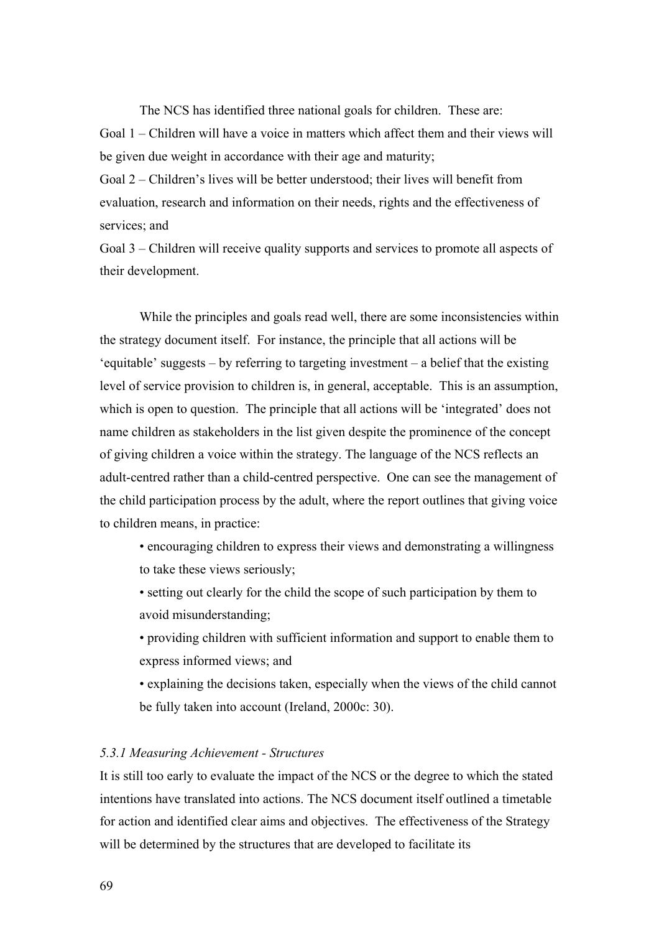The NCS has identified three national goals for children. These are:

Goal 1 – Children will have a voice in matters which affect them and their views will be given due weight in accordance with their age and maturity;

Goal 2 – Children's lives will be better understood; their lives will benefit from evaluation, research and information on their needs, rights and the effectiveness of services; and

Goal 3 – Children will receive quality supports and services to promote all aspects of their development.

While the principles and goals read well, there are some inconsistencies within the strategy document itself. For instance, the principle that all actions will be 'equitable' suggests – by referring to targeting investment – a belief that the existing level of service provision to children is, in general, acceptable. This is an assumption, which is open to question. The principle that all actions will be 'integrated' does not name children as stakeholders in the list given despite the prominence of the concept of giving children a voice within the strategy. The language of the NCS reflects an adult-centred rather than a child-centred perspective. One can see the management of the child participation process by the adult, where the report outlines that giving voice to children means, in practice:

• encouraging children to express their views and demonstrating a willingness to take these views seriously;

• setting out clearly for the child the scope of such participation by them to avoid misunderstanding;

• providing children with sufficient information and support to enable them to express informed views; and

• explaining the decisions taken, especially when the views of the child cannot be fully taken into account (Ireland, 2000c: 30).

## *5.3.1 Measuring Achievement - Structures*

It is still too early to evaluate the impact of the NCS or the degree to which the stated intentions have translated into actions. The NCS document itself outlined a timetable for action and identified clear aims and objectives. The effectiveness of the Strategy will be determined by the structures that are developed to facilitate its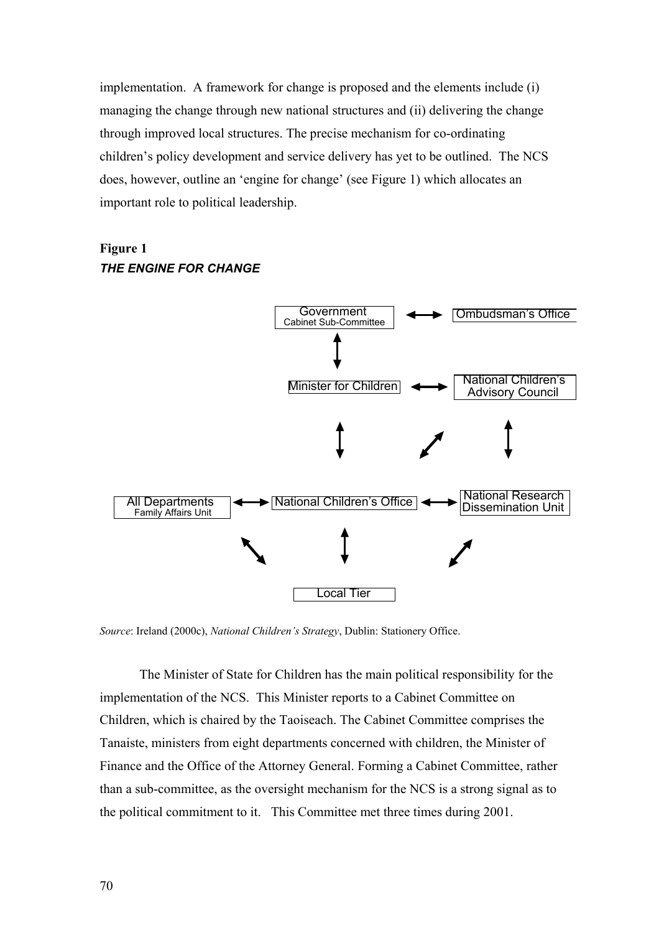implementation. A framework for change is proposed and the elements include (i) managing the change through new national structures and (ii) delivering the change through improved local structures. The precise mechanism for co-ordinating children's policy development and service delivery has yet to be outlined. The NCS does, however, outline an 'engine for change' (see Figure 1) which allocates an important role to political leadership.





Source: Ireland (2000c), *National Children's Strategy*, Dublin: Stationery Office.

The Minister of State for Children has the main political responsibility for the implem entation of the NCS. This Minister reports to a Cabinet Committee on Children, which is chaired by the Taoiseach. The Cabinet Committee comprises the Finance and the Office of the Attorney General. Forming a Cabinet Committee, rather Tanaiste, ministers from eight departments concerned with children, the Minister of than a sub-committee, as the oversight mechanism for the NCS is a strong signal as to the political commitment to it. This Committee met three times during 2001.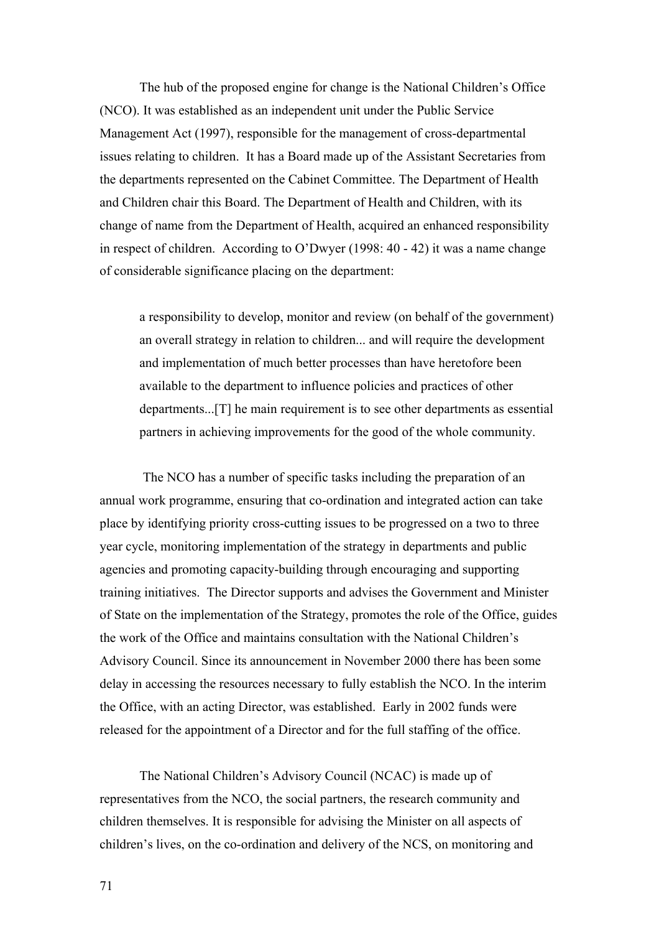The hub of the proposed engine for change is the National Children's Office (NCO) . It was established as an independent unit under the Public Service Management Act (1997), responsible for the management of cross-departmental issues relating to children. It has a Board made up of the Assistant Secretaries from change of name from the Department of Health, acquired an enhanced responsibility the departments represented on the Cabinet Committee. The Department of Health and Children chair this Board. The Department of Health and Children, with its in respect of children. According to O'Dwyer (1998: 40 - 42) it was a name change of considerable significance placing on the department:

a responsibility to develop, monitor and review (on behalf of the government) departments...[T] he main requirement is to see other departments as essential an overall strategy in relation to children... and will require the development and implementation of much better processes than have heretofore been available to the department to influence policies and practices of other partners in achieving improvements for the good of the whole community.

 The NCO has a number of specific tasks including the preparation of an annual work programme, ensuring that co-ordination and integrated action can take training initiatives. The Director supports and advises the Government and Minister Advisory Council. Since its announcement in November 2000 there has been some place by identifying priority cross-cutting issues to be progressed on a two to three year cycle, monitoring implementation of the strategy in departments and public agencies and promoting capacity-building through encouraging and supporting of State on the implementation of the Strategy, promotes the role of the Office, guides the work of the Office and maintains consultation with the National Children's delay in accessing the resources necessary to fully establish the NCO. In the interim the Office, with an acting Director, was established. Early in 2002 funds were released for the appointment of a Director and for the full staffing of the office.

The National Children's Advisory Council (NCAC) is made up of representatives from the NCO, the social partners, the research community and children's lives, on the co-ordination and delivery of the NCS, on monitoring and children themselves. It is responsible for advising the Minister on all aspects of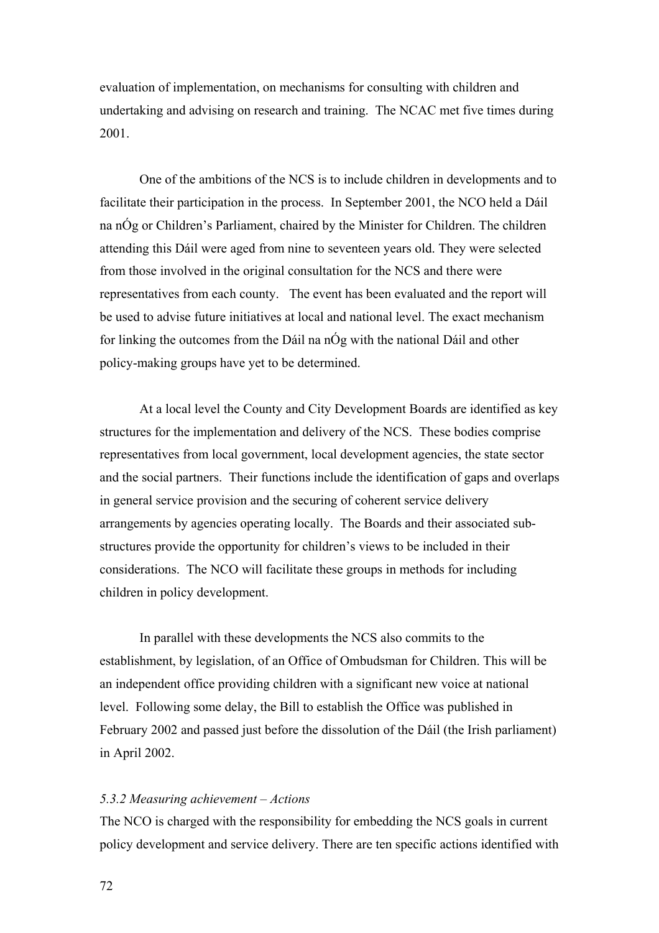evaluation of implementation, on mechanisms for consulting with children and undertaking and advising on research and training. The NCAC met five times d uring 2001.

One of the ambitions of the NCS is to include children in developments and to representatives from each county. The event has been evaluated and the report will facilitate their participation in the process. In September 2001, the NCO held a Dáil na nÓg or Children's Parliament, chaired by the Minister for Children. The children attending this Dáil were aged from nine to seventeen years old. They were selected from those involved in the original consultation for the NCS and there were be used to advise future initiatives at local and national level. The exact mechanism for linking the outcomes from the Dáil na nÓg with the national Dáil and other policy-making groups have yet to be determined.

At a local level the County and City Development Boards are identified as key structur es for the implementation and delivery of the NCS. These bodies comprise and the social partners. Their functions include the identification of gaps and overlaps arrangements by agencies operating locally. The Boards and their associated subrepresentatives from local government, local development agencies, the state sector in general service provision and the securing of coherent service delivery structures provide the opportunity for children's views to be included in their considerations. The NCO will facilitate these groups in methods for including children in policy development.

In parallel with these developments the NCS also commits to the establishment, by legislation, of an Office of Ombudsman for Children. This will be February 2002 and passed just before the dissolution of the Dáil (the Irish parliament) an independent office providing children with a significant new voice at national level. Following some delay, the Bill to establish the Office was published in in April 2002.

# *5.3.2 Measuring achievement – Actions*

The NCO is charged with the responsibility for embedding the NCS goals in current policy development and service delivery. There are ten specific actions identified with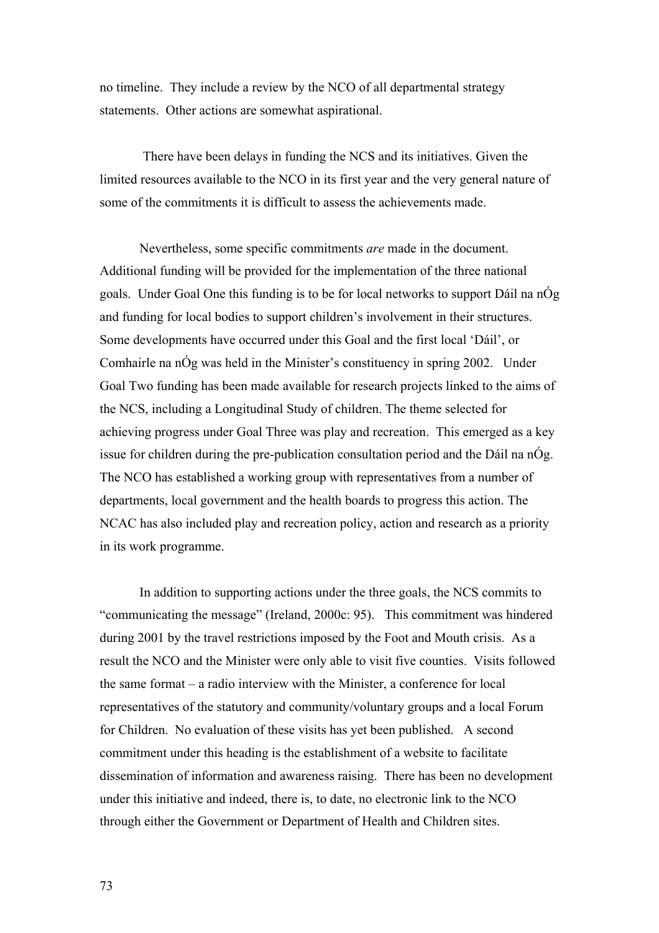no timeline. They include a review by the NCO of all departmental strategy statements. Other actions are somewhat aspirational.

 There have been delays in funding the NCS and its initiatives. Given the limited resources available to the NCO in its first year and the very general nature of some o f the commitments it is difficult to assess the achievements made.

Nevertheless, some specific commitments *are* made in the document. Additional funding will be provided for the implementation of the three national goals. Under Goal One this funding is to be for local networks to support Dáil na nÓg Goal Two funding has been made available for research projects linked to the aims of issue for children during the pre-publication consultation period and the Dáil na nÓg. NCAC has also included play and recreation policy, action and research as a priority and funding for local bodies to support children's involvement in their structures. Some developments have occurred under this Goal and the first local 'Dáil', or Comhairle na nÓg was held in the Minister's constituency in spring 2002. Under the NCS, including a Longitudinal Study of children. The theme selected for achieving progress under Goal Three was play and recreation. This emerged as a key The NCO has established a working group with representatives from a number of departments, local government and the health boards to progress this action. The in its work programme.

In addition to supporting actions under the three goals, the NCS commits to "communicating the message" (Ireland, 2000c: 95). This commitment was hindered dissemination of information and awareness raising. There has been no development during 2001 by the travel restrictions imposed by the Foot and Mouth crisis. As a result the NCO and the Minister were only able to visit five counties. Visits followed the same format – a radio interview with the Minister, a conference for local representatives of the statutory and community/voluntary groups and a local Forum for Children. No evaluation of these visits has yet been published. A second commitment under this heading is the establishment of a website to facilitate under this initiative and indeed, there is, to date, no electronic link to the NCO through either the Government or Department of Health and Children sites.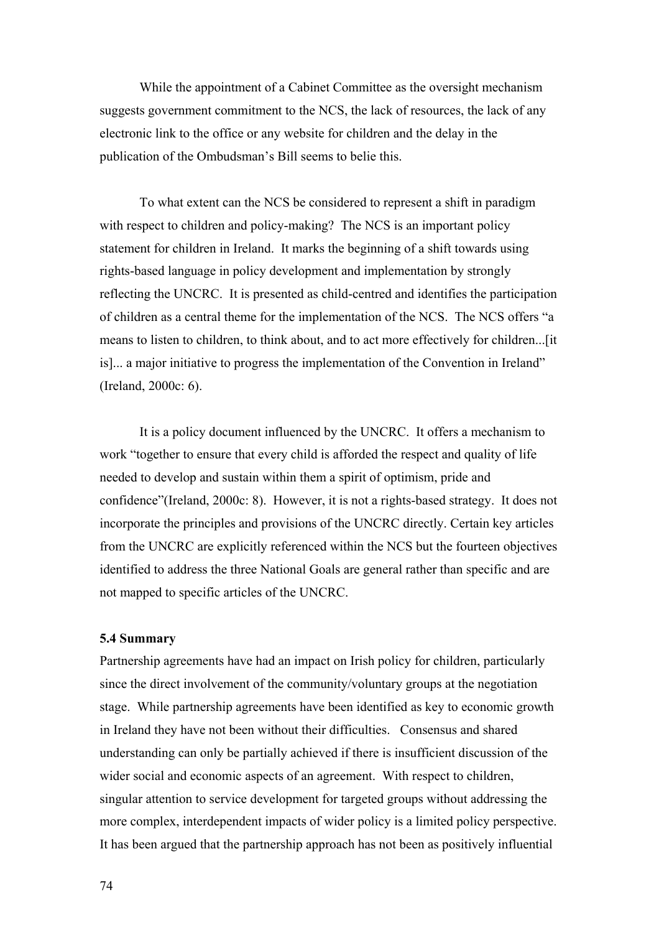While the appointment of a Cabinet Committee as the oversight mechan ism suggests government commitment to the NCS, the lack of resources, the lack of any electronic link to the office or any website for children and the delay in the publication of the Ombudsman's Bill seems to belie this.

To what extent can the NCS be considered to represent a shift in paradigm with respect to children and policy-making? The NCS is an important policy statement for children in Ireland. It marks the beginning of a shift towards using rights-b ased language in policy development and implementation by strongly reflecting the UNCRC. It is presented as child-centred and identifies the participation of children as a central theme for the implementation of the NCS. The NCS offers "a means to listen to children, to think about, and to act more effectively for children...[it is]... a major initiative to progress the implementation of the Convention in Ireland" (Ireland, 2000c: 6).

work "together to ensure that every child is afforded the respect and quality of life needed to develop and sustain within them a spirit of optimism, pride and confidence"(Ireland, 2000c: 8). However, it is not a rights-based strategy. It does not incorporate the principles and provisions of the UNCRC directly. Certain key articles from the UNCRC are explicitly referenced within the NCS but the fourteen objectives It is a policy document influenced by the UNCRC. It offers a mechanism to identified to address the three National Goals are general rather than specific and are not mapped to specific articles of the UNCRC.

## **5.4 Summary**

Partnership agreements have had an impact on Irish policy for children, particularly since the direct involvement of the community/voluntary groups at the negotiation stage. While partnership agreements have been identified as key to economic growth singular attention to service development for targeted groups without addressing the more complex, interdependent impacts of wider policy is a limited policy perspective. It has been argued that the partnership approach has not been as positively influential in Ireland they have not been without their difficulties. Consensus and shared understanding can only be partially achieved if there is insufficient discussion of the wider social and economic aspects of an agreement. With respect to children,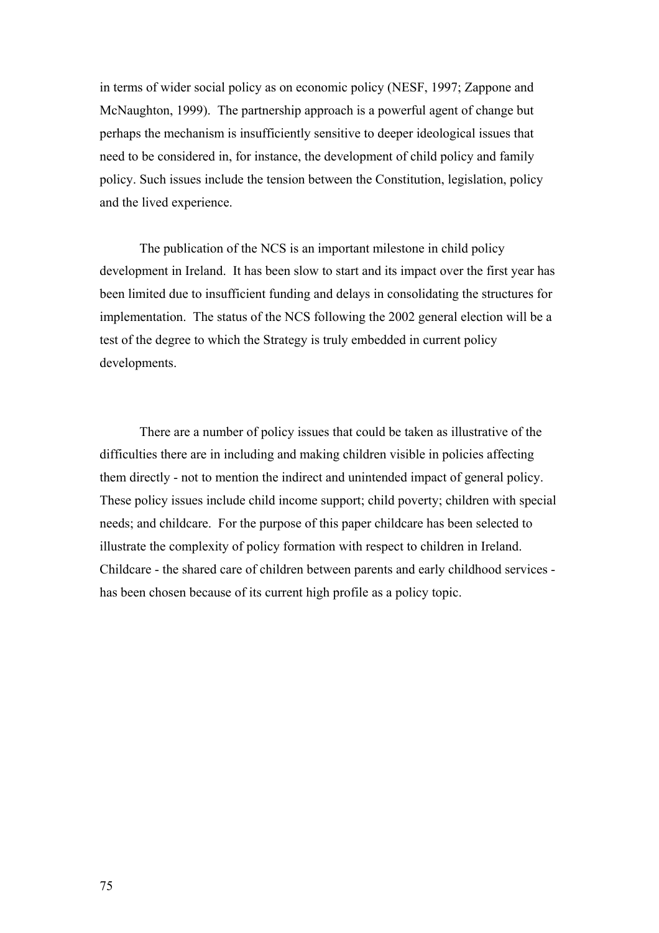in terms of wider social policy as on economic policy (NESF, 1997; Zappone and McNaughton, 1999). The partnership approach is a powerful agent of change but perhaps the mechanism is insufficiently sensitive to deeper ideological issues that need to be considered in, for instance, the development of child policy and family policy. Such issues include the tension between the Constitution, legislation, policy and the lived experience.

The publication of the NCS is an important milestone in child policy development in Ireland. It has been slow to start and its impact over the first year has been limited due to insufficient funding and delays in consolidating the structures for implementation. The status of the NCS following the 2002 general election will be a test of the degree to which the Strategy is truly embedded in current policy developments.

There are a number of policy issues that could be taken as illustrative of the difficulties there are in including and making children visible in policies affecting them directly - not to mention the indirect and unintended impact of general policy. These policy issues include child income support; child poverty; children with special needs; and childcare. For the purpose of this paper childcare has been selected to illustrate the complexity of policy formation with respect to children in Ireland. Childcare - the shared care of children between parents and early childhood services has been chosen because of its current high profile as a policy topic.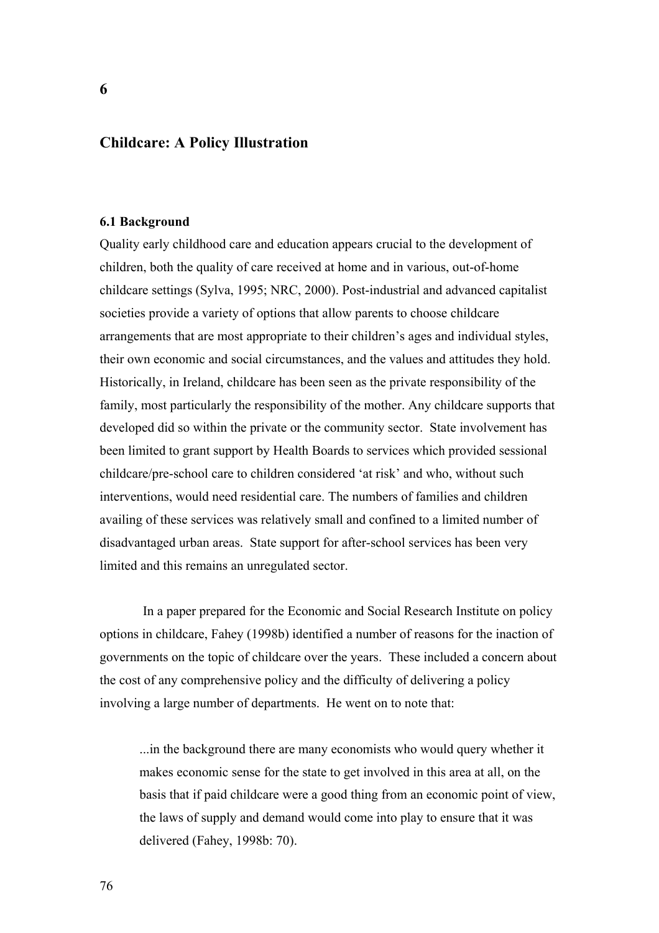# **Childcare: A Policy Illustration**

#### **6.1 Background**

Quality early childhood care and education appears crucial to the development of children, both the quality of care received at home and in various, out-of-home childcare settings (Sylva, 1995; NRC, 2000). Post-industrial and advanced capitalist societies provide a variety of options that allow parents to choose childcare arrangements that are most appropriate to their children's ages and individual styles, their own economic and social circumstances, and the values and attitudes they hold. Historically, in Ireland, childcare has been seen as the private responsibility of the family, most particularly the responsibility of the mother. Any childcare supports that developed did so within the private or the community sector. State involvement has been limited to grant support by Health Boards to services which provided sessional childcare/pre-school care to children considered 'at risk' and who, without such interventions, would need residential care. The numbers of families and children availing of these services was relatively small and confined to a limited number of disadvantaged urban areas. State support for after-school services has been very limited and this remains an unregulated sector.

 In a paper prepared for the Economic and Social Research Institute on policy options in childcare, Fahey (1998b) identified a number of reasons for the inaction of governments on the topic of childcare over the years. These included a concern about the cost of any comprehensive policy and the difficulty of delivering a policy involving a large number of departments. He went on to note that:

...in the background there are many economists who would query whether it makes economic sense for the state to get involved in this area at all, on the basis that if paid childcare were a good thing from an economic point of view, the laws of supply and demand would come into play to ensure that it was delivered (Fahey, 1998b: 70).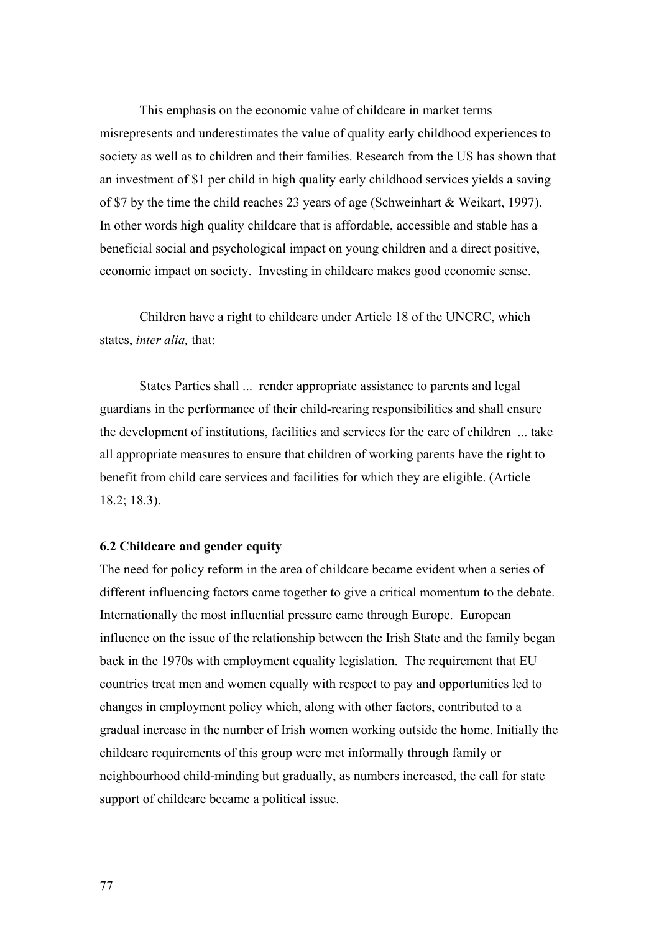This emphasis on the economic value of childcare in market terms misrepresents and underestimates the value of quality early childhood experiences to society as well as to children and their families. Research from the US has shown that an investment of \$1 per child in high quality early childhood services yields a saving of \$7 by the time the child reaches 23 years of age (Schweinhart & Weikart, 1997). In other words high quality childcare that is affordable, accessible and stable has a beneficial social and psychological impact on young children and a direct positive, economic impact on society. Investing in childcare makes good economic sense.

Children have a right to childcare under Article 18 of the UNCRC, which states, *inter alia,* that:

States Parties shall ... render appropriate assistance to parents and legal guardians in the performance of their child-rearing responsibilities and shall ensure the development of institutions, facilities and services for the care of children ... take all appropriate measures to ensure that children of working parents have the right to benefit from child care services and facilities for which they are eligible. (Article 18.2; 18.3).

### **6.2 Childcare and gender equity**

The need for policy reform in the area of childcare became evident when a series of different influencing factors came together to give a critical momentum to the debate. Internationally the most influential pressure came through Europe. European influence on the issue of the relationship between the Irish State and the family began back in the 1970s with employment equality legislation. The requirement that EU countries treat men and women equally with respect to pay and opportunities led to changes in employment policy which, along with other factors, contributed to a gradual increase in the number of Irish women working outside the home. Initially the childcare requirements of this group were met informally through family or neighbourhood child-minding but gradually, as numbers increased, the call for state support of childcare became a political issue.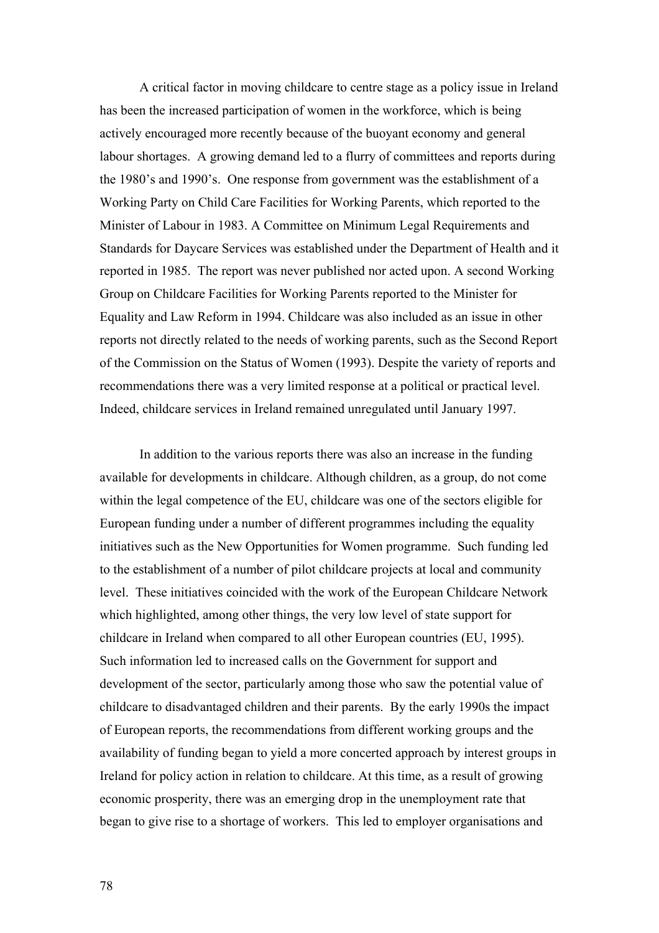A critical factor in moving childcare to centre stage as a policy issue in Ireland has been the increased participation of women in the workforce, which is being actively encouraged more recently because of the buoyant economy and general labour shortages. A growing demand led to a flurry of committees and reports during the 1980's and 1990's. One response from government was the establishment of a Working Party on Child Care Facilities for Working Parents, which reported to the Minister of Labour in 1983. A Committee on Minimum Legal Requirements and Standards for Daycare Services was established under the Department of Health and it reported in 1985. The report was never published nor acted upon. A second Working Group on Childcare Facilities for Working Parents reported to the Minister for Equality and Law Reform in 1994. Childcare was also included as an issue in other reports not directly related to the needs of working parents, such as the Second Report of the Commission on the Status of Women (1993). Despite the variety of reports and recommendations there was a very limited response at a political or practical level. Indeed, childcare services in Ireland remained unregulated until January 1997.

In addition to the various reports there was also an increase in the funding available for developments in childcare. Although children, as a group, do not come within the legal competence of the EU, childcare was one of the sectors eligible for European funding under a number of different programmes including the equality initiatives such as the New Opportunities for Women programme. Such funding led to the establishment of a number of pilot childcare projects at local and community level. These initiatives coincided with the work of the European Childcare Network which highlighted, among other things, the very low level of state support for childcare in Ireland when compared to all other European countries (EU, 1995). Such information led to increased calls on the Government for support and development of the sector, particularly among those who saw the potential value of childcare to disadvantaged children and their parents. By the early 1990s the impact of European reports, the recommendations from different working groups and the availability of funding began to yield a more concerted approach by interest groups in Ireland for policy action in relation to childcare. At this time, as a result of growing economic prosperity, there was an emerging drop in the unemployment rate that began to give rise to a shortage of workers. This led to employer organisations and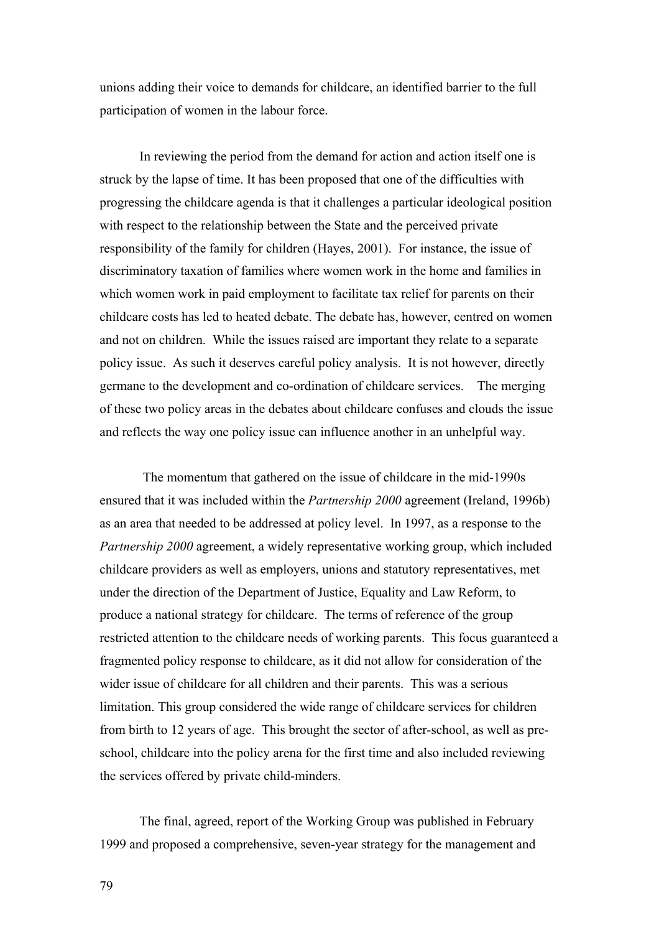unions adding their voice to demands for childcare, an identified barrier to the full participation of women in the labour force.

In reviewing the period from the demand for action and action itself one is struck by the lapse of time. It has been proposed that one of the difficulties with progressing the childcare agenda is that it challenges a particular ideological position with respect to the relationship between the State and the perceived private responsibility of the family for children (Hayes, 2001). For instance, the issue of discriminatory taxation of families where women work in the home and families in which women work in paid employment to facilitate tax relief for parents on their childcare costs has led to heated debate. The debate has, however, centred on women and not on children. While the issues raised are important they relate to a separate policy issue. As such it deserves careful policy analysis. It is not however, directly germane to the development and co-ordination of childcare services. The merging of these two policy areas in the debates about childcare confuses and clouds the issue and reflects the way one policy issue can influence another in an unhelpful way.

 The momentum that gathered on the issue of childcare in the mid-1990s ensured that it was included within the *Partnership 2000* agreement (Ireland, 1996b) as an area that needed to be addressed at policy level. In 1997, as a response to the *Partnership 2000* agreement, a widely representative working group, which included childcare providers as well as employers, unions and statutory representatives, met under the direction of the Department of Justice, Equality and Law Reform, to produce a national strategy for childcare. The terms of reference of the group restricted attention to the childcare needs of working parents. This focus guaranteed a fragmented policy response to childcare, as it did not allow for consideration of the wider issue of childcare for all children and their parents. This was a serious limitation. This group considered the wide range of childcare services for children from birth to 12 years of age. This brought the sector of after-school, as well as preschool, childcare into the policy arena for the first time and also included reviewing the services offered by private child-minders.

The final, agreed, report of the Working Group was published in February 1999 and proposed a comprehensive, seven-year strategy for the management and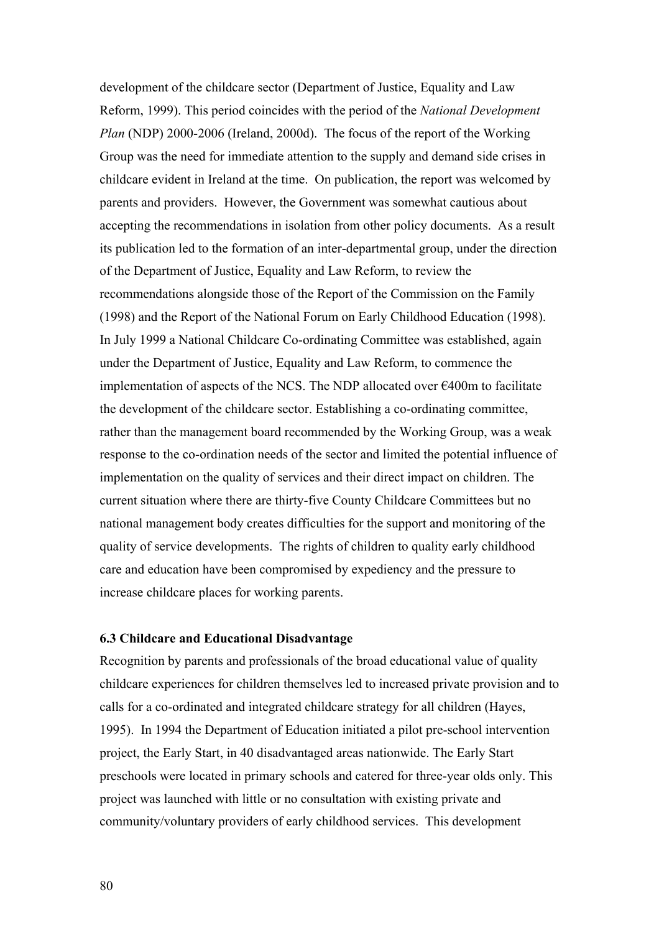development of the childcare sector (Department of Justice, Equality and Law Reform, 1999). This period coincides with the period of the *National Development Plan* (NDP) 2000-2006 (Ireland, 2000d). The focus of the report of the Working Group was the need for immediate attention to the supply and demand side crises in childcare evident in Ireland at the time. On publication, the report was welcomed by parents and providers. However, the Government was somewhat cautious about accepting the recommendations in isolation from other policy documents. As a result its publication led to the formation of an inter-departmental group, under the direction of the Department of Justice, Equality and Law Reform, to review the recommendations alongside those of the Report of the Commission on the Family (1998) and the Report of the National Forum on Early Childhood Education (1998). In July 1999 a National Childcare Co-ordinating Committee was established, again under the Department of Justice, Equality and Law Reform, to commence the implementation of aspects of the NCS. The NDP allocated over €400m to facilitate the development of the childcare sector. Establishing a co-ordinating committee, rather than the management board recommended by the Working Group, was a weak response to the co-ordination needs of the sector and limited the potential influence of implementation on the quality of services and their direct impact on children. The current situation where there are thirty-five County Childcare Committees but no national management body creates difficulties for the support and monitoring of the quality of service developments. The rights of children to quality early childhood care and education have been compromised by expediency and the pressure to increase childcare places for working parents.

## **6.3 Childcare and Educational Disadvantage**

Recognition by parents and professionals of the broad educational value of quality childcare experiences for children themselves led to increased private provision and to calls for a co-ordinated and integrated childcare strategy for all children (Hayes, 1995). In 1994 the Department of Education initiated a pilot pre-school intervention project, the Early Start, in 40 disadvantaged areas nationwide. The Early Start preschools were located in primary schools and catered for three-year olds only. This project was launched with little or no consultation with existing private and community/voluntary providers of early childhood services. This development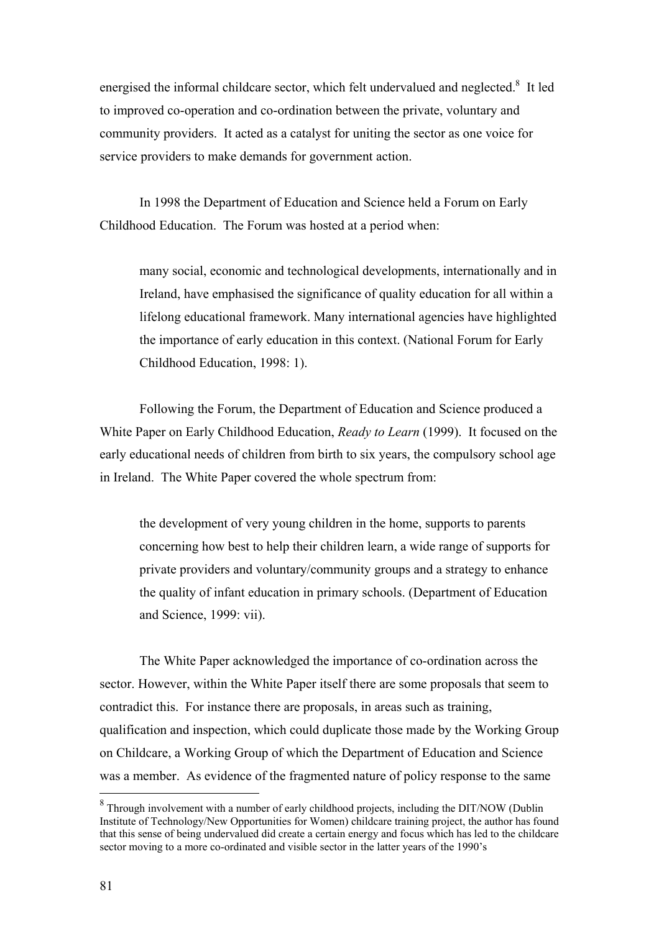energised the informal childcare sector, which felt undervalued and neglected. $8$  It led to improved co-operation and co-ordination between the private, voluntary and community providers. It acted as a catalyst for uniting the sector as one voice for service providers to make demands for government action.

In 1998 the Department of Education and Science held a Forum on Early Childhood Education. The Forum was hosted at a period when:

many social, economic and technological developments, internationally and in Ireland, have emphasised the significance of quality education for all within a lifelong educational framework. Many international agencies have highlighted the importance of early education in this context. (National Forum for Early Childhood Education, 1998: 1).

Following the Forum, the Department of Education and Science produced a White Paper on Early Childhood Education, *Ready to Learn* (1999). It focused on the early educational needs of children from birth to six years, the compulsory school age in Ireland. The White Paper covered the whole spectrum from:

the development of very young children in the home, supports to parents concerning how best to help their children learn, a wide range of supports for private providers and voluntary/community groups and a strategy to enhance the quality of infant education in primary schools. (Department of Education and Science, 1999: vii).

The White Paper acknowledged the importance of co-ordination across the sector. However, within the White Paper itself there are some proposals that seem to contradict this. For instance there are proposals, in areas such as training, qualification and inspection, which could duplicate those made by the Working Group on Childcare, a Working Group of which the Department of Education and Science was a member. As evidence of the fragmented nature of policy response to the same

 $\overline{a}$ 

<span id="page-81-0"></span> $8$  Through involvement with a number of early childhood projects, including the DIT/NOW (Dublin Institute of Technology/New Opportunities for Women) childcare training project, the author has found that this sense of being undervalued did create a certain energy and focus which has led to the childcare sector moving to a more co-ordinated and visible sector in the latter years of the 1990's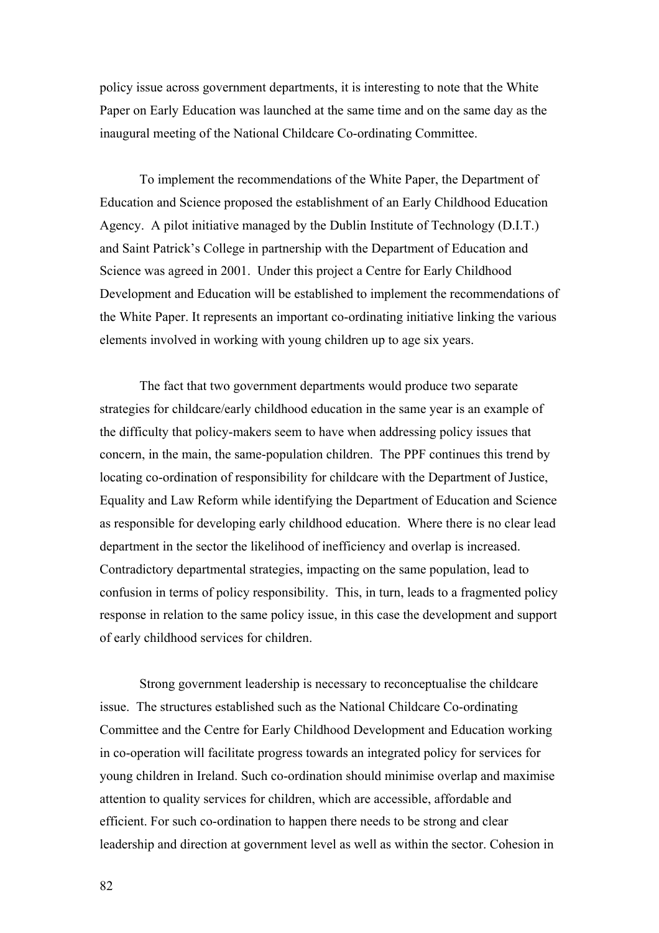policy issue across government departments, it is interesting to note that the White Paper on Early Education was launched at the same time and on the same day as the inaugural meeting of the National Childcare Co-ordinating Committee.

To implement the recommendations of the White Paper, the Department of Education and Science proposed the establishment of an Early Childhood Education Agency. A pilot initiative managed by the Dublin Institute of Technology (D.I.T.) and Saint Patrick's College in partnership with the Department of Education and Science was agreed in 2001. Under this project a Centre for Early Childhood Development and Education will be established to implement the recommendations of the White Paper. It represents an important co-ordinating initiative linking the various elements involved in working with young children up to age six years.

The fact that two government departments would produce two separate strategies for childcare/early childhood education in the same year is an example of the difficulty that policy-makers seem to have when addressing policy issues that concern, in the main, the same-population children. The PPF continues this trend by locating co-ordination of responsibility for childcare with the Department of Justice, Equality and Law Reform while identifying the Department of Education and Science as responsible for developing early childhood education. Where there is no clear lead department in the sector the likelihood of inefficiency and overlap is increased. Contradictory departmental strategies, impacting on the same population, lead to confusion in terms of policy responsibility. This, in turn, leads to a fragmented policy response in relation to the same policy issue, in this case the development and support of early childhood services for children.

Strong government leadership is necessary to reconceptualise the childcare issue. The structures established such as the National Childcare Co-ordinating Committee and the Centre for Early Childhood Development and Education working in co-operation will facilitate progress towards an integrated policy for services for young children in Ireland. Such co-ordination should minimise overlap and maximise attention to quality services for children, which are accessible, affordable and efficient. For such co-ordination to happen there needs to be strong and clear leadership and direction at government level as well as within the sector. Cohesion in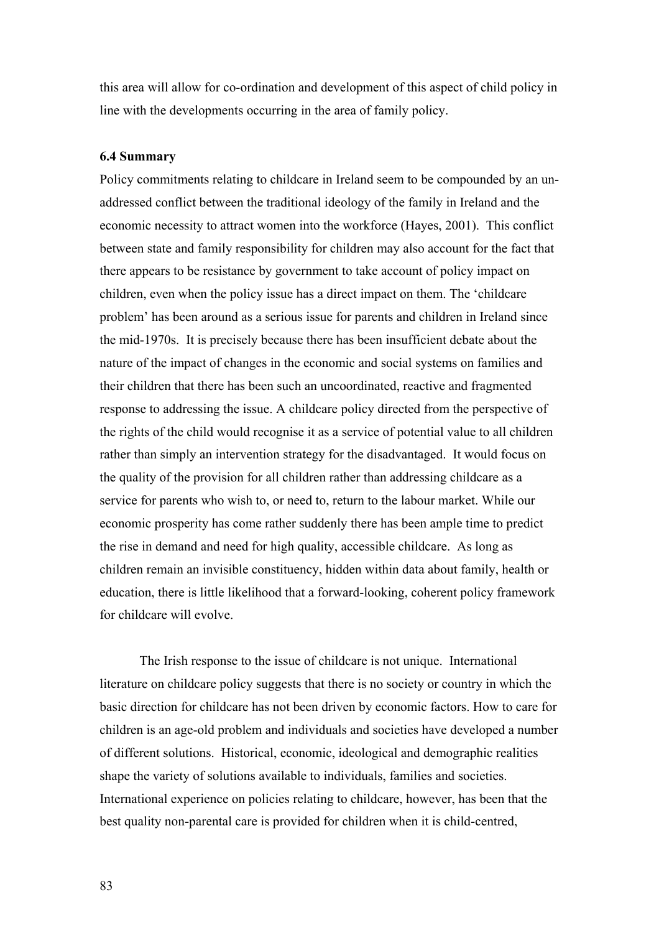this area will allow for co-ordination and development of this aspect of child policy in line with the developments occurring in the area of family policy.

### **6.4 Summary**

Policy commitments relating to childcare in Ireland seem to be compounded by an unaddressed conflict between the traditional ideology of the family in Ireland and the economic necessity to attract women into the workforce (Hayes, 2001). This conflict between state and family responsibility for children may also account for the fact that there appears to be resistance by government to take account of policy impact on children, even when the policy issue has a direct impact on them. The 'childcare problem' has been around as a serious issue for parents and children in Ireland since the mid-1970s. It is precisely because there has been insufficient debate about the nature of the impact of changes in the economic and social systems on families and their children that there has been such an uncoordinated, reactive and fragmented response to addressing the issue. A childcare policy directed from the perspective of the rights of the child would recognise it as a service of potential value to all children rather than simply an intervention strategy for the disadvantaged. It would focus on the quality of the provision for all children rather than addressing childcare as a service for parents who wish to, or need to, return to the labour market. While our economic prosperity has come rather suddenly there has been ample time to predict the rise in demand and need for high quality, accessible childcare. As long as children remain an invisible constituency, hidden within data about family, health or education, there is little likelihood that a forward-looking, coherent policy framework for childcare will evolve.

The Irish response to the issue of childcare is not unique. International literature on childcare policy suggests that there is no society or country in which the basic direction for childcare has not been driven by economic factors. How to care for children is an age-old problem and individuals and societies have developed a number of different solutions. Historical, economic, ideological and demographic realities shape the variety of solutions available to individuals, families and societies. International experience on policies relating to childcare, however, has been that the best quality non-parental care is provided for children when it is child-centred,

83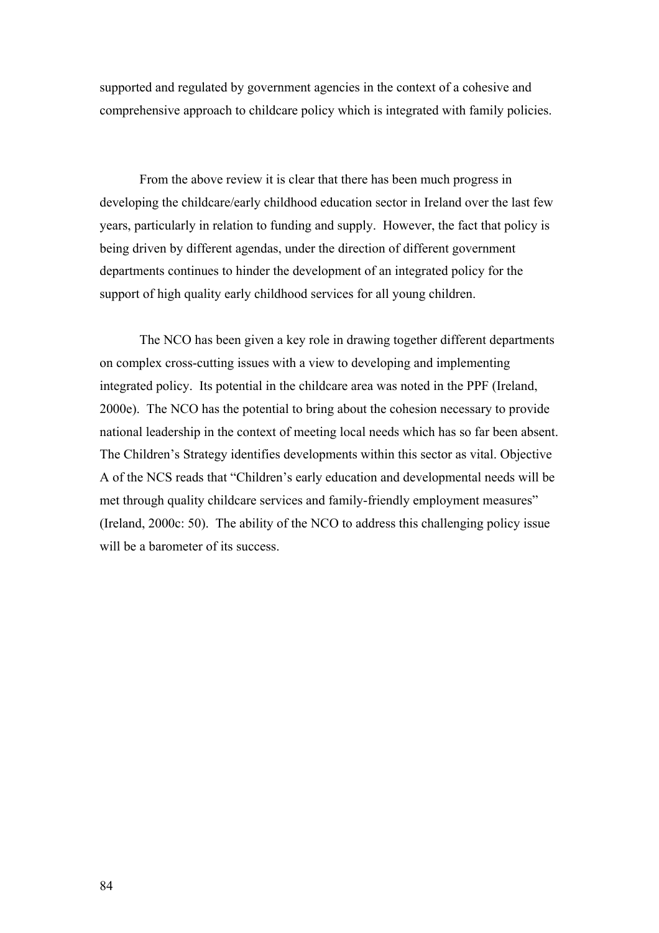supported and regulated by government agencies in the context of a cohesive and comprehensive approach to childcare policy which is integrated with family policies.

From the above review it is clear that there has been much progress in developing the childcare/early childhood education sector in Ireland over the last few years, particularly in relation to funding and supply. However, the fact that policy is being driven by different agendas, under the direction of different government departments continues to hinder the development of an integrated policy for the support of high quality early childhood services for all young children.

The NCO has been given a key role in drawing together different departments on complex cross-cutting issues with a view to developing and implementing integrated policy. Its potential in the childcare area was noted in the PPF (Ireland, 2000e). The NCO has the potential to bring about the cohesion necessary to provide national leadership in the context of meeting local needs which has so far been absent. The Children's Strategy identifies developments within this sector as vital. Objective A of the NCS reads that "Children's early education and developmental needs will be met through quality childcare services and family-friendly employment measures" (Ireland, 2000c: 50). The ability of the NCO to address this challenging policy issue will be a barometer of its success.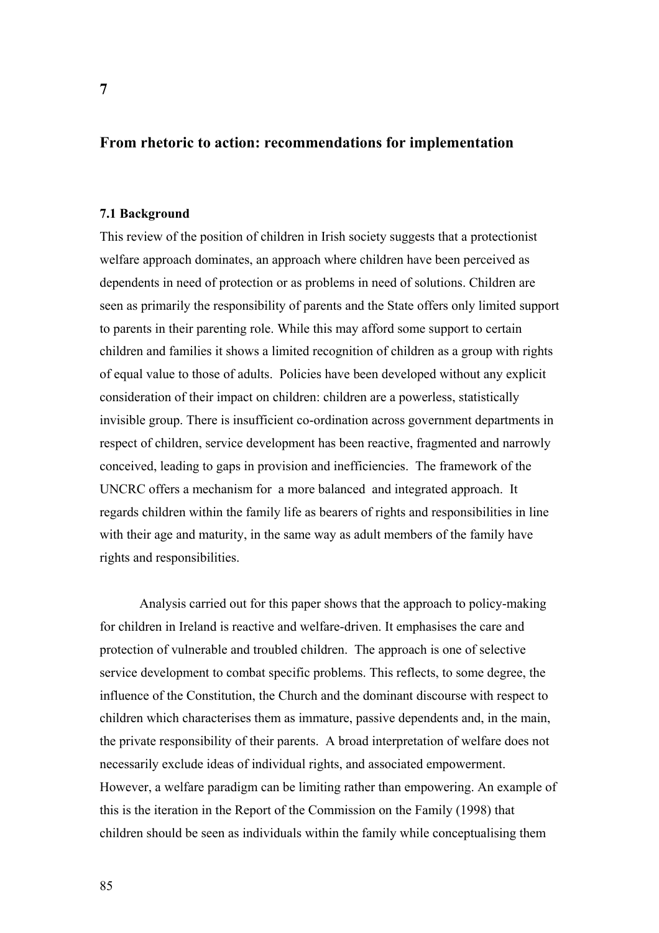# **From rhetoric to action: recommendations for implementation**

# **7.1 Background**

This review of the position of children in Irish society suggests that a protectionist welfare approach dominates, an approach where children have been perceived as dependents in need of protection or as problems in need of solutions. Children are seen as primarily the responsibility of parents and the State offers only limited support to parents in their parenting role. While this may afford some support to certain children and families it shows a limited recognition of children as a group with rights of equal value to those of adults. Policies have been developed without any explicit consideration of their impact on children: children are a powerless, statistically invisible group. There is insufficient co-ordination across government departments in respect of children, service development has been reactive, fragmented and narrowly conceived, leading to gaps in provision and inefficiencies. The framework of the UNCRC offers a mechanism for a more balanced and integrated approach. It regards children within the family life as bearers of rights and responsibilities in line with their age and maturity, in the same way as adult members of the family have rights and responsibilities.

Analysis carried out for this paper shows that the approach to policy-making for children in Ireland is reactive and welfare-driven. It emphasises the care and protection of vulnerable and troubled children. The approach is one of selective service development to combat specific problems. This reflects, to some degree, the influence of the Constitution, the Church and the dominant discourse with respect to children which characterises them as immature, passive dependents and, in the main, the private responsibility of their parents. A broad interpretation of welfare does not necessarily exclude ideas of individual rights, and associated empowerment. However, a welfare paradigm can be limiting rather than empowering. An example of this is the iteration in the Report of the Commission on the Family (1998) that children should be seen as individuals within the family while conceptualising them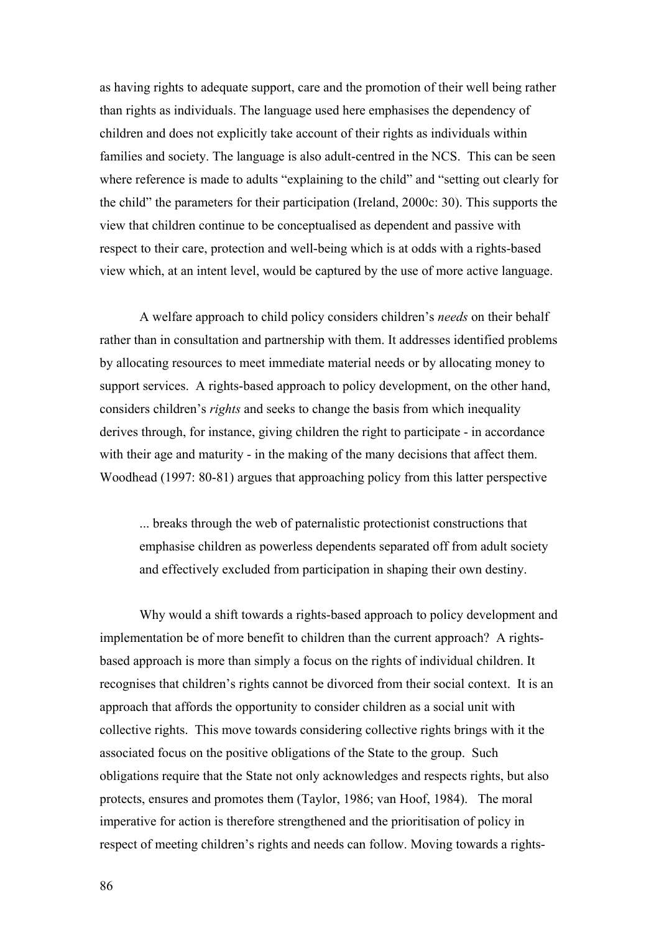as having rights to adequate support, care and the promotion of their well being rather than rights as individuals. The language used here emphasises the dependency of children and does not explicitly take account of their rights as individuals within families and society. The language is also adult-centred in the NCS. This can be seen where reference is made to adults "explaining to the child" and "setting out clearly for the child" the parameters for their participation (Ireland, 2000c: 30). This supports the view that children continue to be conceptualised as dependent and passive with respect to their care, protection and well-being which is at odds with a rights-based view which, at an intent level, would be captured by the use of more active language.

A welfare approach to child policy considers children's *needs* on their behalf rather than in consultation and partnership with them. It addresses identified problems by allocating resources to meet immediate material needs or by allocating money to support services. A rights-based approach to policy development, on the other hand, considers children's *rights* and seeks to change the basis from which inequality derives through, for instance, giving children the right to participate - in accordance with their age and maturity - in the making of the many decisions that affect them. Woodhead (1997: 80-81) argues that approaching policy from this latter perspective

... breaks through the web of paternalistic protectionist constructions that emphasise children as powerless dependents separated off from adult society and effectively excluded from participation in shaping their own destiny.

Why would a shift towards a rights-based approach to policy development and implementation be of more benefit to children than the current approach? A rightsbased approach is more than simply a focus on the rights of individual children. It recognises that children's rights cannot be divorced from their social context. It is an approach that affords the opportunity to consider children as a social unit with collective rights. This move towards considering collective rights brings with it the associated focus on the positive obligations of the State to the group. Such obligations require that the State not only acknowledges and respects rights, but also protects, ensures and promotes them (Taylor, 1986; van Hoof, 1984). The moral imperative for action is therefore strengthened and the prioritisation of policy in respect of meeting children's rights and needs can follow. Moving towards a rights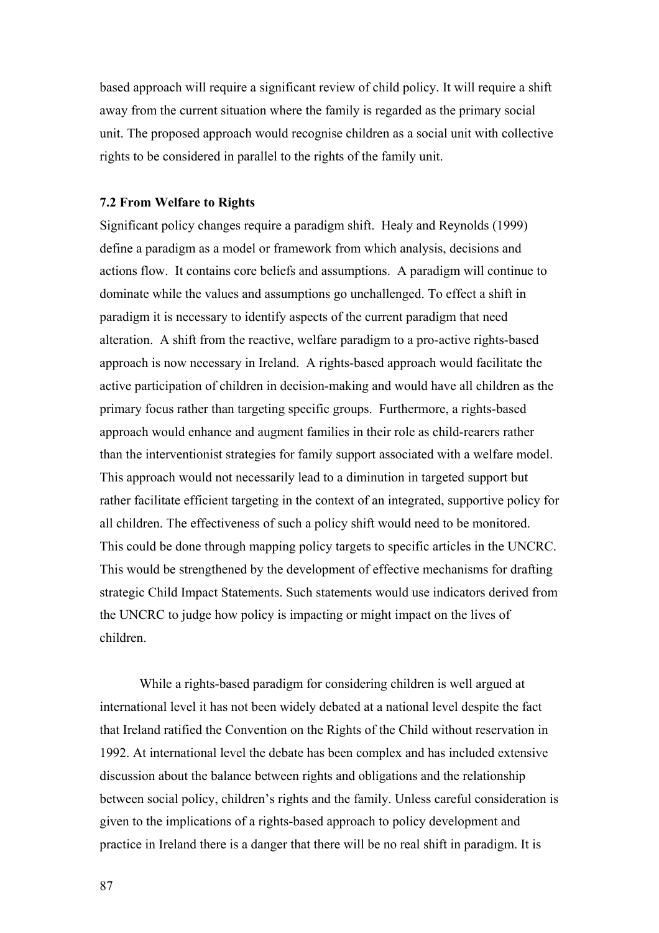based approach will require a significant review of child policy. It will require a shift away from the current situation where the family is regarded as the primary social unit. The proposed approach would recognise children as a social unit with collective rights to be considered in parallel to the rights of the family unit.

#### **7.2 From Welfare to Rights**

Significant policy changes require a paradigm shift. Healy and Reynolds (1999) define a paradigm as a model or framework from which analysis, decisions and actions flow. It contains core beliefs and assumptions. A paradigm will continue to dominate while the values and assumptions go unchallenged. To effect a shift in paradigm it is necessary to identify aspects of the current paradigm that need alteration. A shift from the reactive, welfare paradigm to a pro-active rights-based approach is now necessary in Ireland. A rights-based approach would facilitate the active participation of children in decision-making and would have all children as the primary focus rather than targeting specific groups. Furthermore, a rights-based approach would enhance and augment families in their role as child-rearers rather than the interventionist strategies for family support associated with a welfare model. This approach would not necessarily lead to a diminution in targeted support but rather facilitate efficient targeting in the context of an integrated, supportive policy for all children. The effectiveness of such a policy shift would need to be monitored. This could be done through mapping policy targets to specific articles in the UNCRC. This would be strengthened by the development of effective mechanisms for drafting strategic Child Impact Statements. Such statements would use indicators derived from the UNCRC to judge how policy is impacting or might impact on the lives of children.

While a rights-based paradigm for considering children is well argued at international level it has not been widely debated at a national level despite the fact that Ireland ratified the Convention on the Rights of the Child without reservation in 1992. At international level the debate has been complex and has included extensive discussion about the balance between rights and obligations and the relationship between social policy, children's rights and the family. Unless careful consideration is given to the implications of a rights-based approach to policy development and practice in Ireland there is a danger that there will be no real shift in paradigm. It is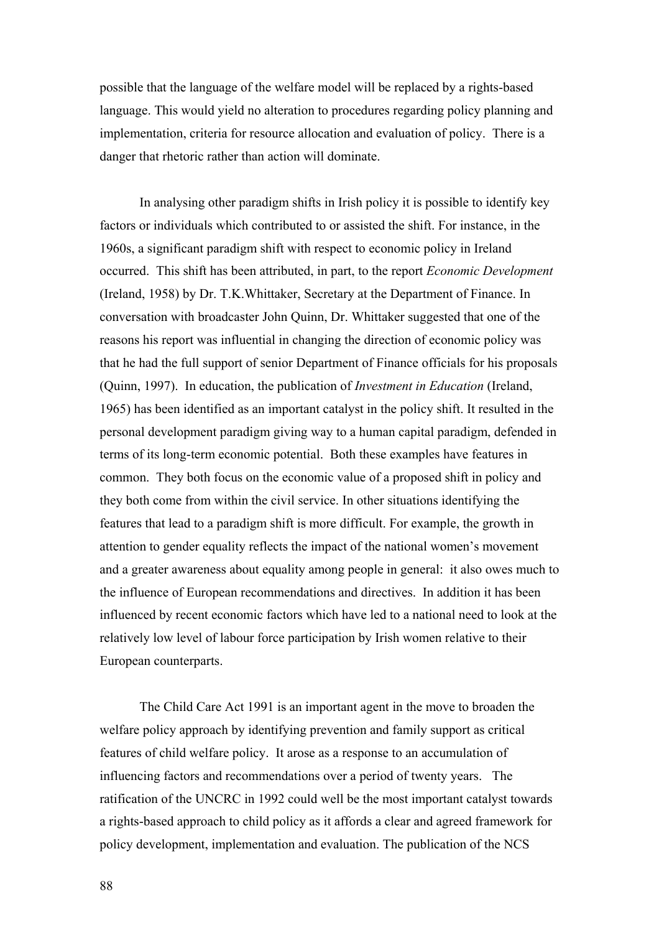possible that the language of the welfare model will be replaced by a rights-based language. This would yield no alteration to procedures regarding policy planning and implementation, criteria for resource allocation and evaluation of policy. There is a danger that rhetoric rather than action will dominate.

In analysing other paradigm shifts in Irish policy it is possible to identify key factors or individuals which contributed to or assisted the shift. For instance, in the 1960s, a significant paradigm shift with respect to economic policy in Ireland occurred. This shift has been attributed, in part, to the report *Economic Development*  (Ireland, 1958) by Dr. T.K.Whittaker, Secretary at the Department of Finance. In conversation with broadcaster John Quinn, Dr. Whittaker suggested that one of the reasons his report was influential in changing the direction of economic policy was that he had the full support of senior Department of Finance officials for his proposals (Quinn, 1997). In education, the publication of *Investment in Education* (Ireland, 1965) has been identified as an important catalyst in the policy shift. It resulted in the personal development paradigm giving way to a human capital paradigm, defended in terms of its long-term economic potential. Both these examples have features in common. They both focus on the economic value of a proposed shift in policy and they both come from within the civil service. In other situations identifying the features that lead to a paradigm shift is more difficult. For example, the growth in attention to gender equality reflects the impact of the national women's movement and a greater awareness about equality among people in general: it also owes much to the influence of European recommendations and directives. In addition it has been influenced by recent economic factors which have led to a national need to look at the relatively low level of labour force participation by Irish women relative to their European counterparts.

The Child Care Act 1991 is an important agent in the move to broaden the welfare policy approach by identifying prevention and family support as critical features of child welfare policy. It arose as a response to an accumulation of influencing factors and recommendations over a period of twenty years. The ratification of the UNCRC in 1992 could well be the most important catalyst towards a rights-based approach to child policy as it affords a clear and agreed framework for policy development, implementation and evaluation. The publication of the NCS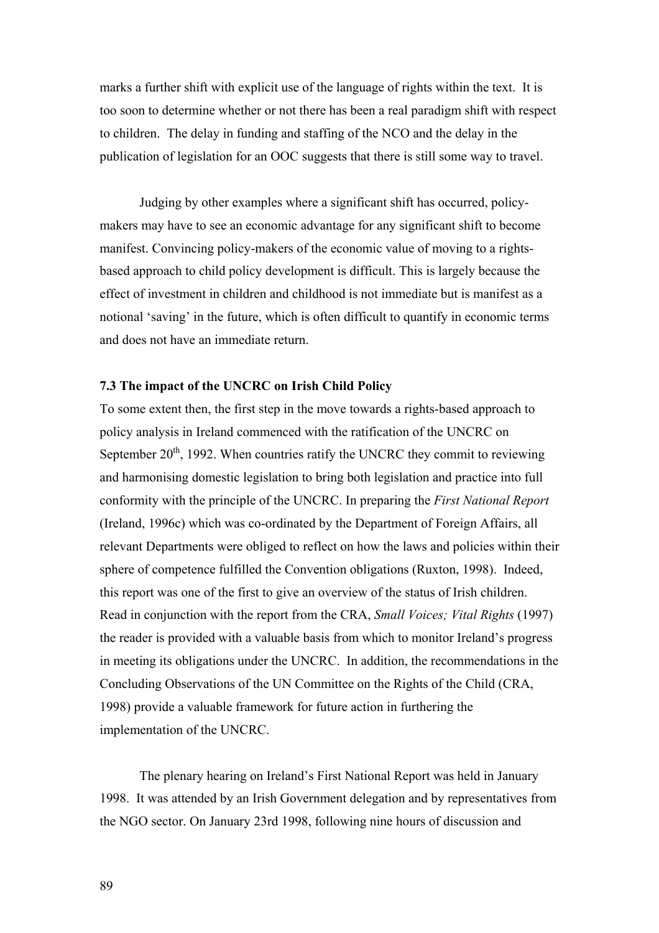marks a further shift with explicit use of the language of rights within the text. It is too soon to determine whether or not there has been a real paradigm shift with respect to children. The delay in funding and staffing of the NCO and the delay in the publication of legislation for an OOC suggests that there is still some way to travel.

Judging by other examples where a significant shift has occurred, policymakers may have to see an economic advantage for any significant shift to become manifest. Convincing policy-makers of the economic value of moving to a rightsbased approach to child policy development is difficult. This is largely because the effect of investment in children and childhood is not immediate but is manifest as a notional 'saving' in the future, which is often difficult to quantify in economic terms and does not have an immediate return.

# **7.3 The impact of the UNCRC on Irish Child Policy**

To some extent then, the first step in the move towards a rights-based approach to policy analysis in Ireland commenced with the ratification of the UNCRC on September  $20<sup>th</sup>$ , 1992. When countries ratify the UNCRC they commit to reviewing and harmonising domestic legislation to bring both legislation and practice into full conformity with the principle of the UNCRC. In preparing the *First National Report*  (Ireland, 1996c) which was co-ordinated by the Department of Foreign Affairs, all relevant Departments were obliged to reflect on how the laws and policies within their sphere of competence fulfilled the Convention obligations (Ruxton, 1998). Indeed, this report was one of the first to give an overview of the status of Irish children. Read in conjunction with the report from the CRA, *Small Voices; Vital Rights* (1997) the reader is provided with a valuable basis from which to monitor Ireland's progress in meeting its obligations under the UNCRC. In addition, the recommendations in the Concluding Observations of the UN Committee on the Rights of the Child (CRA, 1998) provide a valuable framework for future action in furthering the implementation of the UNCRC.

The plenary hearing on Ireland's First National Report was held in January 1998. It was attended by an Irish Government delegation and by representatives from the NGO sector. On January 23rd 1998, following nine hours of discussion and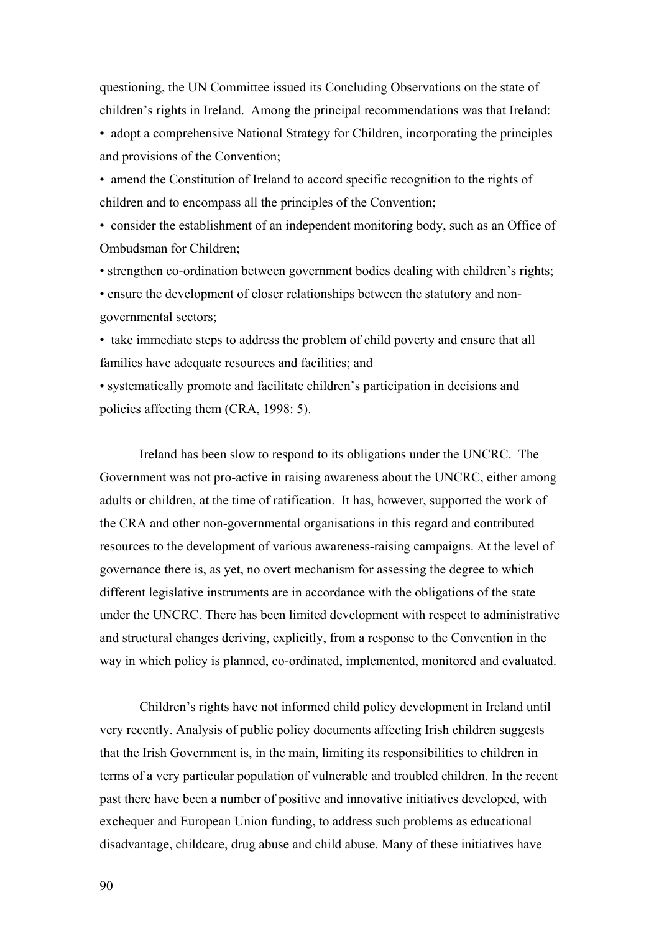questioning, the UN Committee issued its Concluding Observations on the state of children's rights in Ireland. Among the principal recommendations was that Ireland:

• adopt a comprehensive National Strategy for Children, incorporating the principles and provisions of the Convention;

• amend the Constitution of Ireland to accord specific recognition to the rights of children and to encompass all the principles of the Convention;

• consider the establishment of an independent monitoring body, such as an Office of Ombudsman for Children;

• strengthen co-ordination between government bodies dealing with children's rights; • ensure the development of closer relationships between the statutory and nongovernmental sectors;

• take immediate steps to address the problem of child poverty and ensure that all families have adequate resources and facilities; and

• systematically promote and facilitate children's participation in decisions and policies affecting them (CRA, 1998: 5).

Ireland has been slow to respond to its obligations under the UNCRC. The Government was not pro-active in raising awareness about the UNCRC, either among adults or children, at the time of ratification. It has, however, supported the work of the CRA and other non-governmental organisations in this regard and contributed resources to the development of various awareness-raising campaigns. At the level of governance there is, as yet, no overt mechanism for assessing the degree to which different legislative instruments are in accordance with the obligations of the state under the UNCRC. There has been limited development with respect to administrative and structural changes deriving, explicitly, from a response to the Convention in the way in which policy is planned, co-ordinated, implemented, monitored and evaluated.

Children's rights have not informed child policy development in Ireland until very recently. Analysis of public policy documents affecting Irish children suggests that the Irish Government is, in the main, limiting its responsibilities to children in terms of a very particular population of vulnerable and troubled children. In the recent past there have been a number of positive and innovative initiatives developed, with exchequer and European Union funding, to address such problems as educational disadvantage, childcare, drug abuse and child abuse. Many of these initiatives have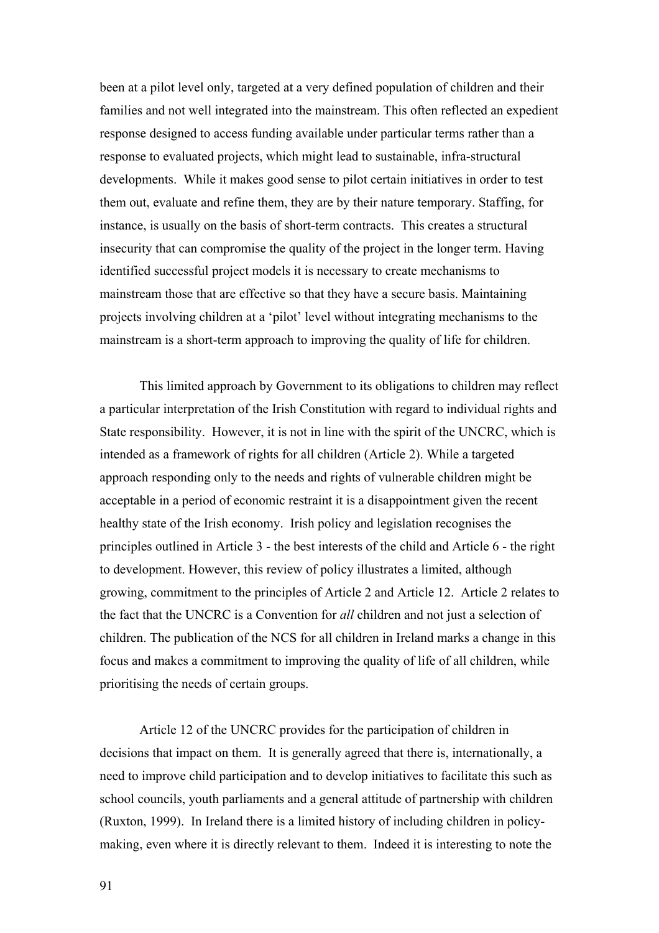been at a pilot level only, targeted at a very defined population of children and their families and not well integrated into the mainstream. This often reflected an expedient response designed to access funding available under particular terms rather than a response to evaluated projects, which might lead to sustainable, infra-structural developments. While it makes good sense to pilot certain initiatives in order to test them out, evaluate and refine them, they are by their nature temporary. Staffing, for instance, is usually on the basis of short-term contracts. This creates a structural insecurity that can compromise the quality of the project in the longer term. Having identified successful project models it is necessary to create mechanisms to mainstream those that are effective so that they have a secure basis. Maintaining projects involving children at a 'pilot' level without integrating mechanisms to the mainstream is a short-term approach to improving the quality of life for children.

This limited approach by Government to its obligations to children may reflect a particular interpretation of the Irish Constitution with regard to individual rights and State responsibility. However, it is not in line with the spirit of the UNCRC, which is intended as a framework of rights for all children (Article 2). While a targeted approach responding only to the needs and rights of vulnerable children might be acceptable in a period of economic restraint it is a disappointment given the recent healthy state of the Irish economy. Irish policy and legislation recognises the principles outlined in Article 3 - the best interests of the child and Article 6 - the right to development. However, this review of policy illustrates a limited, although growing, commitment to the principles of Article 2 and Article 12. Article 2 relates to the fact that the UNCRC is a Convention for *all* children and not just a selection of children. The publication of the NCS for all children in Ireland marks a change in this focus and makes a commitment to improving the quality of life of all children, while prioritising the needs of certain groups.

Article 12 of the UNCRC provides for the participation of children in decisions that impact on them. It is generally agreed that there is, internationally, a need to improve child participation and to develop initiatives to facilitate this such as school councils, youth parliaments and a general attitude of partnership with children (Ruxton, 1999). In Ireland there is a limited history of including children in policymaking, even where it is directly relevant to them. Indeed it is interesting to note the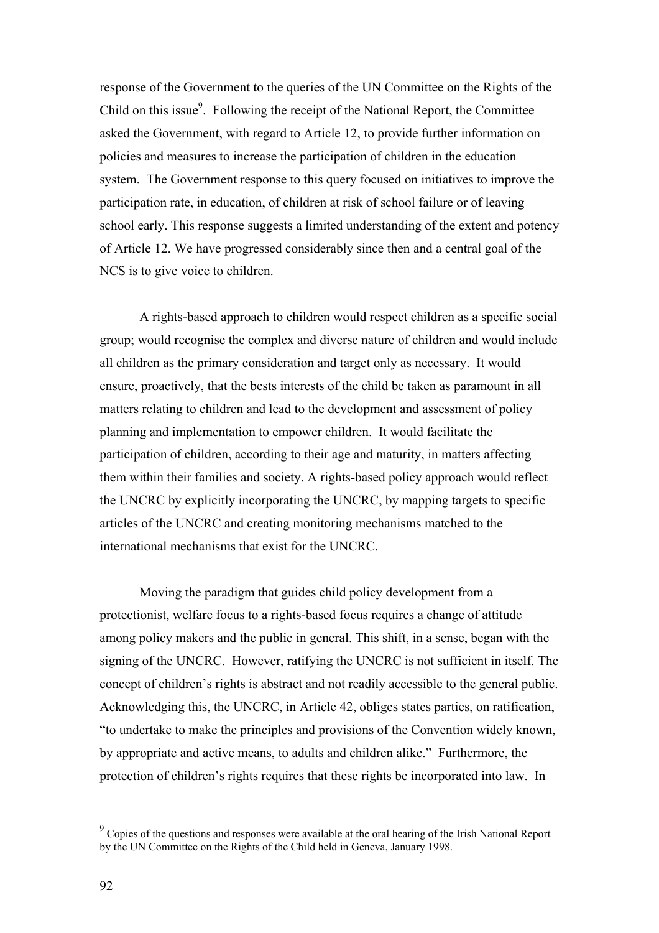response of the Government to the queries of the UN Committee on the Rights of the Child on this issue<sup>9</sup>. Following the receipt of the National Report, the Committee asked the Government, with regard to Article 12, to provide further information on policies and measures to increase the participation of children in the education system. The Government response to this query focused on initiatives to improve the participation rate, in education, of children at risk of school failure or of leaving school early. This response suggests a limited understanding of the extent and potency of Article 12. We have progressed considerably since then and a central goal of the NCS is to give voice to children.

A rights-based approach to children would respect children as a specific social group; would recognise the complex and diverse nature of children and would include all children as the primary consideration and target only as necessary. It would ensure, proactively, that the bests interests of the child be taken as paramount in all matters relating to children and lead to the development and assessment of policy planning and implementation to empower children. It would facilitate the participation of children, according to their age and maturity, in matters affecting them within their families and society. A rights-based policy approach would reflect the UNCRC by explicitly incorporating the UNCRC, by mapping targets to specific articles of the UNCRC and creating monitoring mechanisms matched to the international mechanisms that exist for the UNCRC.

Moving the paradigm that guides child policy development from a protectionist, welfare focus to a rights-based focus requires a change of attitude among policy makers and the public in general. This shift, in a sense, began with the signing of the UNCRC. However, ratifying the UNCRC is not sufficient in itself. The concept of children's rights is abstract and not readily accessible to the general public. Acknowledging this, the UNCRC, in Article 42, obliges states parties, on ratification, "to undertake to make the principles and provisions of the Convention widely known, by appropriate and active means, to adults and children alike." Furthermore, the protection of children's rights requires that these rights be incorporated into law. In

 $\overline{a}$ 

<span id="page-92-0"></span> $9^9$  Copies of the questions and responses were available at the oral hearing of the Irish National Report by the UN Committee on the Rights of the Child held in Geneva, January 1998.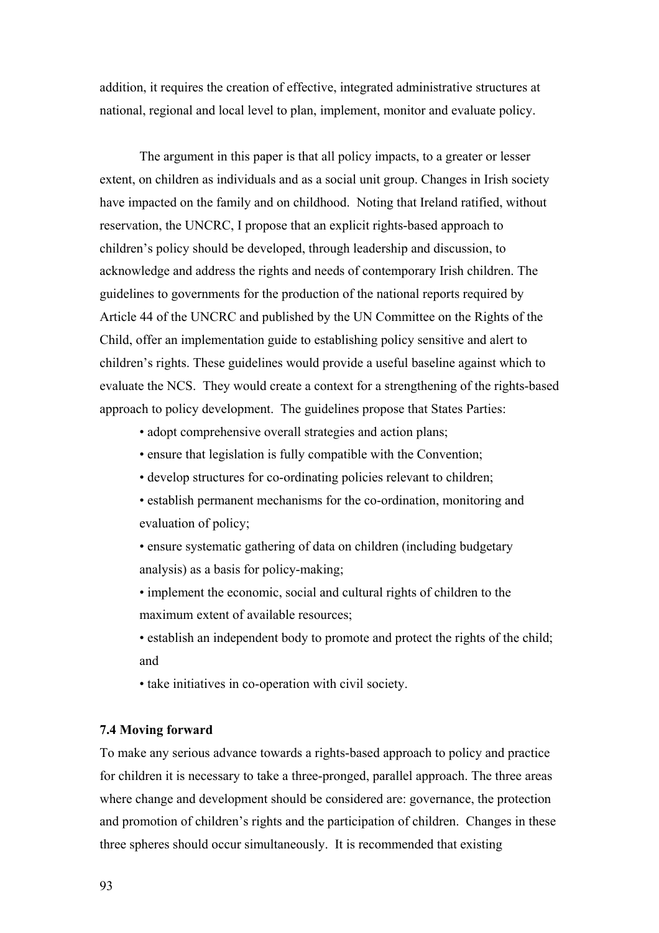addition, it requires the creation of effective, integrated administrative structures at national, regional and local level to plan, implement, monitor and evaluate policy.

The argument in this paper is that all policy impacts, to a greater or lesser extent, on children as individuals and as a social unit group. Changes in Irish society have impacted on the family and on childhood. Noting that Ireland ratified, without reservation, the UNCRC, I propose that an explicit rights-based approach to children's policy should be developed, through leadership and discussion, to acknowledge and address the rights and needs of contemporary Irish children. The guidelines to governments for the production of the national reports required by Article 44 of the UNCRC and published by the UN Committee on the Rights of the Child, offer an implementation guide to establishing policy sensitive and alert to children's rights. These guidelines would provide a useful baseline against which to evaluate the NCS. They would create a context for a strengthening of the rights-based approach to policy development. The guidelines propose that States Parties:

- adopt comprehensive overall strategies and action plans;
- ensure that legislation is fully compatible with the Convention;
- develop structures for co-ordinating policies relevant to children;
- establish permanent mechanisms for the co-ordination, monitoring and evaluation of policy;
- ensure systematic gathering of data on children (including budgetary analysis) as a basis for policy-making;
- implement the economic, social and cultural rights of children to the maximum extent of available resources;
- establish an independent body to promote and protect the rights of the child; and
- take initiatives in co-operation with civil society.

#### **7.4 Moving forward**

To make any serious advance towards a rights-based approach to policy and practice for children it is necessary to take a three-pronged, parallel approach. The three areas where change and development should be considered are: governance, the protection and promotion of children's rights and the participation of children. Changes in these three spheres should occur simultaneously. It is recommended that existing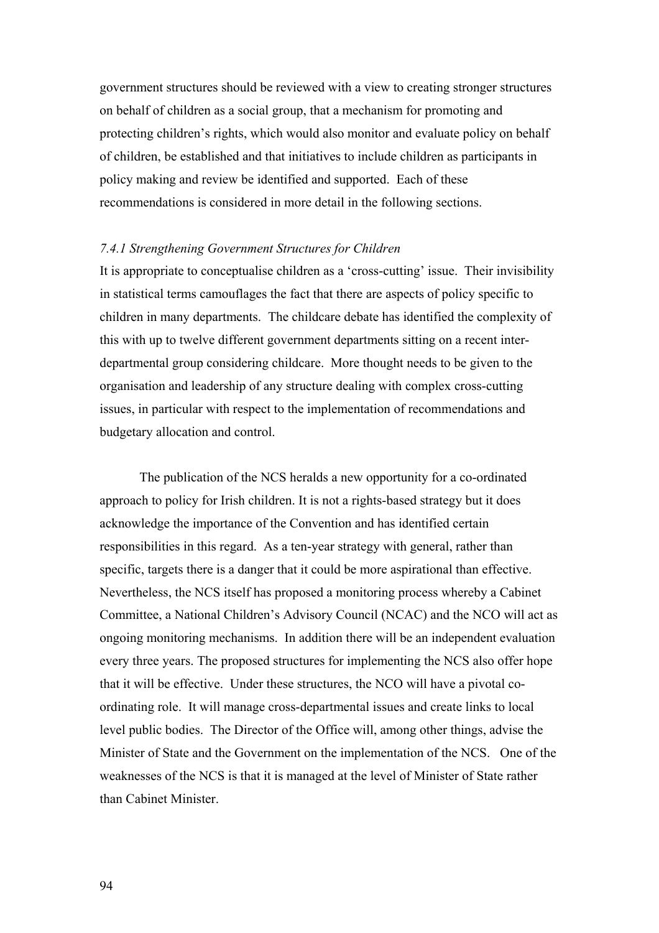government structures should be reviewed with a view to creating stronger structures on behalf of children as a social group, that a mechanism for promoting and protecting children's rights, which would also monitor and evaluate policy on behalf of children, be established and that initiatives to include children as participants in policy making and review be identified and supported. Each of these recommendations is considered in more detail in the following sections.

#### *7.4.1 Strengthening Government Structures for Children*

It is appropriate to conceptualise children as a 'cross-cutting' issue. Their invisibility in statistical terms camouflages the fact that there are aspects of policy specific to children in many departments. The childcare debate has identified the complexity of this with up to twelve different government departments sitting on a recent interdepartmental group considering childcare. More thought needs to be given to the organisation and leadership of any structure dealing with complex cross-cutting issues, in particular with respect to the implementation of recommendations and budgetary allocation and control.

The publication of the NCS heralds a new opportunity for a co-ordinated approach to policy for Irish children. It is not a rights-based strategy but it does acknowledge the importance of the Convention and has identified certain responsibilities in this regard. As a ten-year strategy with general, rather than specific, targets there is a danger that it could be more aspirational than effective. Nevertheless, the NCS itself has proposed a monitoring process whereby a Cabinet Committee, a National Children's Advisory Council (NCAC) and the NCO will act as ongoing monitoring mechanisms. In addition there will be an independent evaluation every three years. The proposed structures for implementing the NCS also offer hope that it will be effective. Under these structures, the NCO will have a pivotal coordinating role. It will manage cross-departmental issues and create links to local level public bodies. The Director of the Office will, among other things, advise the Minister of State and the Government on the implementation of the NCS. One of the weaknesses of the NCS is that it is managed at the level of Minister of State rather than Cabinet Minister.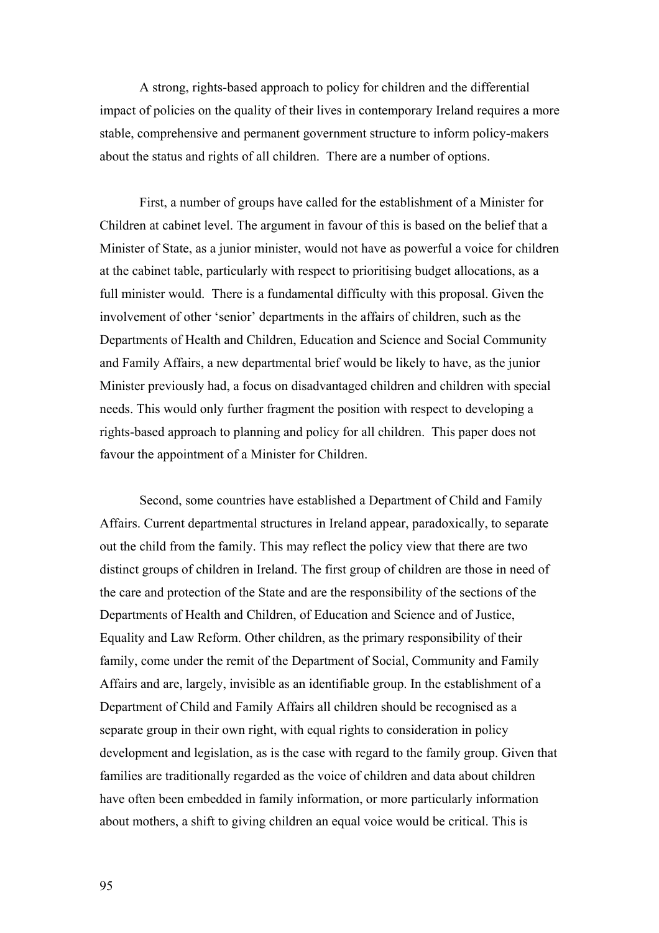A strong, rights-based approach to policy for children and the differential impact of policies on the quality of their lives in contemporary Ireland requires a more stable, comprehensive and permanent government structure to inform policy-makers about the status and rights of all children. There are a number of options.

First, a number of groups have called for the establishment of a Minister for Children at cabinet level. The argument in favour of this is based on the belief that a Minister of State, as a junior minister, would not have as powerful a voice for children at the cabinet table, particularly with respect to prioritising budget allocations, as a full minister would. There is a fundamental difficulty with this proposal. Given the involvement of other 'senior' departments in the affairs of children, such as the Departments of Health and Children, Education and Science and Social Community and Family Affairs, a new departmental brief would be likely to have, as the junior Minister previously had, a focus on disadvantaged children and children with special needs. This would only further fragment the position with respect to developing a rights-based approach to planning and policy for all children. This paper does not favour the appointment of a Minister for Children.

Second, some countries have established a Department of Child and Family Affairs. Current departmental structures in Ireland appear, paradoxically, to separate out the child from the family. This may reflect the policy view that there are two distinct groups of children in Ireland. The first group of children are those in need of the care and protection of the State and are the responsibility of the sections of the Departments of Health and Children, of Education and Science and of Justice, Equality and Law Reform. Other children, as the primary responsibility of their family, come under the remit of the Department of Social, Community and Family Affairs and are, largely, invisible as an identifiable group. In the establishment of a Department of Child and Family Affairs all children should be recognised as a separate group in their own right, with equal rights to consideration in policy development and legislation, as is the case with regard to the family group. Given that families are traditionally regarded as the voice of children and data about children have often been embedded in family information, or more particularly information about mothers, a shift to giving children an equal voice would be critical. This is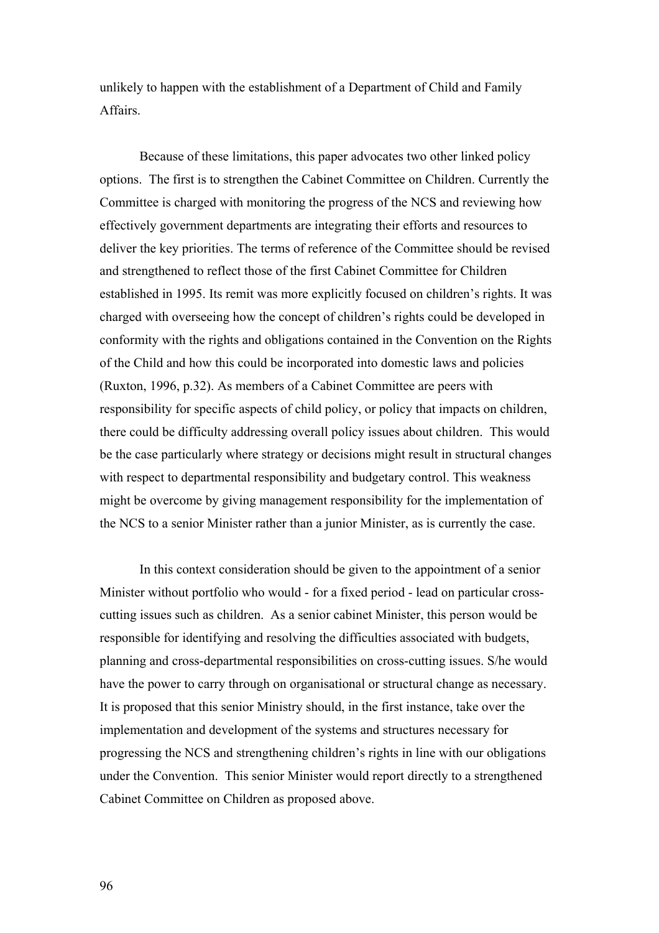unlikely to happen with the establishment of a Department of Child and Family Affairs.

Because of these limitations, this paper advocates two other linked policy options. The first is to strengthen the Cabinet Committee on Children. Currently the Committee is charged with monitoring the progress of the NCS and reviewing how effectively government departments are integrating their efforts and resources to deliver the key priorities. The terms of reference of the Committee should be revised and strengthened to reflect those of the first Cabinet Committee for Children established in 1995. Its remit was more explicitly focused on children's rights. It was charged with overseeing how the concept of children's rights could be developed in conformity with the rights and obligations contained in the Convention on the Rights of the Child and how this could be incorporated into domestic laws and policies (Ruxton, 1996, p.32). As members of a Cabinet Committee are peers with responsibility for specific aspects of child policy, or policy that impacts on children, there could be difficulty addressing overall policy issues about children. This would be the case particularly where strategy or decisions might result in structural changes with respect to departmental responsibility and budgetary control. This weakness might be overcome by giving management responsibility for the implementation of the NCS to a senior Minister rather than a junior Minister, as is currently the case.

In this context consideration should be given to the appointment of a senior Minister without portfolio who would - for a fixed period - lead on particular crosscutting issues such as children. As a senior cabinet Minister, this person would be responsible for identifying and resolving the difficulties associated with budgets, planning and cross-departmental responsibilities on cross-cutting issues. S/he would have the power to carry through on organisational or structural change as necessary. It is proposed that this senior Ministry should, in the first instance, take over the implementation and development of the systems and structures necessary for progressing the NCS and strengthening children's rights in line with our obligations under the Convention. This senior Minister would report directly to a strengthened Cabinet Committee on Children as proposed above.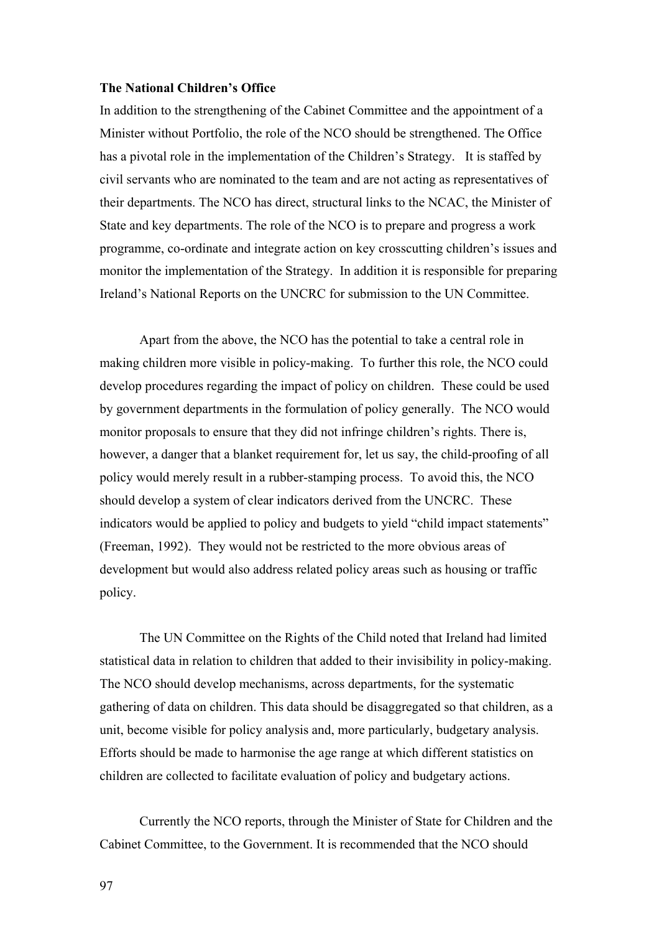#### **The National Children's Office**

In addition to the strengthening of the Cabinet Committee and the appointment of a Minister without Portfolio, the role of the NCO should be strengthened. The Office has a pivotal role in the implementation of the Children's Strategy. It is staffed by civil servants who are nominated to the team and are not acting as representatives of their departments. The NCO has direct, structural links to the NCAC, the Minister of State and key departments. The role of the NCO is to prepare and progress a work programme, co-ordinate and integrate action on key crosscutting children's issues and monitor the implementation of the Strategy. In addition it is responsible for preparing Ireland's National Reports on the UNCRC for submission to the UN Committee.

Apart from the above, the NCO has the potential to take a central role in making children more visible in policy-making. To further this role, the NCO could develop procedures regarding the impact of policy on children. These could be used by government departments in the formulation of policy generally. The NCO would monitor proposals to ensure that they did not infringe children's rights. There is, however, a danger that a blanket requirement for, let us say, the child-proofing of all policy would merely result in a rubber-stamping process. To avoid this, the NCO should develop a system of clear indicators derived from the UNCRC. These indicators would be applied to policy and budgets to yield "child impact statements" (Freeman, 1992). They would not be restricted to the more obvious areas of development but would also address related policy areas such as housing or traffic policy.

The UN Committee on the Rights of the Child noted that Ireland had limited statistical data in relation to children that added to their invisibility in policy-making. The NCO should develop mechanisms, across departments, for the systematic gathering of data on children. This data should be disaggregated so that children, as a unit, become visible for policy analysis and, more particularly, budgetary analysis. Efforts should be made to harmonise the age range at which different statistics on children are collected to facilitate evaluation of policy and budgetary actions.

Currently the NCO reports, through the Minister of State for Children and the Cabinet Committee, to the Government. It is recommended that the NCO should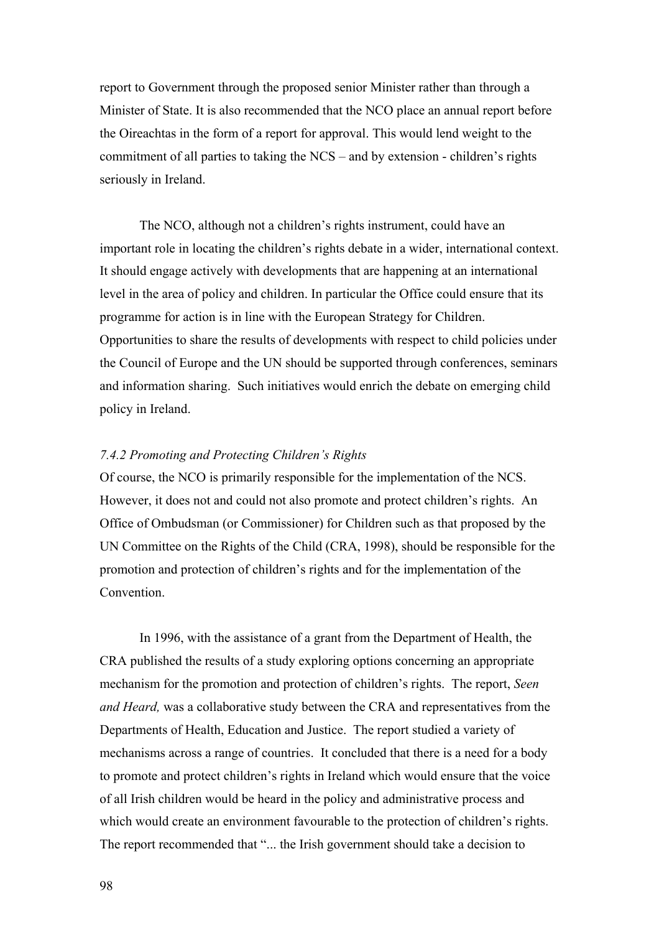report to Government through the proposed senior Minister rather than through a Minister of State. It is also recommended that the NCO place an annual report before the Oireachtas in the form of a report for approval. This would lend weight to the commitment of all parties to taking the NCS – and by extension - children's rights seriously in Ireland.

The NCO, although not a children's rights instrument, could have an important role in locating the children's rights debate in a wider, international context. It should engage actively with developments that are happening at an international level in the area of policy and children. In particular the Office could ensure that its programme for action is in line with the European Strategy for Children. Opportunities to share the results of developments with respect to child policies under the Council of Europe and the UN should be supported through conferences, seminars and information sharing. Such initiatives would enrich the debate on emerging child policy in Ireland.

# *7.4.2 Promoting and Protecting Children's Rights*

Of course, the NCO is primarily responsible for the implementation of the NCS. However, it does not and could not also promote and protect children's rights. An Office of Ombudsman (or Commissioner) for Children such as that proposed by the UN Committee on the Rights of the Child (CRA, 1998), should be responsible for the promotion and protection of children's rights and for the implementation of the **Convention** 

In 1996, with the assistance of a grant from the Department of Health, the CRA published the results of a study exploring options concerning an appropriate mechanism for the promotion and protection of children's rights. The report, *Seen and Heard,* was a collaborative study between the CRA and representatives from the Departments of Health, Education and Justice. The report studied a variety of mechanisms across a range of countries. It concluded that there is a need for a body to promote and protect children's rights in Ireland which would ensure that the voice of all Irish children would be heard in the policy and administrative process and which would create an environment favourable to the protection of children's rights. The report recommended that "... the Irish government should take a decision to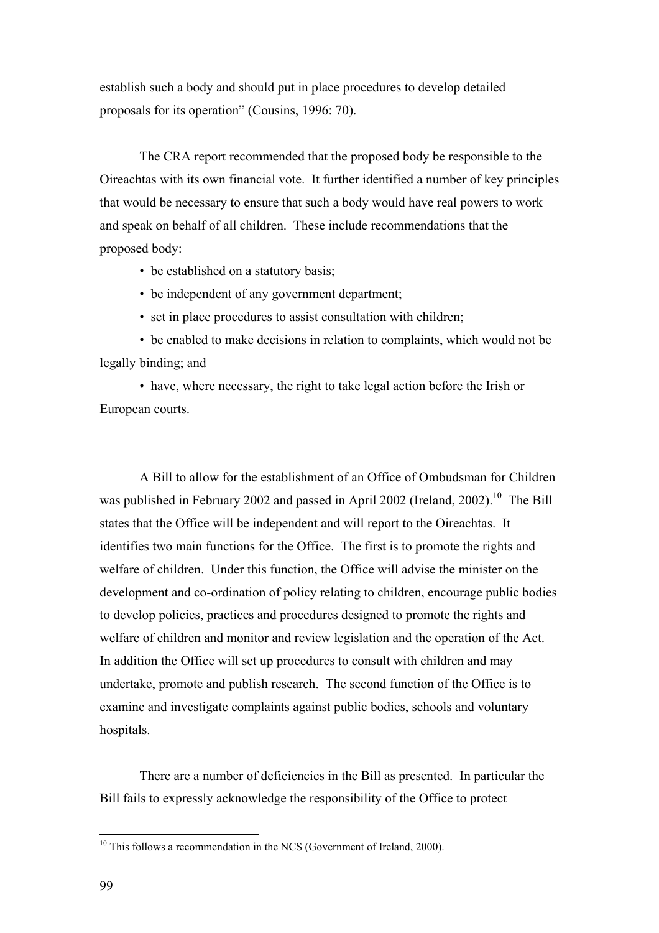establish such a body and should put in place procedures to develop detailed proposals for its operation" (Cousins, 1996: 70).

The CRA report recommended that the proposed body be responsible to the Oireachtas with its own financial vote. It further identified a number of key principles that would be necessary to ensure that such a body would have real powers to work and speak on behalf of all children. These include recommendations that the proposed body:

- be established on a statutory basis;
- be independent of any government department;
- set in place procedures to assist consultation with children;

• be enabled to make decisions in relation to complaints, which would not be legally binding; and

• have, where necessary, the right to take legal action before the Irish or European courts.

 A Bill to allow for the establishment of an Office of Ombudsman for Children was published in February 2002 and passed in April 2002 (Ireland, 2002).<sup>10</sup> The Bill states that the Office will be independent and will report to the Oireachtas. It identifies two main functions for the Office. The first is to promote the rights and welfare of children. Under this function, the Office will advise the minister on the development and co-ordination of policy relating to children, encourage public bodies to develop policies, practices and procedures designed to promote the rights and welfare of children and monitor and review legislation and the operation of the Act. In addition the Office will set up procedures to consult with children and may undertake, promote and publish research. The second function of the Office is to examine and investigate complaints against public bodies, schools and voluntary hospitals.

There are a number of deficiencies in the Bill as presented. In particular the Bill fails to expressly acknowledge the responsibility of the Office to protect

 $\overline{a}$ 

<span id="page-99-0"></span> $10$  This follows a recommendation in the NCS (Government of Ireland, 2000).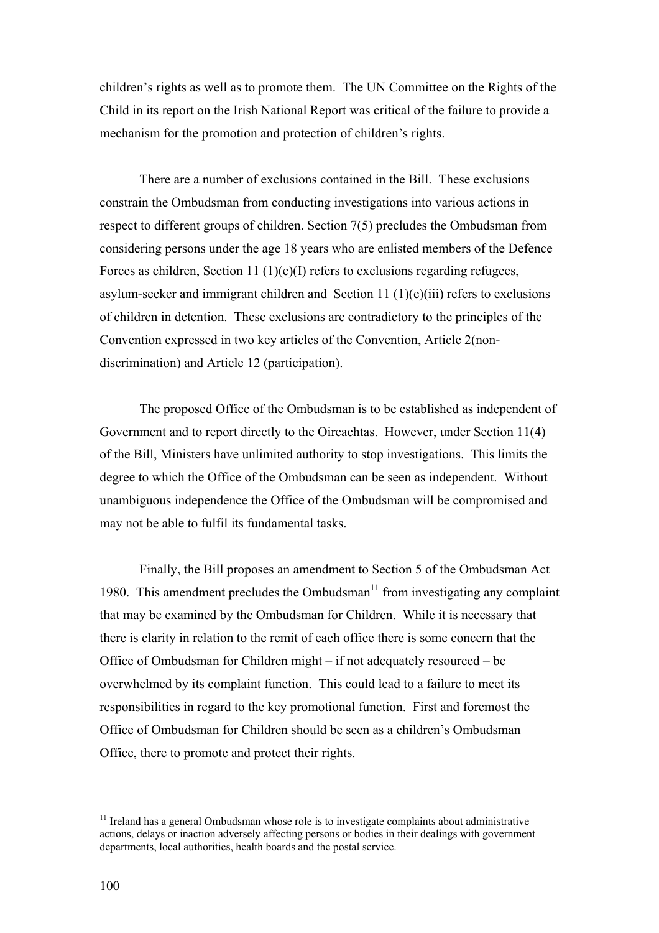children's rights as well as to promote them. The UN Committee on the Rights of the Child in its report on the Irish National Report was critical of the failure to provide a mechanism for the promotion and protection of children's rights.

There are a number of exclusions contained in the Bill. These exclusions constrain the Ombudsman from conducting investigations into various actions in respect to different groups of children. Section 7(5) precludes the Ombudsman from considering persons under the age 18 years who are enlisted members of the Defence Forces as children, Section 11 (1)(e)(I) refers to exclusions regarding refugees, asylum-seeker and immigrant children and Section 11  $(1)(e)(iii)$  refers to exclusions of children in detention. These exclusions are contradictory to the principles of the Convention expressed in two key articles of the Convention, Article 2(nondiscrimination) and Article 12 (participation).

The proposed Office of the Ombudsman is to be established as independent of Government and to report directly to the Oireachtas. However, under Section 11(4) of the Bill, Ministers have unlimited authority to stop investigations. This limits the degree to which the Office of the Ombudsman can be seen as independent. Without unambiguous independence the Office of the Ombudsman will be compromised and may not be able to fulfil its fundamental tasks.

Finally, the Bill proposes an amendment to Section 5 of the Ombudsman Act 1980. This amendment precludes the Ombudsman $<sup>11</sup>$  from investigating any complaint</sup> that may be examined by the Ombudsman for Children. While it is necessary that there is clarity in relation to the remit of each office there is some concern that the Office of Ombudsman for Children might – if not adequately resourced – be overwhelmed by its complaint function. This could lead to a failure to meet its responsibilities in regard to the key promotional function. First and foremost the Office of Ombudsman for Children should be seen as a children's Ombudsman Office, there to promote and protect their rights.

 $\overline{a}$ 

<span id="page-100-0"></span> $11$  Ireland has a general Ombudsman whose role is to investigate complaints about administrative actions, delays or inaction adversely affecting persons or bodies in their dealings with government departments, local authorities, health boards and the postal service.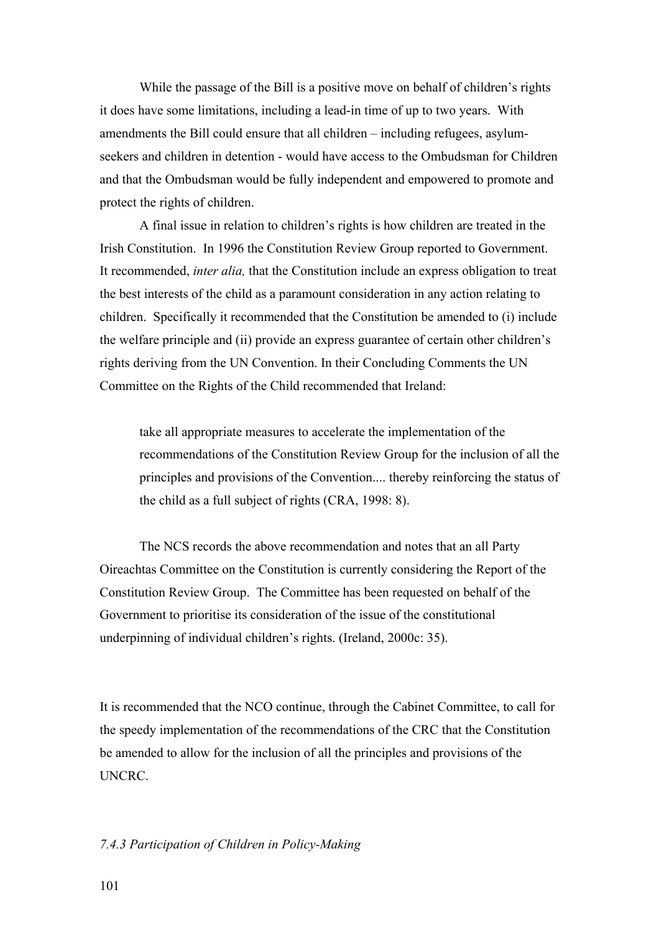While the passage of the Bill is a positive move on behalf of children's rights it does have some limitations, including a lead-in time of up to two years. With amendments the Bill could ensure that all children – including refugees, asylumseekers and children in detention - would have access to the Ombudsman for Children and that the Ombudsman would be fully independent and empowered to promote and protect the rights of children.

A final issue in relation to children's rights is how children are treated in the Irish Constitution. In 1996 the Constitution Review Group reported to Government. It recommended, *inter alia,* that the Constitution include an express obligation to treat the best interests of the child as a paramount consideration in any action relating to children. Specifically it recommended that the Constitution be amended to (i) include the welfare principle and (ii) provide an express guarantee of certain other children's rights deriving from the UN Convention. In their Concluding Comments the UN Committee on the Rights of the Child recommended that Ireland:

take all appropriate measures to accelerate the implementation of the recommendations of the Constitution Review Group for the inclusion of all the principles and provisions of the Convention.... thereby reinforcing the status of the child as a full subject of rights (CRA, 1998: 8).

The NCS records the above recommendation and notes that an all Party Oireachtas Committee on the Constitution is currently considering the Report of the Constitution Review Group. The Committee has been requested on behalf of the Government to prioritise its consideration of the issue of the constitutional underpinning of individual children's rights. (Ireland, 2000c: 35).

It is recommended that the NCO continue, through the Cabinet Committee, to call for the speedy implementation of the recommendations of the CRC that the Constitution be amended to allow for the inclusion of all the principles and provisions of the UNCRC.

## *7.4.3 Participation of Children in Policy-Making*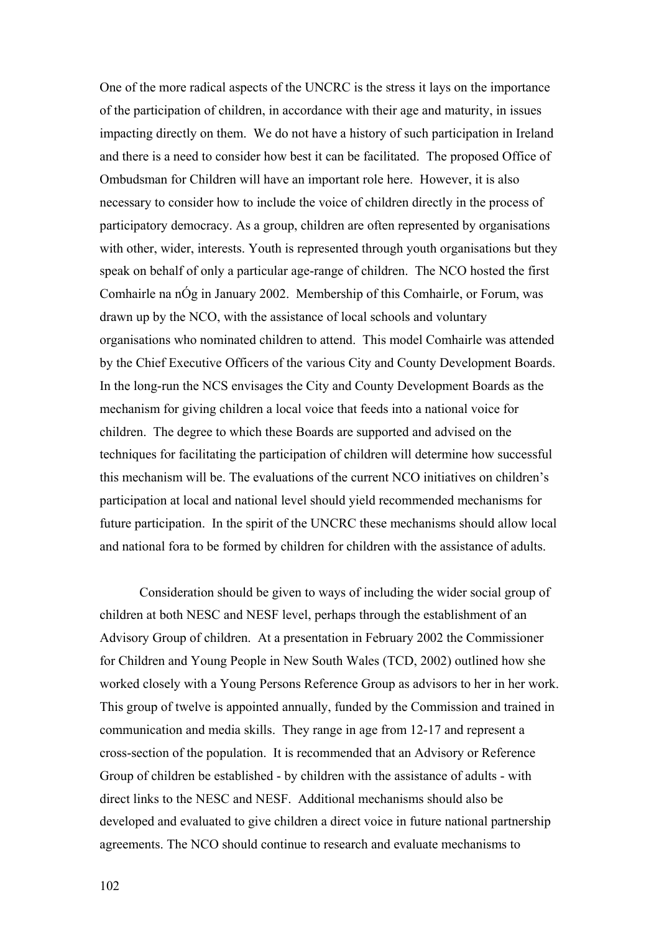One of the more radical aspects of the UNCRC is the stress it lays on the importance of the participation of children, in accordance with their age and maturity, in issues impacting directly on them. We do not have a history of such participation in Ireland and there is a need to consider how best it can be facilitated. The proposed Office of Ombudsman for Children will have an important role here. However, it is also necessary to consider how to include the voice of children directly in the process of participatory democracy. As a group, children are often represented by organisations with other, wider, interests. Youth is represented through youth organisations but they speak on behalf of only a particular age-range of children. The NCO hosted the first Comhairle na nÓg in January 2002. Membership of this Comhairle, or Forum, was drawn up by the NCO, with the assistance of local schools and voluntary organisations who nominated children to attend. This model Comhairle was attended by the Chief Executive Officers of the various City and County Development Boards. In the long-run the NCS envisages the City and County Development Boards as the mechanism for giving children a local voice that feeds into a national voice for children. The degree to which these Boards are supported and advised on the techniques for facilitating the participation of children will determine how successful this mechanism will be. The evaluations of the current NCO initiatives on children's participation at local and national level should yield recommended mechanisms for future participation. In the spirit of the UNCRC these mechanisms should allow local and national fora to be formed by children for children with the assistance of adults.

Consideration should be given to ways of including the wider social group of children at both NESC and NESF level, perhaps through the establishment of an Advisory Group of children. At a presentation in February 2002 the Commissioner for Children and Young People in New South Wales (TCD, 2002) outlined how she worked closely with a Young Persons Reference Group as advisors to her in her work. This group of twelve is appointed annually, funded by the Commission and trained in communication and media skills. They range in age from 12-17 and represent a cross-section of the population. It is recommended that an Advisory or Reference Group of children be established - by children with the assistance of adults - with direct links to the NESC and NESF. Additional mechanisms should also be developed and evaluated to give children a direct voice in future national partnership agreements. The NCO should continue to research and evaluate mechanisms to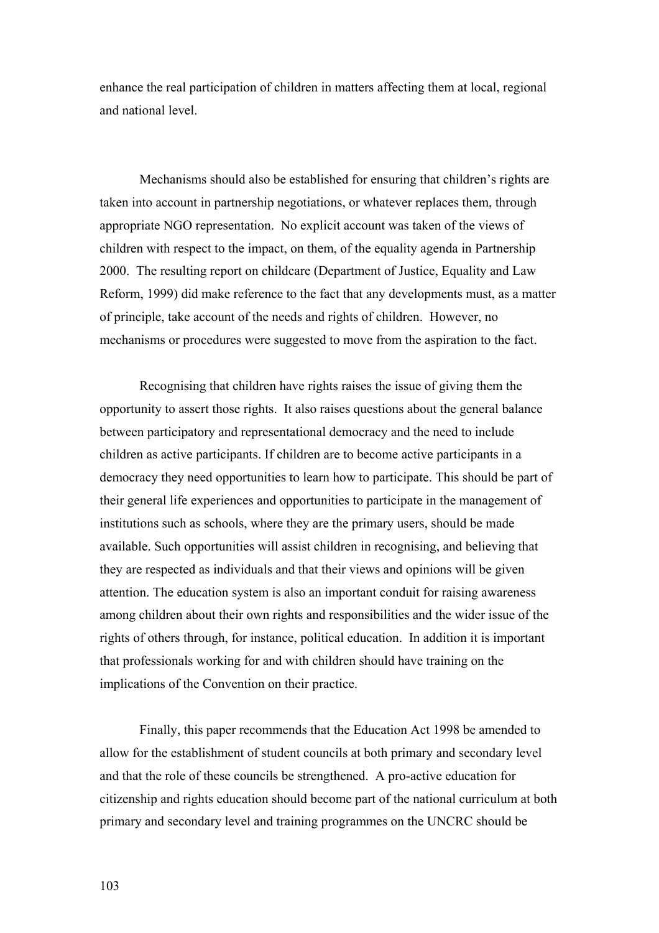enhance the real participation of children in matters affecting them at local, regional and national level.

Mechanisms should also be established for ensuring that children's rights are taken into account in partnership negotiations, or whatever replaces them, through appropriate NGO representation. No explicit account was taken of the views of children with respect to the impact, on them, of the equality agenda in Partnership 2000. The resulting report on childcare (Department of Justice, Equality and Law Reform, 1999) did make reference to the fact that any developments must, as a matter of principle, take account of the needs and rights of children. However, no mechanisms or procedures were suggested to move from the aspiration to the fact.

Recognising that children have rights raises the issue of giving them the opportunity to assert those rights. It also raises questions about the general balance between participatory and representational democracy and the need to include children as active participants. If children are to become active participants in a democracy they need opportunities to learn how to participate. This should be part of their general life experiences and opportunities to participate in the management of institutions such as schools, where they are the primary users, should be made available. Such opportunities will assist children in recognising, and believing that they are respected as individuals and that their views and opinions will be given attention. The education system is also an important conduit for raising awareness among children about their own rights and responsibilities and the wider issue of the rights of others through, for instance, political education.In addition it is important that professionals working for and with children should have training on the implications of the Convention on their practice.

Finally, this paper recommends that the Education Act 1998 be amended to allow for the establishment of student councils at both primary and secondary level and that the role of these councils be strengthened. A pro-active education for citizenship and rights education should become part of the national curriculum at both primary and secondary level and training programmes on the UNCRC should be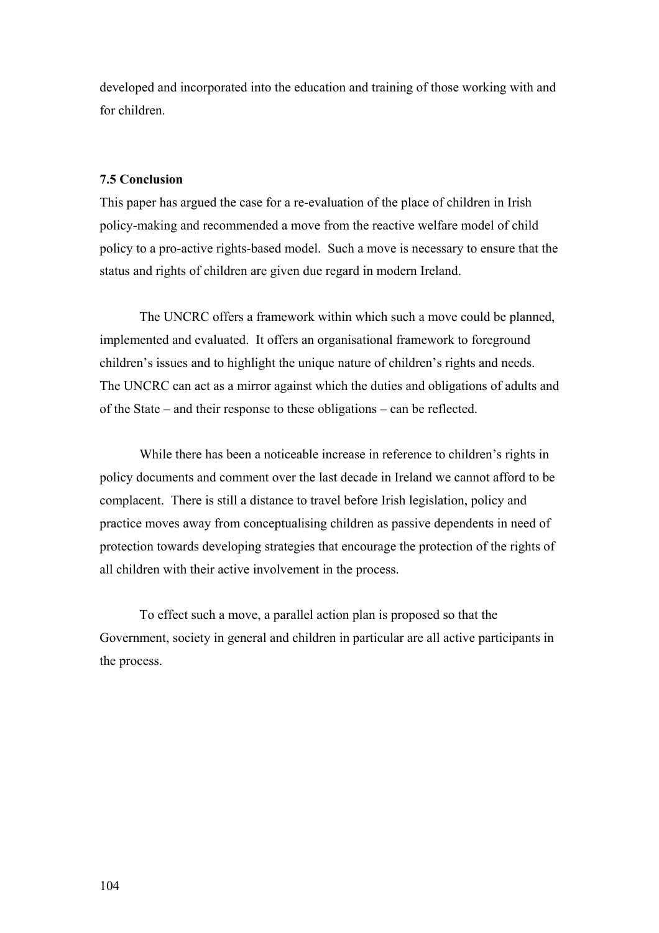developed and incorporated into the education and training of those working with and for children.

## **7.5 Conclusion**

This paper has argued the case for a re-evaluation of the place of children in Irish policy-making and recommended a move from the reactive welfare model of child policy to a pro-active rights-based model. Such a move is necessary to ensure that the status and rights of children are given due regard in modern Ireland.

The UNCRC offers a framework within which such a move could be planned, implemented and evaluated. It offers an organisational framework to foreground children's issues and to highlight the unique nature of children's rights and needs. The UNCRC can act as a mirror against which the duties and obligations of adults and of the State – and their response to these obligations – can be reflected.

While there has been a noticeable increase in reference to children's rights in policy documents and comment over the last decade in Ireland we cannot afford to be complacent. There is still a distance to travel before Irish legislation, policy and practice moves away from conceptualising children as passive dependents in need of protection towards developing strategies that encourage the protection of the rights of all children with their active involvement in the process.

To effect such a move, a parallel action plan is proposed so that the Government, society in general and children in particular are all active participants in the process.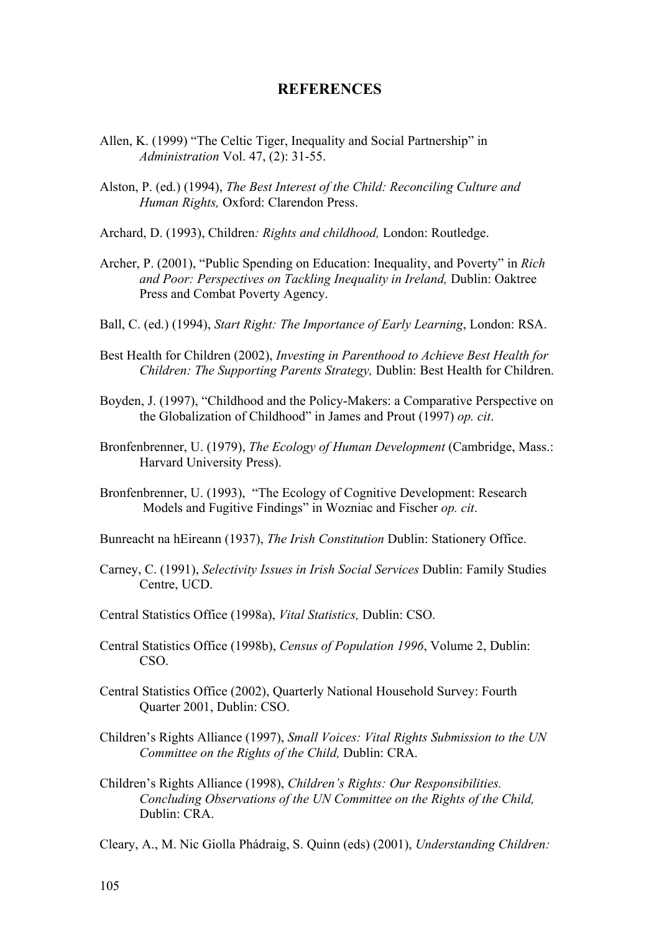# **REFERENCES**

- Allen, K. (1999) "The Celtic Tiger, Inequality and Social Partnership" in *Administration* Vol. 47, (2): 31-55.
- Alston, P. (ed.) (1994), *The Best Interest of the Child: Reconciling Culture and Human Rights,* Oxford: Clarendon Press.
- Archard, D. (1993), Children*: Rights and childhood,* London: Routledge.
- Archer, P. (2001), "Public Spending on Education: Inequality, and Poverty" in *Rich and Poor: Perspectives on Tackling Inequality in Ireland,* Dublin: Oaktree Press and Combat Poverty Agency.
- Ball, C. (ed.) (1994), *Start Right: The Importance of Early Learning*, London: RSA.
- Best Health for Children (2002), *Investing in Parenthood to Achieve Best Health for Children: The Supporting Parents Strategy,* Dublin: Best Health for Children.
- Boyden, J. (1997), "Childhood and the Policy-Makers: a Comparative Perspective on the Globalization of Childhood" in James and Prout (1997) *op. cit*.
- Bronfenbrenner, U. (1979), *The Ecology of Human Development* (Cambridge, Mass.: Harvard University Press).
- Bronfenbrenner, U. (1993), "The Ecology of Cognitive Development: Research Models and Fugitive Findings" in Wozniac and Fischer *op. cit*.
- Bunreacht na hEireann (1937), *The Irish Constitution* Dublin: Stationery Office.
- Carney, C. (1991), *Selectivity Issues in Irish Social Services* Dublin: Family Studies Centre, UCD.
- Central Statistics Office (1998a), *Vital Statistics,* Dublin: CSO.
- Central Statistics Office (1998b), *Census of Population 1996*, Volume 2, Dublin: CSO.
- Central Statistics Office (2002), Quarterly National Household Survey: Fourth Quarter 2001, Dublin: CSO.
- Children's Rights Alliance (1997), *Small Voices: Vital Rights Submission to the UN Committee on the Rights of the Child,* Dublin: CRA.
- Children's Rights Alliance (1998), *Children's Rights: Our Responsibilities. Concluding Observations of the UN Committee on the Rights of the Child,*  Dublin: CRA.

Cleary, A., M. Nic Giolla Phádraig, S. Quinn (eds) (2001), *Understanding Children:*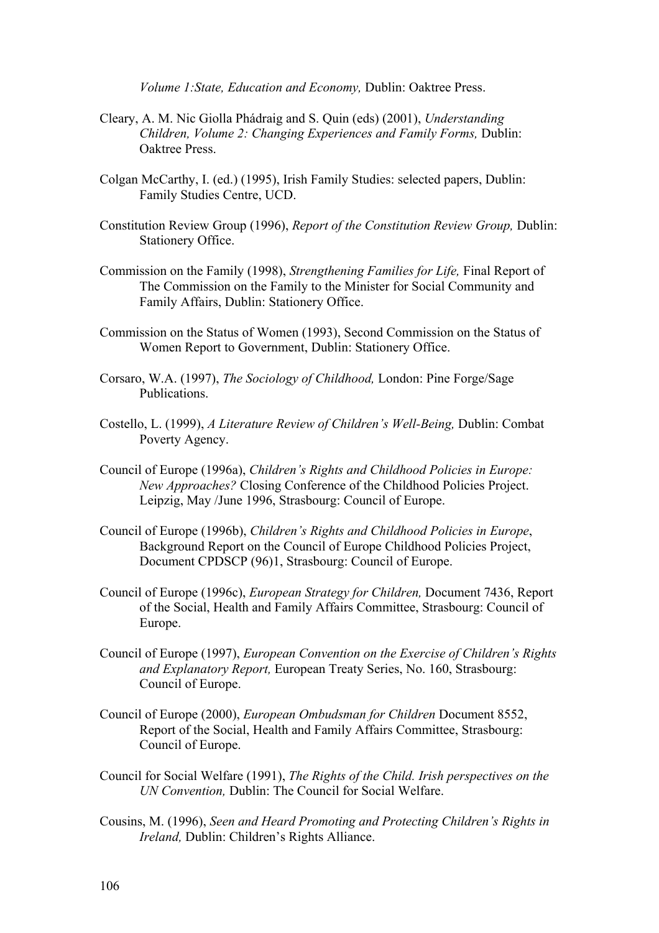*Volume 1:State, Education and Economy,* Dublin: Oaktree Press.

- Cleary, A. M. Nic Giolla Phádraig and S. Quin (eds) (2001), *Understanding Children, Volume 2: Changing Experiences and Family Forms,* Dublin: Oaktree Press.
- Colgan McCarthy, I. (ed.) (1995), Irish Family Studies: selected papers, Dublin: Family Studies Centre, UCD.
- Constitution Review Group (1996), *Report of the Constitution Review Group,* Dublin: Stationery Office.
- Commission on the Family (1998), *Strengthening Families for Life,* Final Report of The Commission on the Family to the Minister for Social Community and Family Affairs, Dublin: Stationery Office.
- Commission on the Status of Women (1993), Second Commission on the Status of Women Report to Government, Dublin: Stationery Office.
- Corsaro, W.A. (1997), *The Sociology of Childhood,* London: Pine Forge/Sage Publications.
- Costello, L. (1999), *A Literature Review of Children's Well-Being,* Dublin: Combat Poverty Agency.
- Council of Europe (1996a), *Children's Rights and Childhood Policies in Europe: New Approaches?* Closing Conference of the Childhood Policies Project. Leipzig, May /June 1996, Strasbourg: Council of Europe.
- Council of Europe (1996b), *Children's Rights and Childhood Policies in Europe*, Background Report on the Council of Europe Childhood Policies Project, Document CPDSCP (96)1, Strasbourg: Council of Europe.
- Council of Europe (1996c), *European Strategy for Children,* Document 7436, Report of the Social, Health and Family Affairs Committee, Strasbourg: Council of Europe.
- Council of Europe (1997), *European Convention on the Exercise of Children's Rights and Explanatory Report,* European Treaty Series, No. 160, Strasbourg: Council of Europe.
- Council of Europe (2000), *European Ombudsman for Children* Document 8552, Report of the Social, Health and Family Affairs Committee, Strasbourg: Council of Europe.
- Council for Social Welfare (1991), *The Rights of the Child. Irish perspectives on the UN Convention,* Dublin: The Council for Social Welfare.
- Cousins, M. (1996), *Seen and Heard Promoting and Protecting Children's Rights in Ireland,* Dublin: Children's Rights Alliance.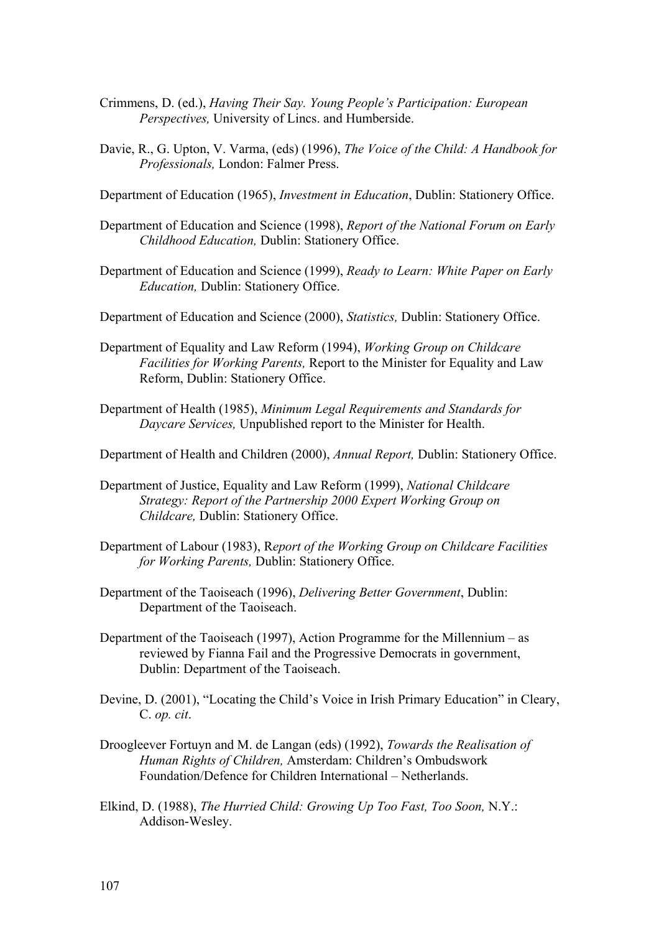- Crimmens, D. (ed.), *Having Their Say. Young People's Participation: European Perspectives,* University of Lincs. and Humberside.
- Davie, R., G. Upton, V. Varma, (eds) (1996), *The Voice of the Child: A Handbook for Professionals,* London: Falmer Press.
- Department of Education (1965), *Investment in Education*, Dublin: Stationery Office.
- Department of Education and Science (1998), *Report of the National Forum on Early Childhood Education,* Dublin: Stationery Office.
- Department of Education and Science (1999), *Ready to Learn: White Paper on Early Education,* Dublin: Stationery Office.
- Department of Education and Science (2000), *Statistics,* Dublin: Stationery Office.
- Department of Equality and Law Reform (1994), *Working Group on Childcare Facilities for Working Parents,* Report to the Minister for Equality and Law Reform, Dublin: Stationery Office.
- Department of Health (1985), *Minimum Legal Requirements and Standards for Daycare Services,* Unpublished report to the Minister for Health.
- Department of Health and Children (2000), *Annual Report,* Dublin: Stationery Office.
- Department of Justice, Equality and Law Reform (1999), *National Childcare Strategy: Report of the Partnership 2000 Expert Working Group on Childcare,* Dublin: Stationery Office.
- Department of Labour (1983), R*eport of the Working Group on Childcare Facilities for Working Parents,* Dublin: Stationery Office.
- Department of the Taoiseach (1996), *Delivering Better Government*, Dublin: Department of the Taoiseach.
- Department of the Taoiseach (1997), Action Programme for the Millennium as reviewed by Fianna Fail and the Progressive Democrats in government, Dublin: Department of the Taoiseach.
- Devine, D. (2001), "Locating the Child's Voice in Irish Primary Education" in Cleary, C. *op. cit*.
- Droogleever Fortuyn and M. de Langan (eds) (1992), *Towards the Realisation of Human Rights of Children,* Amsterdam: Children's Ombudswork Foundation/Defence for Children International – Netherlands.
- Elkind, D. (1988), *The Hurried Child: Growing Up Too Fast, Too Soon,* N.Y.: Addison-Wesley.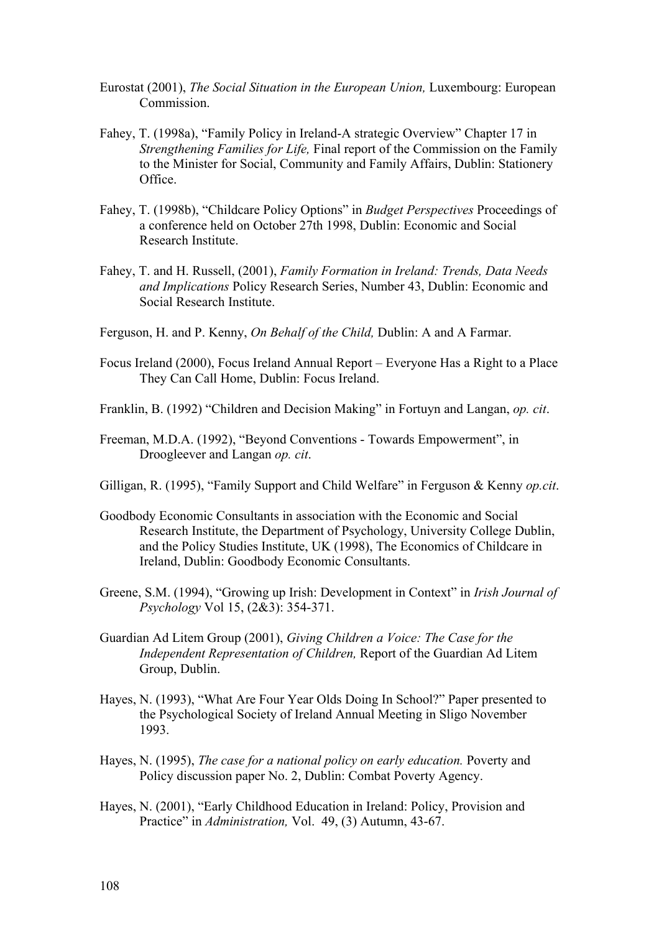- Eurostat (2001), *The Social Situation in the European Union,* Luxembourg: European Commission.
- Fahey, T. (1998a), "Family Policy in Ireland-A strategic Overview" Chapter 17 in *Strengthening Families for Life,* Final report of the Commission on the Family to the Minister for Social, Community and Family Affairs, Dublin: Stationery Office.
- Fahey, T. (1998b), "Childcare Policy Options" in *Budget Perspectives* Proceedings of a conference held on October 27th 1998, Dublin: Economic and Social Research Institute.
- Fahey, T. and H. Russell, (2001), *Family Formation in Ireland: Trends, Data Needs and Implications* Policy Research Series, Number 43, Dublin: Economic and Social Research Institute.
- Ferguson, H. and P. Kenny, *On Behalf of the Child,* Dublin: A and A Farmar.
- Focus Ireland (2000), Focus Ireland Annual Report Everyone Has a Right to a Place They Can Call Home, Dublin: Focus Ireland.
- Franklin, B. (1992) "Children and Decision Making" in Fortuyn and Langan, *op. cit*.
- Freeman, M.D.A. (1992), "Beyond Conventions Towards Empowerment", in Droogleever and Langan *op. cit*.
- Gilligan, R. (1995), "Family Support and Child Welfare" in Ferguson & Kenny *op.cit*.
- Goodbody Economic Consultants in association with the Economic and Social Research Institute, the Department of Psychology, University College Dublin, and the Policy Studies Institute, UK (1998), The Economics of Childcare in Ireland, Dublin: Goodbody Economic Consultants.
- Greene, S.M. (1994), "Growing up Irish: Development in Context" in *Irish Journal of Psychology* Vol 15, (2&3): 354-371.
- Guardian Ad Litem Group (2001), *Giving Children a Voice: The Case for the Independent Representation of Children,* Report of the Guardian Ad Litem Group, Dublin.
- Hayes, N. (1993), "What Are Four Year Olds Doing In School?" Paper presented to the Psychological Society of Ireland Annual Meeting in Sligo November 1993.
- Hayes, N. (1995), *The case for a national policy on early education.* Poverty and Policy discussion paper No. 2, Dublin: Combat Poverty Agency.
- Hayes, N. (2001), "Early Childhood Education in Ireland: Policy, Provision and Practice" in *Administration,* Vol. 49, (3) Autumn, 43-67.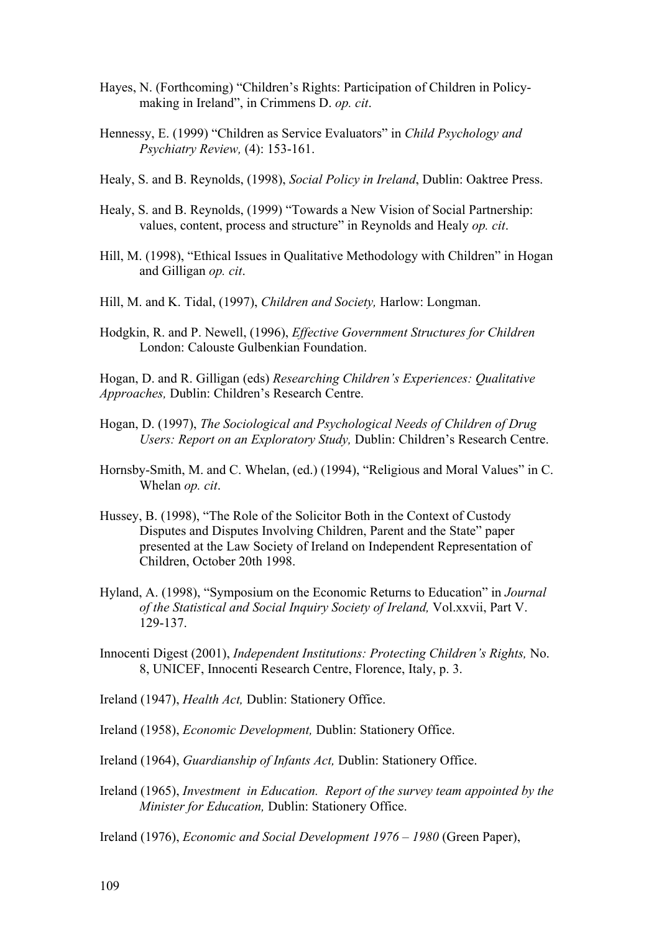- Hayes, N. (Forthcoming) "Children's Rights: Participation of Children in Policymaking in Ireland", in Crimmens D. *op. cit*.
- Hennessy, E. (1999) "Children as Service Evaluators" in *Child Psychology and Psychiatry Review,* (4): 153-161.
- Healy, S. and B. Reynolds, (1998), *Social Policy in Ireland*, Dublin: Oaktree Press.
- Healy, S. and B. Reynolds, (1999) "Towards a New Vision of Social Partnership: values, content, process and structure" in Reynolds and Healy *op. cit*.
- Hill, M. (1998), "Ethical Issues in Qualitative Methodology with Children" in Hogan and Gilligan *op. cit*.
- Hill, M. and K. Tidal, (1997), *Children and Society,* Harlow: Longman.
- Hodgkin, R. and P. Newell, (1996), *Effective Government Structures for Children*  London: Calouste Gulbenkian Foundation.

Hogan, D. and R. Gilligan (eds) *Researching Children's Experiences: Qualitative Approaches,* Dublin: Children's Research Centre.

- Hogan, D. (1997), *The Sociological and Psychological Needs of Children of Drug Users: Report on an Exploratory Study,* Dublin: Children's Research Centre.
- Hornsby-Smith, M. and C. Whelan, (ed.) (1994), "Religious and Moral Values" in C. Whelan *op. cit*.
- Hussey, B. (1998), "The Role of the Solicitor Both in the Context of Custody Disputes and Disputes Involving Children, Parent and the State" paper presented at the Law Society of Ireland on Independent Representation of Children, October 20th 1998.
- Hyland, A. (1998), "Symposium on the Economic Returns to Education" in *Journal of the Statistical and Social Inquiry Society of Ireland,* Vol.xxvii, Part V. 129-137.
- Innocenti Digest (2001), *Independent Institutions: Protecting Children's Rights,* No. 8, UNICEF, Innocenti Research Centre, Florence, Italy, p. 3.
- Ireland (1947), *Health Act,* Dublin: Stationery Office.
- Ireland (1958), *Economic Development,* Dublin: Stationery Office.
- Ireland (1964), *Guardianship of Infants Act,* Dublin: Stationery Office.
- Ireland (1965), *Investment in Education. Report of the survey team appointed by the Minister for Education,* Dublin: Stationery Office.

Ireland (1976), *Economic and Social Development 1976 – 1980* (Green Paper),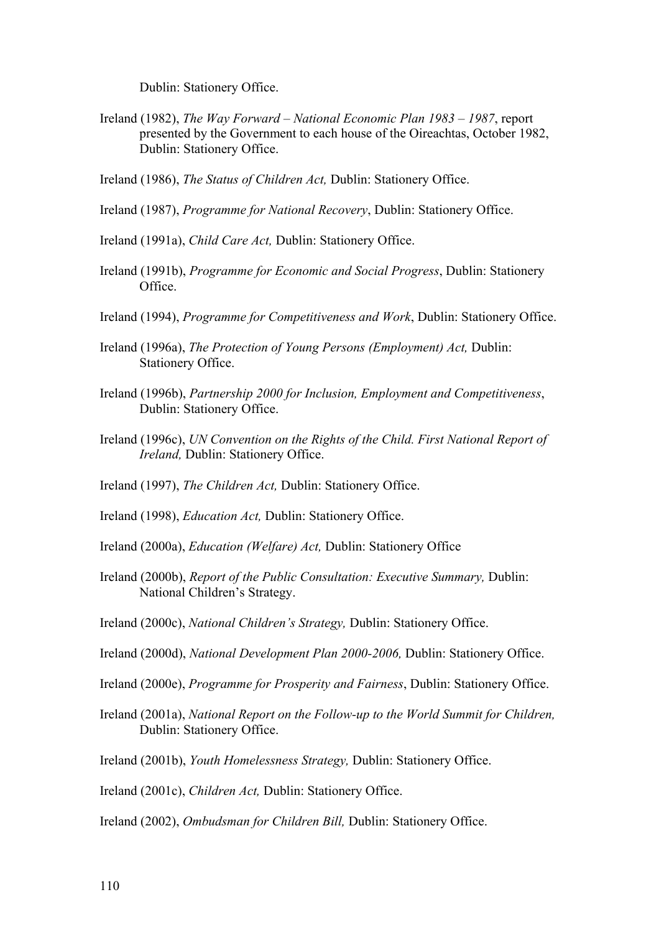Dublin: Stationery Office.

- Ireland (1982), *The Way Forward National Economic Plan 1983 1987*, report presented by the Government to each house of the Oireachtas, October 1982, Dublin: Stationery Office.
- Ireland (1986), *The Status of Children Act,* Dublin: Stationery Office.
- Ireland (1987), *Programme for National Recovery*, Dublin: Stationery Office.
- Ireland (1991a), *Child Care Act,* Dublin: Stationery Office.
- Ireland (1991b), *Programme for Economic and Social Progress*, Dublin: Stationery Office.
- Ireland (1994), *Programme for Competitiveness and Work*, Dublin: Stationery Office.
- Ireland (1996a), *The Protection of Young Persons (Employment) Act,* Dublin: Stationery Office.
- Ireland (1996b), *Partnership 2000 for Inclusion, Employment and Competitiveness*, Dublin: Stationery Office.
- Ireland (1996c), *UN Convention on the Rights of the Child. First National Report of Ireland,* Dublin: Stationery Office.
- Ireland (1997), *The Children Act,* Dublin: Stationery Office.
- Ireland (1998), *Education Act,* Dublin: Stationery Office.
- Ireland (2000a), *Education (Welfare) Act,* Dublin: Stationery Office
- Ireland (2000b), *Report of the Public Consultation: Executive Summary,* Dublin: National Children's Strategy.
- Ireland (2000c), *National Children's Strategy,* Dublin: Stationery Office.
- Ireland (2000d), *National Development Plan 2000-2006,* Dublin: Stationery Office.
- Ireland (2000e), *Programme for Prosperity and Fairness*, Dublin: Stationery Office.
- Ireland (2001a), *National Report on the Follow-up to the World Summit for Children,*  Dublin: Stationery Office.
- Ireland (2001b), *Youth Homelessness Strategy,* Dublin: Stationery Office.
- Ireland (2001c), *Children Act,* Dublin: Stationery Office.
- Ireland (2002), *Ombudsman for Children Bill,* Dublin: Stationery Office.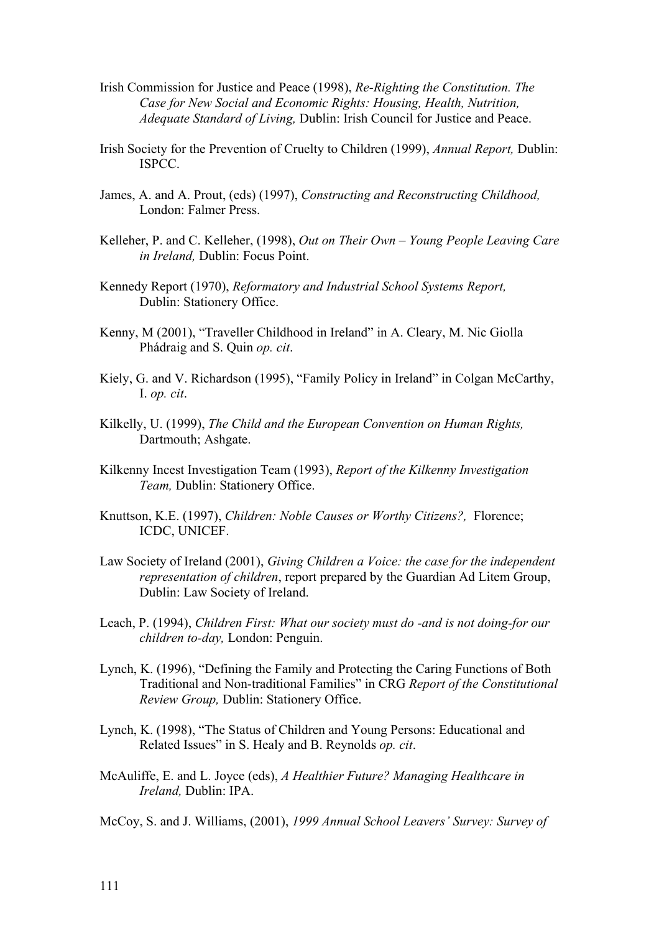- Irish Commission for Justice and Peace (1998), *Re-Righting the Constitution. The Case for New Social and Economic Rights: Housing, Health, Nutrition, Adequate Standard of Living,* Dublin: Irish Council for Justice and Peace.
- Irish Society for the Prevention of Cruelty to Children (1999), *Annual Report,* Dublin: ISPCC.
- James, A. and A. Prout, (eds) (1997), *Constructing and Reconstructing Childhood,*  London: Falmer Press.
- Kelleher, P. and C. Kelleher, (1998), *Out on Their Own Young People Leaving Care in Ireland,* Dublin: Focus Point.
- Kennedy Report (1970), *Reformatory and Industrial School Systems Report,*  Dublin: Stationery Office.
- Kenny, M (2001), "Traveller Childhood in Ireland" in A. Cleary, M. Nic Giolla Phádraig and S. Quin *op. cit*.
- Kiely, G. and V. Richardson (1995), "Family Policy in Ireland" in Colgan McCarthy, I. *op. cit*.
- Kilkelly, U. (1999), *The Child and the European Convention on Human Rights,*  Dartmouth; Ashgate.
- Kilkenny Incest Investigation Team (1993), *Report of the Kilkenny Investigation Team,* Dublin: Stationery Office.
- Knuttson, K.E. (1997), *Children: Noble Causes or Worthy Citizens?,* Florence; ICDC, UNICEF.
- Law Society of Ireland (2001), *Giving Children a Voice: the case for the independent representation of children*, report prepared by the Guardian Ad Litem Group, Dublin: Law Society of Ireland.
- Leach, P. (1994), *Children First: What our society must do -and is not doing-for our children to-day,* London: Penguin.
- Lynch, K. (1996), "Defining the Family and Protecting the Caring Functions of Both Traditional and Non-traditional Families" in CRG *Report of the Constitutional Review Group,* Dublin: Stationery Office.
- Lynch, K. (1998), "The Status of Children and Young Persons: Educational and Related Issues" in S. Healy and B. Reynolds *op. cit*.
- McAuliffe, E. and L. Joyce (eds), *A Healthier Future? Managing Healthcare in Ireland,* Dublin: IPA.
- McCoy, S. and J. Williams, (2001), *1999 Annual School Leavers' Survey: Survey of*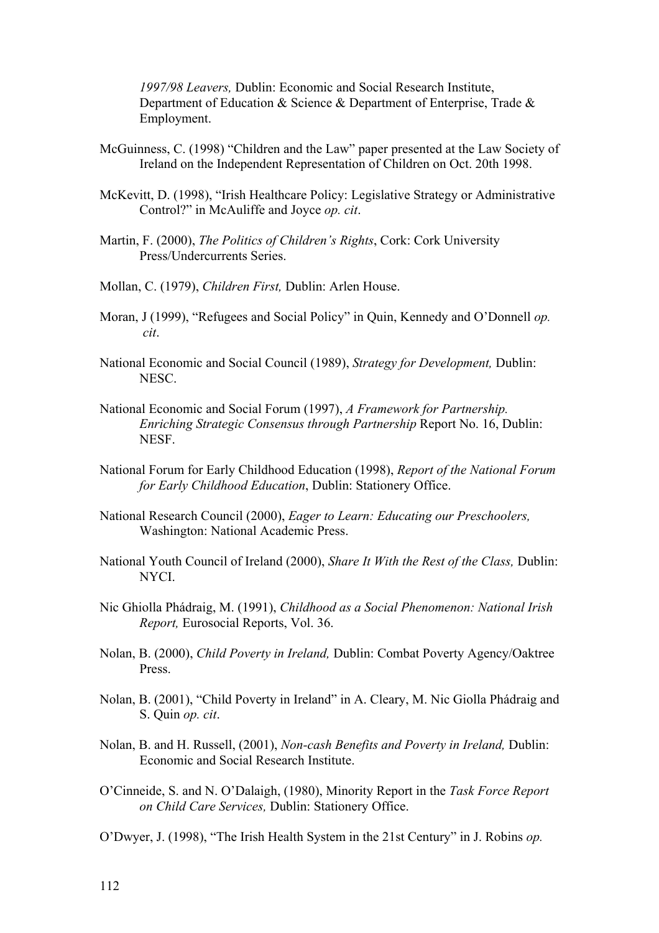*1997/98 Leavers,* Dublin: Economic and Social Research Institute, Department of Education & Science & Department of Enterprise, Trade & Employment.

- McGuinness, C. (1998) "Children and the Law" paper presented at the Law Society of Ireland on the Independent Representation of Children on Oct. 20th 1998.
- McKevitt, D. (1998), "Irish Healthcare Policy: Legislative Strategy or Administrative Control?" in McAuliffe and Joyce *op. cit*.
- Martin, F. (2000), *The Politics of Children's Rights*, Cork: Cork University Press/Undercurrents Series.
- Mollan, C. (1979), *Children First,* Dublin: Arlen House.
- Moran, J (1999), "Refugees and Social Policy" in Quin, Kennedy and O'Donnell *op. cit*.
- National Economic and Social Council (1989), *Strategy for Development,* Dublin: NESC.
- National Economic and Social Forum (1997), *A Framework for Partnership. Enriching Strategic Consensus through Partnership* Report No. 16, Dublin: NESF.
- National Forum for Early Childhood Education (1998), *Report of the National Forum for Early Childhood Education*, Dublin: Stationery Office.
- National Research Council (2000), *Eager to Learn: Educating our Preschoolers,*  Washington: National Academic Press.
- National Youth Council of Ireland (2000), *Share It With the Rest of the Class,* Dublin: NYCI.
- Nic Ghiolla Phádraig, M. (1991), *Childhood as a Social Phenomenon: National Irish Report,* Eurosocial Reports, Vol. 36.
- Nolan, B. (2000), *Child Poverty in Ireland,* Dublin: Combat Poverty Agency/Oaktree Press.
- Nolan, B. (2001), "Child Poverty in Ireland" in A. Cleary, M. Nic Giolla Phádraig and S. Quin *op. cit*.
- Nolan, B. and H. Russell, (2001), *Non-cash Benefits and Poverty in Ireland,* Dublin: Economic and Social Research Institute.
- O'Cinneide, S. and N. O'Dalaigh, (1980), Minority Report in the *Task Force Report on Child Care Services,* Dublin: Stationery Office.
- O'Dwyer, J. (1998), "The Irish Health System in the 21st Century" in J. Robins *op.*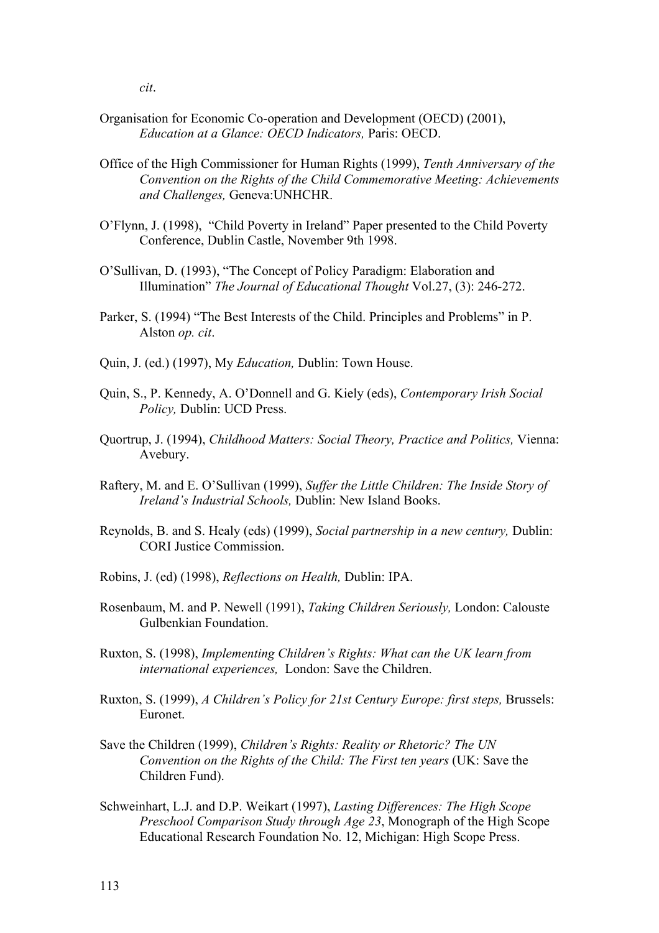- Organisation for Economic Co-operation and Development (OECD) (2001), *Education at a Glance: OECD Indicators,* Paris: OECD.
- Office of the High Commissioner for Human Rights (1999), *Tenth Anniversary of the Convention on the Rights of the Child Commemorative Meeting: Achievements and Challenges,* Geneva:UNHCHR.
- O'Flynn, J. (1998), "Child Poverty in Ireland" Paper presented to the Child Poverty Conference, Dublin Castle, November 9th 1998.
- O'Sullivan, D. (1993), "The Concept of Policy Paradigm: Elaboration and Illumination" *The Journal of Educational Thought* Vol.27, (3): 246-272.
- Parker, S. (1994) "The Best Interests of the Child. Principles and Problems" in P. Alston *op. cit*.
- Quin, J. (ed.) (1997), My *Education,* Dublin: Town House.
- Quin, S., P. Kennedy, A. O'Donnell and G. Kiely (eds), *Contemporary Irish Social Policy,* Dublin: UCD Press.
- Quortrup, J. (1994), *Childhood Matters: Social Theory, Practice and Politics,* Vienna: Avebury.
- Raftery, M. and E. O'Sullivan (1999), *Suffer the Little Children: The Inside Story of Ireland's Industrial Schools,* Dublin: New Island Books.
- Reynolds, B. and S. Healy (eds) (1999), *Social partnership in a new century,* Dublin: CORI Justice Commission.
- Robins, J. (ed) (1998), *Reflections on Health,* Dublin: IPA.
- Rosenbaum, M. and P. Newell (1991), *Taking Children Seriously,* London: Calouste Gulbenkian Foundation.
- Ruxton, S. (1998), *Implementing Children's Rights: What can the UK learn from international experiences,* London: Save the Children.
- Ruxton, S. (1999), *A Children's Policy for 21st Century Europe: first steps,* Brussels: Euronet.
- Save the Children (1999), *Children's Rights: Reality or Rhetoric? The UN Convention on the Rights of the Child: The First ten years* (UK: Save the Children Fund).
- Schweinhart, L.J. and D.P. Weikart (1997), *Lasting Differences: The High Scope Preschool Comparison Study through Age 23*, Monograph of the High Scope Educational Research Foundation No. 12, Michigan: High Scope Press.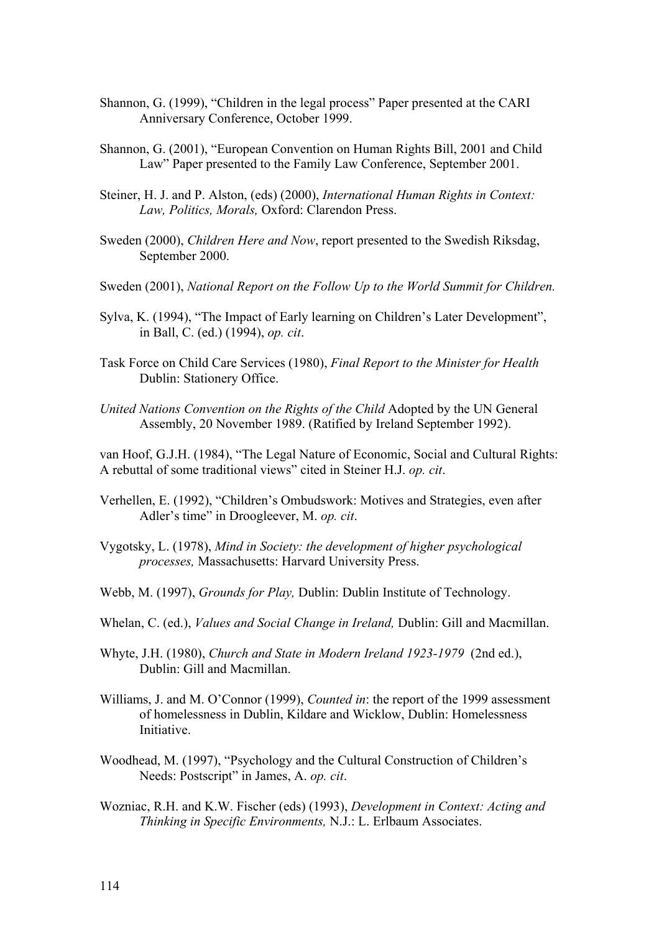- Shannon, G. (1999), "Children in the legal process" Paper presented at the CARI Anniversary Conference, October 1999.
- Shannon, G. (2001), "European Convention on Human Rights Bill, 2001 and Child Law" Paper presented to the Family Law Conference, September 2001.
- Steiner, H. J. and P. Alston, (eds) (2000), *International Human Rights in Context: Law, Politics, Morals,* Oxford: Clarendon Press.
- Sweden (2000), *Children Here and Now*, report presented to the Swedish Riksdag, September 2000.
- Sweden (2001), *National Report on the Follow Up to the World Summit for Children.*
- Sylva, K. (1994), "The Impact of Early learning on Children's Later Development", in Ball, C. (ed.) (1994), *op. cit*.
- Task Force on Child Care Services (1980), *Final Report to the Minister for Health* Dublin: Stationery Office.
- *United Nations Convention on the Rights of the Child* Adopted by the UN General Assembly, 20 November 1989. (Ratified by Ireland September 1992).

van Hoof, G.J.H. (1984), "The Legal Nature of Economic, Social and Cultural Rights: A rebuttal of some traditional views" cited in Steiner H.J. *op. cit*.

- Verhellen, E. (1992), "Children's Ombudswork: Motives and Strategies, even after Adler's time" in Droogleever, M. *op. cit*.
- Vygotsky, L. (1978), *Mind in Society: the development of higher psychological processes,* Massachusetts: Harvard University Press.
- Webb, M. (1997), *Grounds for Play,* Dublin: Dublin Institute of Technology.
- Whelan, C. (ed.), *Values and Social Change in Ireland,* Dublin: Gill and Macmillan.
- Whyte, J.H. (1980), *Church and State in Modern Ireland 1923-1979* (2nd ed.), Dublin: Gill and Macmillan.
- Williams, J. and M. O'Connor (1999), *Counted in*: the report of the 1999 assessment of homelessness in Dublin, Kildare and Wicklow, Dublin: Homelessness Initiative.
- Woodhead, M. (1997), "Psychology and the Cultural Construction of Children's Needs: Postscript" in James, A. *op. cit*.
- Wozniac, R.H. and K.W. Fischer (eds) (1993), *Development in Context: Acting and Thinking in Specific Environments,* N.J.: L. Erlbaum Associates.